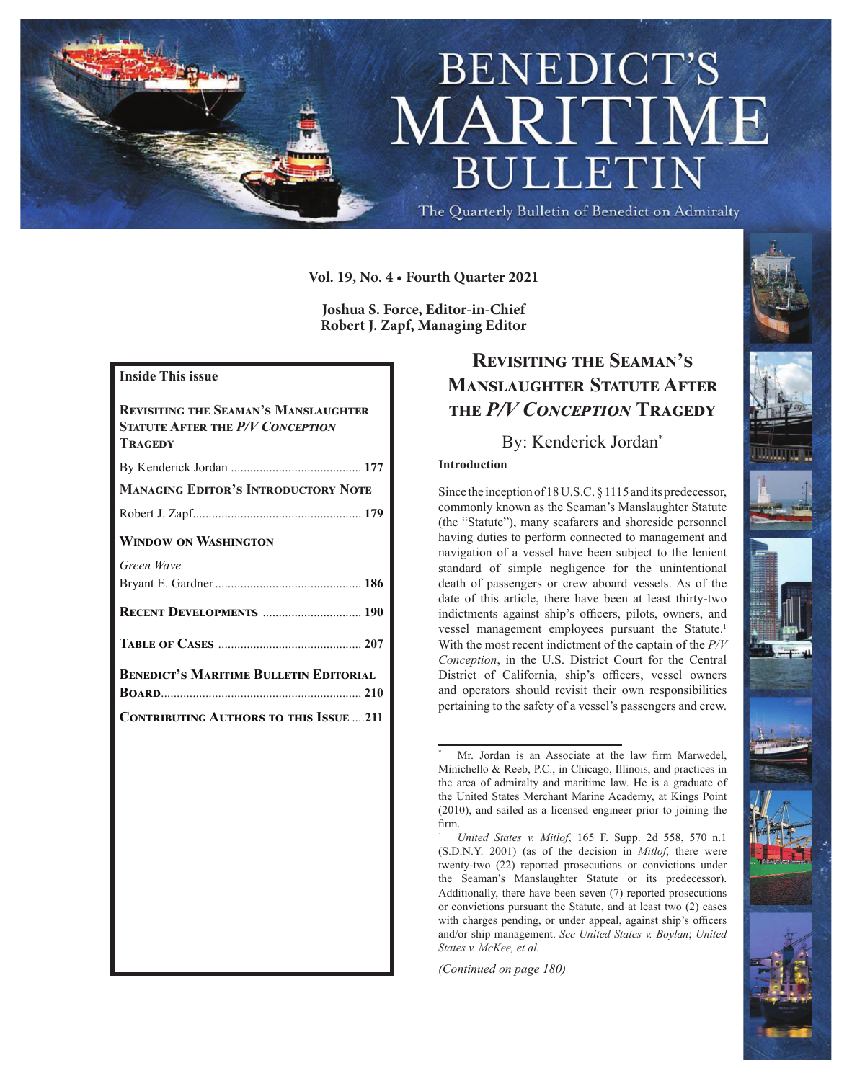

**Vol. 19, No. 4 • Fourth Quarter 2021**

**Joshua S. Force, Editor-in-Chief Robert J. Zapf, Managing Editor**

### **Inside This issue**

| <b>REVISITING THE SEAMAN'S MANSLAUGHTER</b><br><b>STATUTE AFTER THE P/V CONCEPTION</b><br>TRAGEDY |
|---------------------------------------------------------------------------------------------------|
|                                                                                                   |
| <b>MANAGING EDITOR'S INTRODUCTORY NOTE</b>                                                        |
|                                                                                                   |
| <b>WINDOW ON WASHINGTON</b>                                                                       |
| Green Wave                                                                                        |
|                                                                                                   |
| RECENT DEVELOPMENTS  190                                                                          |
|                                                                                                   |
| <b>BENEDICT'S MARITIME BULLETIN EDITORIAL</b><br><b>BOARD</b> 210                                 |
| <b>CONTRIBUTING AUTHORS TO THIS ISSUE 211</b>                                                     |
|                                                                                                   |
|                                                                                                   |
|                                                                                                   |
|                                                                                                   |
|                                                                                                   |
|                                                                                                   |
|                                                                                                   |
|                                                                                                   |
|                                                                                                   |
|                                                                                                   |
|                                                                                                   |

## **Revisiting the Seaman's Manslaughter Statute After the** *P/V Conception* **Tragedy**

### By: Kenderick Jordan\*

#### **Introduction**

Since the inception of 18 U.S.C. § 1115 and its predecessor, commonly known as the Seaman's Manslaughter Statute (the "Statute"), many seafarers and shoreside personnel having duties to perform connected to management and navigation of a vessel have been subject to the lenient standard of simple negligence for the unintentional death of passengers or crew aboard vessels. As of the date of this article, there have been at least thirty-two indictments against ship's officers, pilots, owners, and vessel management employees pursuant the Statute.<sup>1</sup> With the most recent indictment of the captain of the *P/V Conception*, in the U.S. District Court for the Central District of California, ship's officers, vessel owners and operators should revisit their own responsibilities pertaining to the safety of a vessel's passengers and crew.

*(Continued on page 180)*



Mr. Jordan is an Associate at the law firm Marwedel, Minichello & Reeb, P.C., in Chicago, Illinois, and practices in the area of admiralty and maritime law. He is a graduate of the United States Merchant Marine Academy, at Kings Point (2010), and sailed as a licensed engineer prior to joining the firm.

<sup>1</sup> *United States v. Mitlof*, 165 F. Supp. 2d 558, 570 n.1 (S.D.N.Y. 2001) (as of the decision in *Mitlof*, there were twenty-two (22) reported prosecutions or convictions under the Seaman's Manslaughter Statute or its predecessor). Additionally, there have been seven (7) reported prosecutions or convictions pursuant the Statute, and at least two (2) cases with charges pending, or under appeal, against ship's officers and/or ship management. *See United States v. Boylan*; *United States v. McKee, et al.*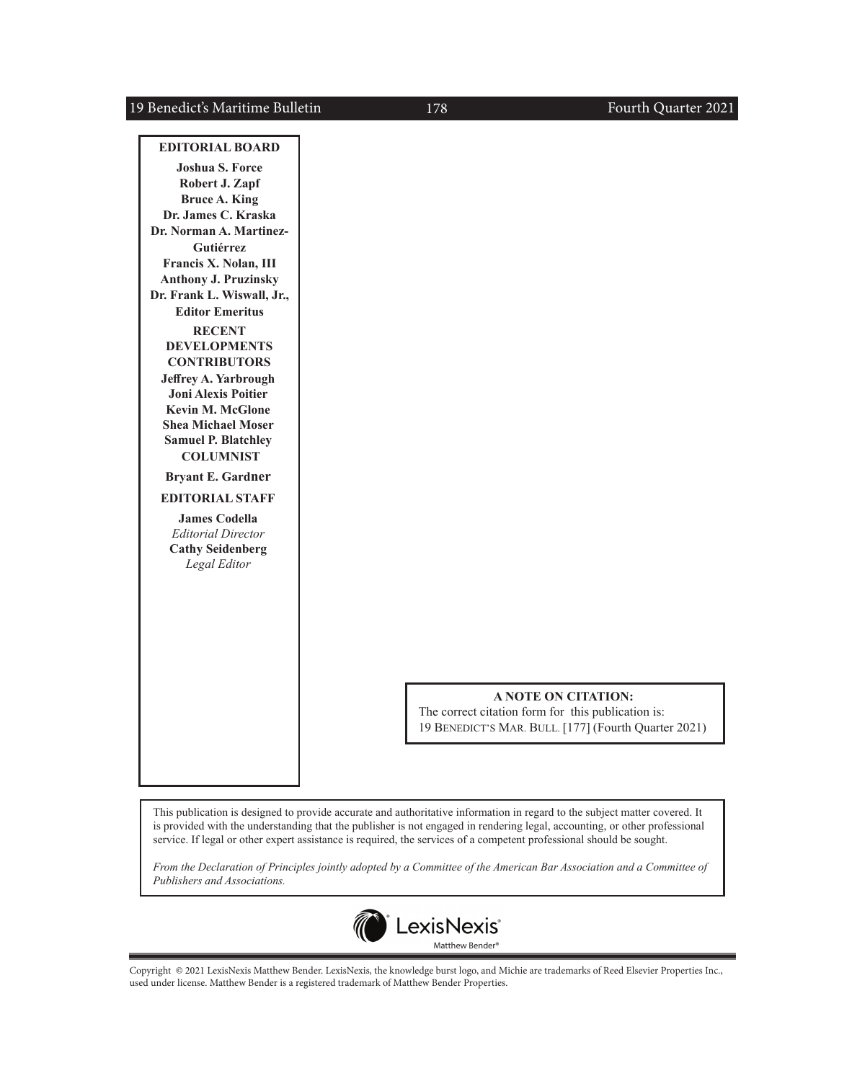### 19 Benedict's Maritime Bulletin

#### **EDITORIAL BOARD**

**Joshua S. Force Robert J. Zapf Bruce A. King Dr. James C. Kraska Dr. Norman A. Martinez-Gutiérrez Francis X. Nolan, III Anthony J. Pruzinsky Dr. Frank L. Wiswall, Jr., Editor Emeritus RECENT DEVELOPMENTS CONTRIBUTORS Jeffrey A. Yarbrough Joni Alexis Poitier Kevin M. McGlone Shea Michael Moser Samuel P. Blatchley COLUMNIST Bryant E. Gardner**

**EDITORIAL STAFF**

**James Codella** *Editorial Director* **Cathy Seidenberg** *Legal Editor*

#### **A NOTE ON CITATION:**

The correct citation form for this publication is: 19 BENEDICT'S MAR. BULL. [177] (Fourth Quarter 2021)

This publication is designed to provide accurate and authoritative information in regard to the subject matter covered. It is provided with the understanding that the publisher is not engaged in rendering legal, accounting, or other professional service. If legal or other expert assistance is required, the services of a competent professional should be sought.

*From the Declaration of Principles jointly adopted by a Committee of the American Bar Association and a Committee of Publishers and Associations.*



Copyright © 2021 LexisNexis Matthew Bender. LexisNexis, the knowledge burst logo, and Michie are trademarks of Reed Elsevier Properties Inc., used under license. Matthew Bender is a registered trademark of Matthew Bender Properties.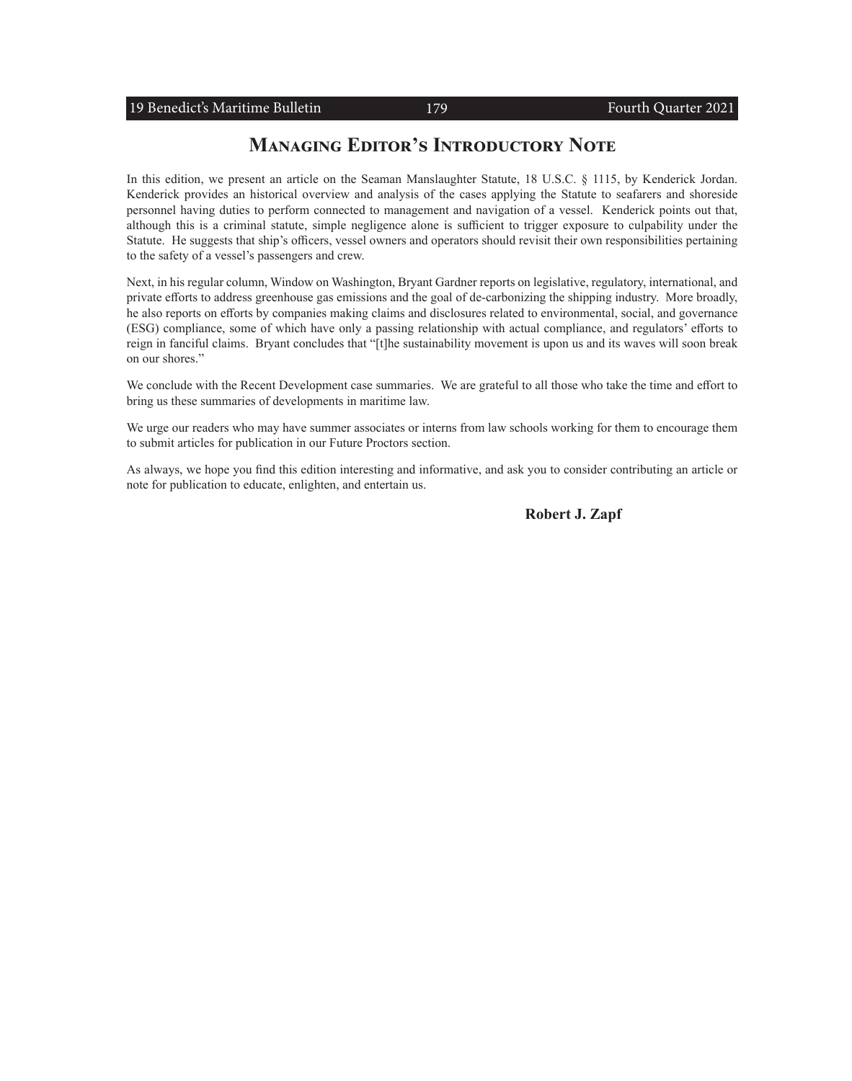## **Managing Editor's Introductory Note**

In this edition, we present an article on the Seaman Manslaughter Statute, 18 U.S.C. § 1115, by Kenderick Jordan. Kenderick provides an historical overview and analysis of the cases applying the Statute to seafarers and shoreside personnel having duties to perform connected to management and navigation of a vessel. Kenderick points out that, although this is a criminal statute, simple negligence alone is sufficient to trigger exposure to culpability under the Statute. He suggests that ship's officers, vessel owners and operators should revisit their own responsibilities pertaining to the safety of a vessel's passengers and crew.

Next, in his regular column, Window on Washington, Bryant Gardner reports on legislative, regulatory, international, and private efforts to address greenhouse gas emissions and the goal of de-carbonizing the shipping industry. More broadly, he also reports on efforts by companies making claims and disclosures related to environmental, social, and governance (ESG) compliance, some of which have only a passing relationship with actual compliance, and regulators' efforts to reign in fanciful claims. Bryant concludes that "[t]he sustainability movement is upon us and its waves will soon break on our shores."

We conclude with the Recent Development case summaries. We are grateful to all those who take the time and effort to bring us these summaries of developments in maritime law.

We urge our readers who may have summer associates or interns from law schools working for them to encourage them to submit articles for publication in our Future Proctors section.

As always, we hope you find this edition interesting and informative, and ask you to consider contributing an article or note for publication to educate, enlighten, and entertain us.

**Robert J. Zapf**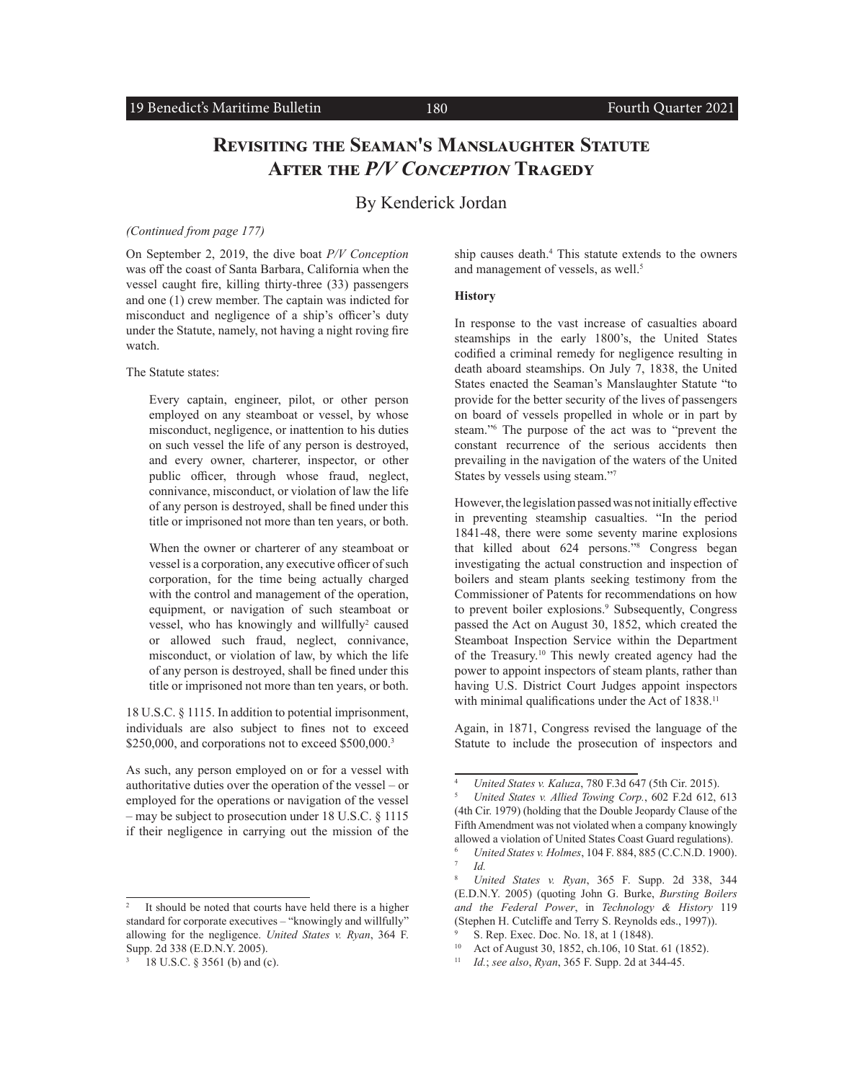## **Revisiting the Seaman's Manslaughter Statute After the** *P/V Conception* **Tragedy**

### By Kenderick Jordan

#### *(Continued from page 177)*

On September 2, 2019, the dive boat *P/V Conception* was off the coast of Santa Barbara, California when the vessel caught fire, killing thirty-three (33) passengers and one (1) crew member. The captain was indicted for misconduct and negligence of a ship's officer's duty under the Statute, namely, not having a night roving fire watch.

The Statute states:

Every captain, engineer, pilot, or other person employed on any steamboat or vessel, by whose misconduct, negligence, or inattention to his duties on such vessel the life of any person is destroyed, and every owner, charterer, inspector, or other public officer, through whose fraud, neglect, connivance, misconduct, or violation of law the life of any person is destroyed, shall be fined under this title or imprisoned not more than ten years, or both.

When the owner or charterer of any steamboat or vessel is a corporation, any executive officer of such corporation, for the time being actually charged with the control and management of the operation, equipment, or navigation of such steamboat or vessel, who has knowingly and willfully<sup>2</sup> caused or allowed such fraud, neglect, connivance, misconduct, or violation of law, by which the life of any person is destroyed, shall be fined under this title or imprisoned not more than ten years, or both.

18 U.S.C. § 1115. In addition to potential imprisonment, individuals are also subject to fines not to exceed \$250,000, and corporations not to exceed  $$500,000.<sup>3</sup>$ 

As such, any person employed on or for a vessel with authoritative duties over the operation of the vessel – or employed for the operations or navigation of the vessel – may be subject to prosecution under 18 U.S.C. § 1115 if their negligence in carrying out the mission of the

ship causes death.<sup>4</sup> This statute extends to the owners and management of vessels, as well.<sup>5</sup>

#### **History**

In response to the vast increase of casualties aboard steamships in the early 1800's, the United States codified a criminal remedy for negligence resulting in death aboard steamships. On July 7, 1838, the United States enacted the Seaman's Manslaughter Statute "to provide for the better security of the lives of passengers on board of vessels propelled in whole or in part by steam."6 The purpose of the act was to "prevent the constant recurrence of the serious accidents then prevailing in the navigation of the waters of the United States by vessels using steam."7

However, the legislation passed was not initially effective in preventing steamship casualties. "In the period 1841-48, there were some seventy marine explosions that killed about 624 persons."<sup>8</sup> Congress began investigating the actual construction and inspection of boilers and steam plants seeking testimony from the Commissioner of Patents for recommendations on how to prevent boiler explosions.<sup>9</sup> Subsequently, Congress passed the Act on August 30, 1852, which created the Steamboat Inspection Service within the Department of the Treasury.10 This newly created agency had the power to appoint inspectors of steam plants, rather than having U.S. District Court Judges appoint inspectors with minimal qualifications under the Act of 1838.<sup>11</sup>

Again, in 1871, Congress revised the language of the Statute to include the prosecution of inspectors and

It should be noted that courts have held there is a higher standard for corporate executives – "knowingly and willfully" allowing for the negligence. *United States v. Ryan*, 364 F. Supp. 2d 338 (E.D.N.Y. 2005).

<sup>3</sup> 18 U.S.C. § 3561 (b) and (c).

<sup>4</sup> *United States v. Kaluza*, 780 F.3d 647 (5th Cir. 2015).

<sup>5</sup> *United States v. Allied Towing Corp.*, 602 F.2d 612, 613 (4th Cir. 1979) (holding that the Double Jeopardy Clause of the Fifth Amendment was not violated when a company knowingly allowed a violation of United States Coast Guard regulations).

<sup>6</sup> *United States v. Holmes*, 104 F. 884, 885 (C.C.N.D. 1900). <sup>7</sup> *Id.*

<sup>8</sup> *United States v. Ryan*, 365 F. Supp. 2d 338, 344 (E.D.N.Y. 2005) (quoting John G. Burke, *Bursting Boilers and the Federal Power*, in *Technology & History* 119 (Stephen H. Cutcliffe and Terry S. Reynolds eds., 1997)).

S. Rep. Exec. Doc. No. 18, at 1 (1848).

Act of August 30, 1852, ch.106, 10 Stat. 61 (1852).

<sup>11</sup> *Id.*; *see also*, *Ryan*, 365 F. Supp. 2d at 344-45.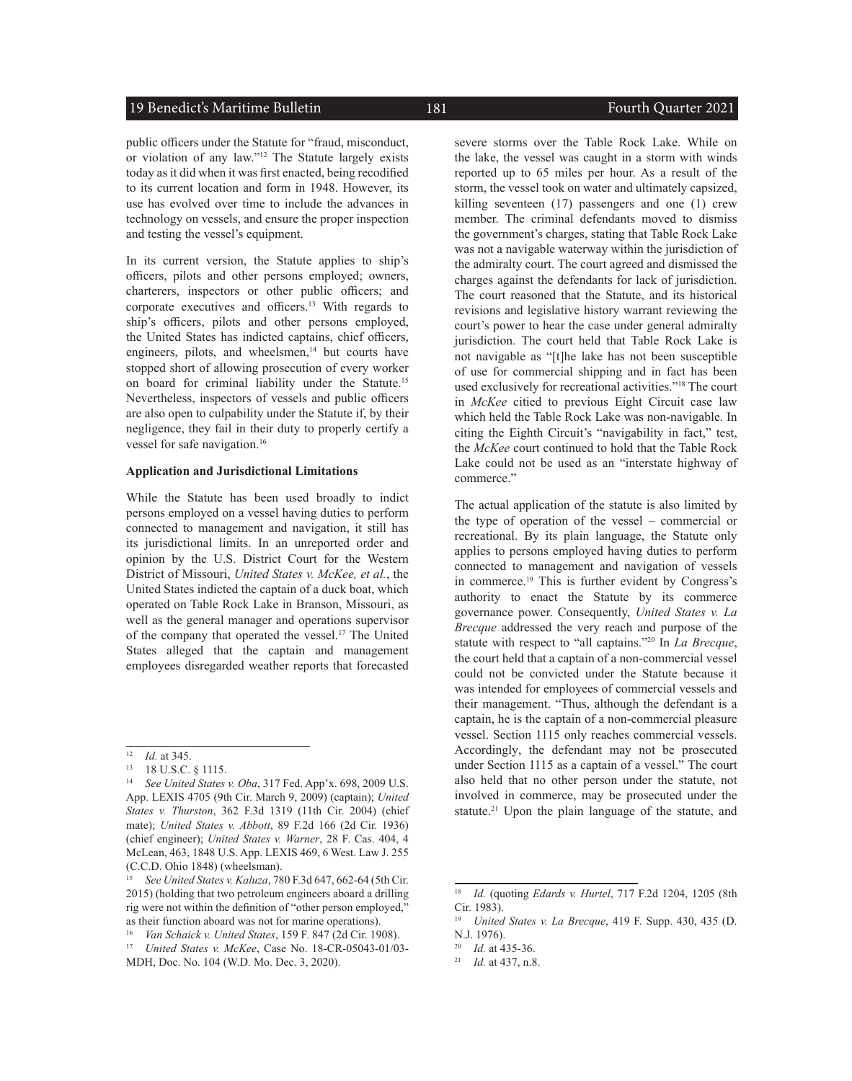#### 19 Benedict's Maritime Bulletin 181 and 181 Fourth Quarter 2021

public officers under the Statute for "fraud, misconduct, or violation of any law."12 The Statute largely exists today as it did when it was first enacted, being recodified to its current location and form in 1948. However, its use has evolved over time to include the advances in technology on vessels, and ensure the proper inspection and testing the vessel's equipment.

In its current version, the Statute applies to ship's officers, pilots and other persons employed; owners, charterers, inspectors or other public officers; and corporate executives and officers.13 With regards to ship's officers, pilots and other persons employed, the United States has indicted captains, chief officers, engineers, pilots, and wheelsmen, $14$  but courts have stopped short of allowing prosecution of every worker on board for criminal liability under the Statute.15 Nevertheless, inspectors of vessels and public officers are also open to culpability under the Statute if, by their negligence, they fail in their duty to properly certify a vessel for safe navigation.<sup>16</sup>

#### **Application and Jurisdictional Limitations**

While the Statute has been used broadly to indict persons employed on a vessel having duties to perform connected to management and navigation, it still has its jurisdictional limits. In an unreported order and opinion by the U.S. District Court for the Western District of Missouri, *United States v. McKee, et al.*, the United States indicted the captain of a duck boat, which operated on Table Rock Lake in Branson, Missouri, as well as the general manager and operations supervisor of the company that operated the vessel.17 The United States alleged that the captain and management employees disregarded weather reports that forecasted

severe storms over the Table Rock Lake. While on the lake, the vessel was caught in a storm with winds reported up to 65 miles per hour. As a result of the storm, the vessel took on water and ultimately capsized, killing seventeen (17) passengers and one (1) crew member. The criminal defendants moved to dismiss the government's charges, stating that Table Rock Lake was not a navigable waterway within the jurisdiction of the admiralty court. The court agreed and dismissed the charges against the defendants for lack of jurisdiction. The court reasoned that the Statute, and its historical revisions and legislative history warrant reviewing the court's power to hear the case under general admiralty jurisdiction. The court held that Table Rock Lake is not navigable as "[t]he lake has not been susceptible of use for commercial shipping and in fact has been used exclusively for recreational activities."18 The court in *McKee* citied to previous Eight Circuit case law which held the Table Rock Lake was non-navigable. In citing the Eighth Circuit's "navigability in fact," test, the *McKee* court continued to hold that the Table Rock Lake could not be used as an "interstate highway of commerce."

The actual application of the statute is also limited by the type of operation of the vessel – commercial or recreational. By its plain language, the Statute only applies to persons employed having duties to perform connected to management and navigation of vessels in commerce.19 This is further evident by Congress's authority to enact the Statute by its commerce governance power. Consequently, *United States v. La Brecque* addressed the very reach and purpose of the statute with respect to "all captains."20 In *La Brecque*, the court held that a captain of a non-commercial vessel could not be convicted under the Statute because it was intended for employees of commercial vessels and their management. "Thus, although the defendant is a captain, he is the captain of a non-commercial pleasure vessel. Section 1115 only reaches commercial vessels. Accordingly, the defendant may not be prosecuted under Section 1115 as a captain of a vessel." The court also held that no other person under the statute, not involved in commerce, may be prosecuted under the statute.<sup>21</sup> Upon the plain language of the statute, and

<sup>12</sup> *Id.* at 345.

<sup>13</sup> 18 U.S.C. § 1115.

<sup>14</sup> *See United States v. Oba*, 317 Fed. App'x. 698, 2009 U.S. App. LEXIS 4705 (9th Cir. March 9, 2009) (captain); *United States v. Thurston*, 362 F.3d 1319 (11th Cir. 2004) (chief mate); *United States v. Abbott*, 89 F.2d 166 (2d Cir. 1936) (chief engineer); *United States v. Warner*, 28 F. Cas. 404, 4 McLean, 463, 1848 U.S. App. LEXIS 469, 6 West. Law J. 255 (C.C.D. Ohio 1848) (wheelsman).

<sup>15</sup> *See United States v. Kaluza*, 780 F.3d 647, 662-64 (5th Cir. 2015) (holding that two petroleum engineers aboard a drilling rig were not within the definition of "other person employed," as their function aboard was not for marine operations).

<sup>16</sup> *Van Schaick v. United States*, 159 F. 847 (2d Cir. 1908).

<sup>17</sup> *United States v. McKee*, Case No. 18-CR-05043-01/03- MDH, Doc. No. 104 (W.D. Mo. Dec. 3, 2020).

<sup>18</sup> *Id.* (quoting *Edards v. Hurtel*, 717 F.2d 1204, 1205 (8th Cir. 1983).

<sup>19</sup> *United States v. La Brecque*, 419 F. Supp. 430, 435 (D. N.J. 1976).

*Id.* at 435-36.

<sup>21</sup> *Id.* at 437, n.8.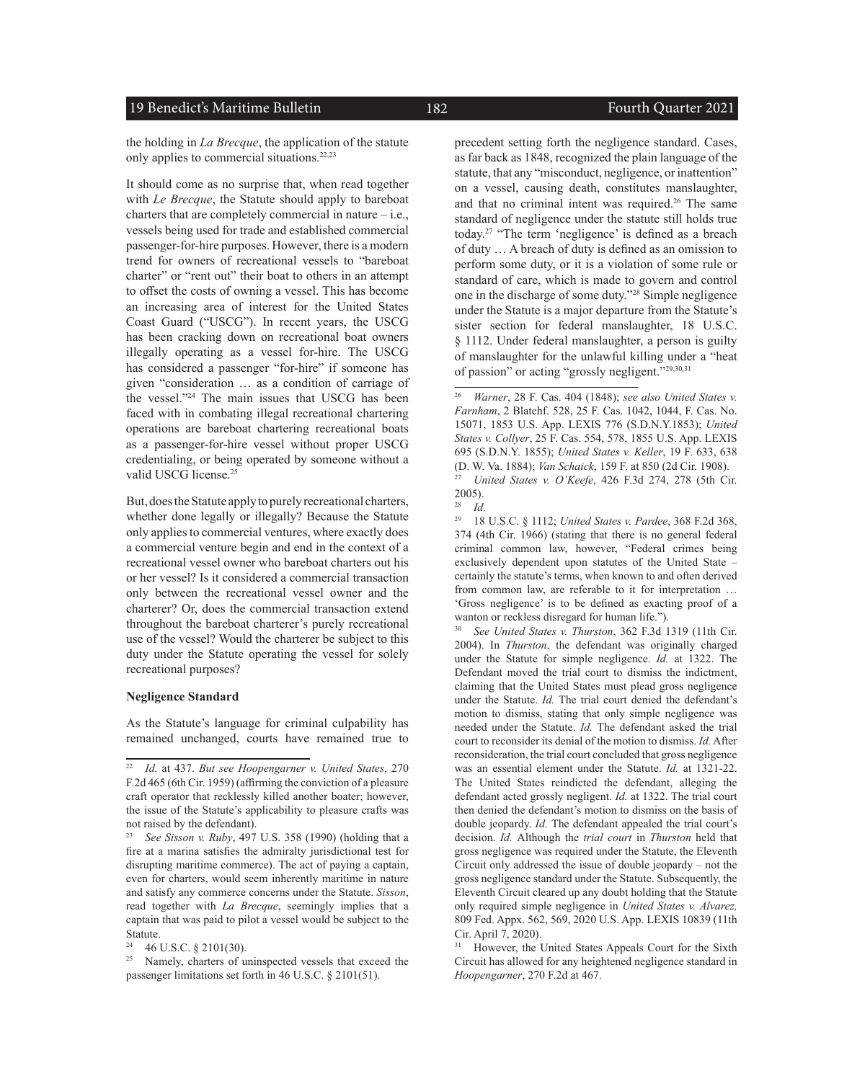#### 19 Benedict's Maritime Bulletin 182 Fourth Quarter 2021

the holding in *La Brecque*, the application of the statute only applies to commercial situations.<sup>22,23</sup>

It should come as no surprise that, when read together with *Le Brecque*, the Statute should apply to bareboat charters that are completely commercial in nature  $-$  i.e., vessels being used for trade and established commercial passenger-for-hire purposes. However, there is a modern trend for owners of recreational vessels to "bareboat charter" or "rent out" their boat to others in an attempt to offset the costs of owning a vessel. This has become an increasing area of interest for the United States Coast Guard ("USCG"). In recent years, the USCG has been cracking down on recreational boat owners illegally operating as a vessel for-hire. The USCG has considered a passenger "for-hire" if someone has given "consideration … as a condition of carriage of the vessel."<sup>24</sup> The main issues that USCG has been faced with in combating illegal recreational chartering operations are bareboat chartering recreational boats as a passenger-for-hire vessel without proper USCG credentialing, or being operated by someone without a valid USCG license.<sup>25</sup>

But, does the Statute apply to purely recreational charters, whether done legally or illegally? Because the Statute only applies to commercial ventures, where exactly does a commercial venture begin and end in the context of a recreational vessel owner who bareboat charters out his or her vessel? Is it considered a commercial transaction only between the recreational vessel owner and the charterer? Or, does the commercial transaction extend throughout the bareboat charterer's purely recreational use of the vessel? Would the charterer be subject to this duty under the Statute operating the vessel for solely recreational purposes?

#### **Negligence Standard**

As the Statute's language for criminal culpability has remained unchanged, courts have remained true to

precedent setting forth the negligence standard. Cases, as far back as 1848, recognized the plain language of the statute, that any "misconduct, negligence, or inattention" on a vessel, causing death, constitutes manslaughter, and that no criminal intent was required.<sup>26</sup> The same standard of negligence under the statute still holds true today.27 "The term 'negligence' is defined as a breach of duty … A breach of duty is defined as an omission to perform some duty, or it is a violation of some rule or standard of care, which is made to govern and control one in the discharge of some duty."28 Simple negligence under the Statute is a major departure from the Statute's sister section for federal manslaughter, 18 U.S.C. § 1112. Under federal manslaughter, a person is guilty of manslaughter for the unlawful killing under a "heat of passion" or acting "grossly negligent."29,30,31

 $\frac{28}{29}$  *Id.* <sup>29</sup> 18 U.S.C. § 1112; *United States v. Pardee*, 368 F.2d 368, 374 (4th Cir. 1966) (stating that there is no general federal criminal common law, however, "Federal crimes being exclusively dependent upon statutes of the United State – certainly the statute's terms, when known to and often derived from common law, are referable to it for interpretation … 'Gross negligence' is to be defined as exacting proof of a wanton or reckless disregard for human life.").

<sup>30</sup> *See United States v. Thurston*, 362 F.3d 1319 (11th Cir. 2004). In *Thurston*, the defendant was originally charged under the Statute for simple negligence. *Id.* at 1322. The Defendant moved the trial court to dismiss the indictment, claiming that the United States must plead gross negligence under the Statute. *Id.* The trial court denied the defendant's motion to dismiss, stating that only simple negligence was needed under the Statute. *Id.* The defendant asked the trial court to reconsider its denial of the motion to dismiss. *Id.* After reconsideration, the trial court concluded that gross negligence was an essential element under the Statute. *Id.* at 1321-22. The United States reindicted the defendant, alleging the defendant acted grossly negligent. *Id.* at 1322. The trial court then denied the defendant's motion to dismiss on the basis of double jeopardy. *Id.* The defendant appealed the trial court's decision. *Id.* Although the *trial court* in *Thurston* held that gross negligence was required under the Statute, the Eleventh Circuit only addressed the issue of double jeopardy – not the gross negligence standard under the Statute. Subsequently, the Eleventh Circuit cleared up any doubt holding that the Statute only required simple negligence in *United States v. Alvarez,*  809 Fed. Appx. 562, 569, 2020 U.S. App. LEXIS 10839 (11th Cir. April 7, 2020).

<sup>22</sup> *Id.* at 437. *But see Hoopengarner v. United States*, 270 F.2d 465 (6th Cir. 1959) (affirming the conviction of a pleasure craft operator that recklessly killed another boater; however, the issue of the Statute's applicability to pleasure crafts was not raised by the defendant).

<sup>23</sup> *See Sisson v. Ruby*, 497 U.S. 358 (1990) (holding that a fire at a marina satisfies the admiralty jurisdictional test for disrupting maritime commerce). The act of paying a captain, even for charters, would seem inherently maritime in nature and satisfy any commerce concerns under the Statute. *Sisson*, read together with *La Brecque*, seemingly implies that a captain that was paid to pilot a vessel would be subject to the Statute.<br> $24 \tAC1$ 

<sup>&</sup>lt;sup>24</sup> 46 U.S.C.  $\S 2101(30)$ .<br><sup>25</sup> Namely charters of u

Namely, charters of uninspected vessels that exceed the passenger limitations set forth in 46 U.S.C. § 2101(51).

<sup>26</sup> *Warner*, 28 F. Cas. 404 (1848); *see also United States v. Farnham*, 2 Blatchf. 528, 25 F. Cas. 1042, 1044, F. Cas. No. 15071, 1853 U.S. App. LEXIS 776 (S.D.N.Y.1853); *United States v. Collyer*, 25 F. Cas. 554, 578, 1855 U.S. App. LEXIS 695 (S.D.N.Y. 1855); *United States v. Keller*, 19 F. 633, 638 (D. W. Va. 1884); *Van Schaick*, 159 F. at 850 (2d Cir. 1908). <sup>27</sup> *United States v. O'Keefe*, 426 F.3d 274, 278 (5th Cir.

 $\frac{2005}{28}$ .

However, the United States Appeals Court for the Sixth Circuit has allowed for any heightened negligence standard in *Hoopengarner*, 270 F.2d at 467.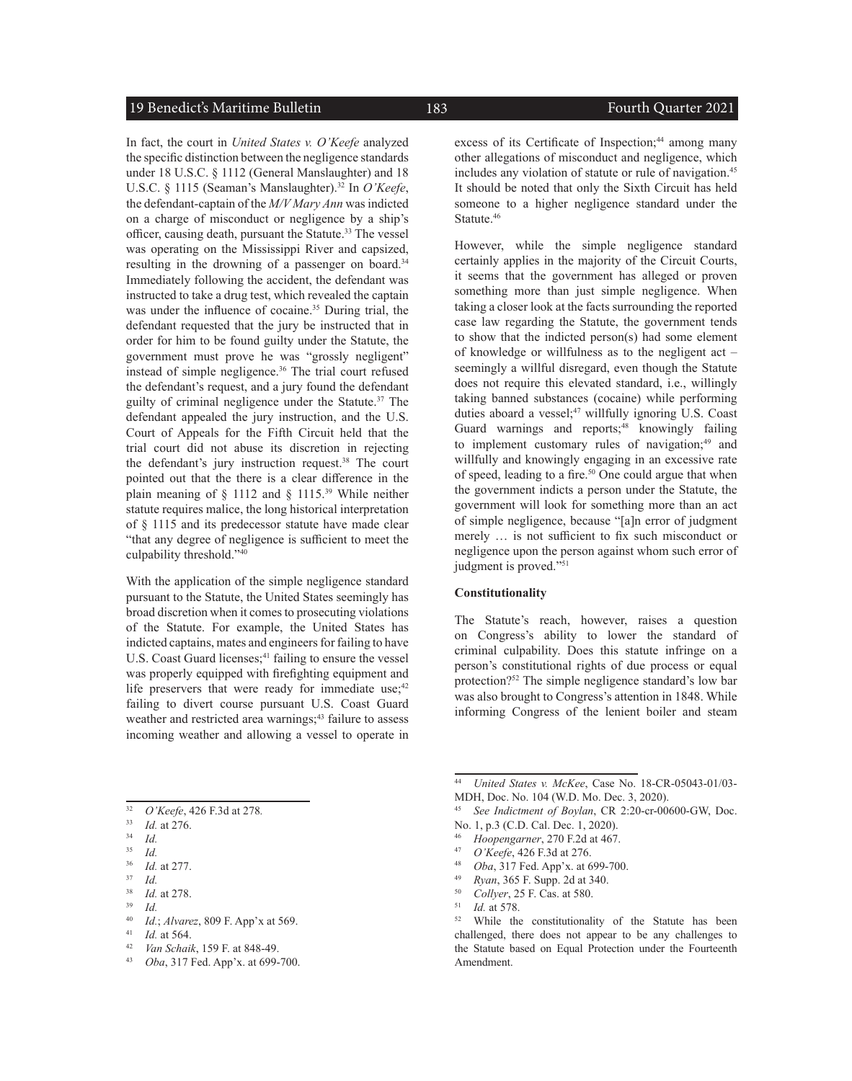#### 19 Benedict's Maritime Bulletin 183 Fourth Quarter 2021

In fact, the court in *United States v. O'Keefe* analyzed the specific distinction between the negligence standards under 18 U.S.C. § 1112 (General Manslaughter) and 18 U.S.C. § 1115 (Seaman's Manslaughter).<sup>32</sup> In *O'Keefe*, the defendant-captain of the *M/V Mary Ann* was indicted on a charge of misconduct or negligence by a ship's officer, causing death, pursuant the Statute.<sup>33</sup> The vessel was operating on the Mississippi River and capsized, resulting in the drowning of a passenger on board.<sup>34</sup> Immediately following the accident, the defendant was instructed to take a drug test, which revealed the captain was under the influence of cocaine.<sup>35</sup> During trial, the defendant requested that the jury be instructed that in order for him to be found guilty under the Statute, the government must prove he was "grossly negligent" instead of simple negligence.<sup>36</sup> The trial court refused the defendant's request, and a jury found the defendant guilty of criminal negligence under the Statute.<sup>37</sup> The defendant appealed the jury instruction, and the U.S. Court of Appeals for the Fifth Circuit held that the trial court did not abuse its discretion in rejecting the defendant's jury instruction request.<sup>38</sup> The court pointed out that the there is a clear difference in the plain meaning of  $\S$  1112 and  $\S$  1115.<sup>39</sup> While neither statute requires malice, the long historical interpretation of § 1115 and its predecessor statute have made clear "that any degree of negligence is sufficient to meet the culpability threshold."<sup>40</sup>

With the application of the simple negligence standard pursuant to the Statute, the United States seemingly has broad discretion when it comes to prosecuting violations of the Statute. For example, the United States has indicted captains, mates and engineers for failing to have U.S. Coast Guard licenses;<sup>41</sup> failing to ensure the vessel was properly equipped with firefighting equipment and life preservers that were ready for immediate use; $42$ failing to divert course pursuant U.S. Coast Guard weather and restricted area warnings;<sup>43</sup> failure to assess incoming weather and allowing a vessel to operate in

- <sup>33</sup> *Id.* at 276.
- $\frac{34}{35}$  *Id.*

- $rac{37}{38}$  *Id.*
- $\frac{38}{39}$  *Id.* at 278. <sup>39</sup> *Id.*
- <sup>40</sup> *Id.*; *Alvarez*, 809 F. App'x at 569.
- <sup>41</sup> *Id.* at 564.
- <sup>42</sup> *Van Schaik*, 159 F. at 848-49.
- <sup>43</sup> *Oba*, 317 Fed. App'x. at 699-700.

excess of its Certificate of Inspection:<sup>44</sup> among many other allegations of misconduct and negligence, which includes any violation of statute or rule of navigation.<sup>45</sup> It should be noted that only the Sixth Circuit has held someone to a higher negligence standard under the Statute.<sup>46</sup>

However, while the simple negligence standard certainly applies in the majority of the Circuit Courts, it seems that the government has alleged or proven something more than just simple negligence. When taking a closer look at the facts surrounding the reported case law regarding the Statute, the government tends to show that the indicted person(s) had some element of knowledge or willfulness as to the negligent act – seemingly a willful disregard, even though the Statute does not require this elevated standard, i.e., willingly taking banned substances (cocaine) while performing duties aboard a vessel;<sup>47</sup> willfully ignoring U.S. Coast Guard warnings and reports;<sup>48</sup> knowingly failing to implement customary rules of navigation:<sup>49</sup> and willfully and knowingly engaging in an excessive rate of speed, leading to a fire.<sup>50</sup> One could argue that when the government indicts a person under the Statute, the government will look for something more than an act of simple negligence, because "[a]n error of judgment merely … is not sufficient to fix such misconduct or negligence upon the person against whom such error of judgment is proved."<sup>51</sup>

#### **Constitutionality**

The Statute's reach, however, raises a question on Congress's ability to lower the standard of criminal culpability. Does this statute infringe on a person's constitutional rights of due process or equal protection?52 The simple negligence standard's low bar was also brought to Congress's attention in 1848. While informing Congress of the lenient boiler and steam

- <sup>47</sup> *O'Keefe*, 426 F.3d at 276.
- <sup>48</sup> *Oba*, 317 Fed. App'x. at 699-700.
- <sup>49</sup> *Ryan*, 365 F. Supp. 2d at 340.
- <sup>50</sup> *Collyer*, 25 F. Cas. at 580.
- $\frac{51}{52}$  *Id.* at 578.

<sup>32</sup> *O'Keefe*, 426 F.3d at 278*.*

 $rac{35}{36}$  *Id.* 

*Id.* at 277.

<sup>44</sup> *United States v. McKee*, Case No. 18-CR-05043-01/03- MDH, Doc. No. 104 (W.D. Mo. Dec. 3, 2020).

<sup>45</sup> *See Indictment of Boylan*, CR 2:20-cr-00600-GW, Doc. No. 1, p.3 (C.D. Cal. Dec. 1, 2020).

<sup>&</sup>lt;sup>46</sup> *Hoopengarner*, 270 F.2d at 467.<br><sup>47</sup> *O'Keefe*, 426 F.3d at 276

While the constitutionality of the Statute has been challenged, there does not appear to be any challenges to the Statute based on Equal Protection under the Fourteenth Amendment.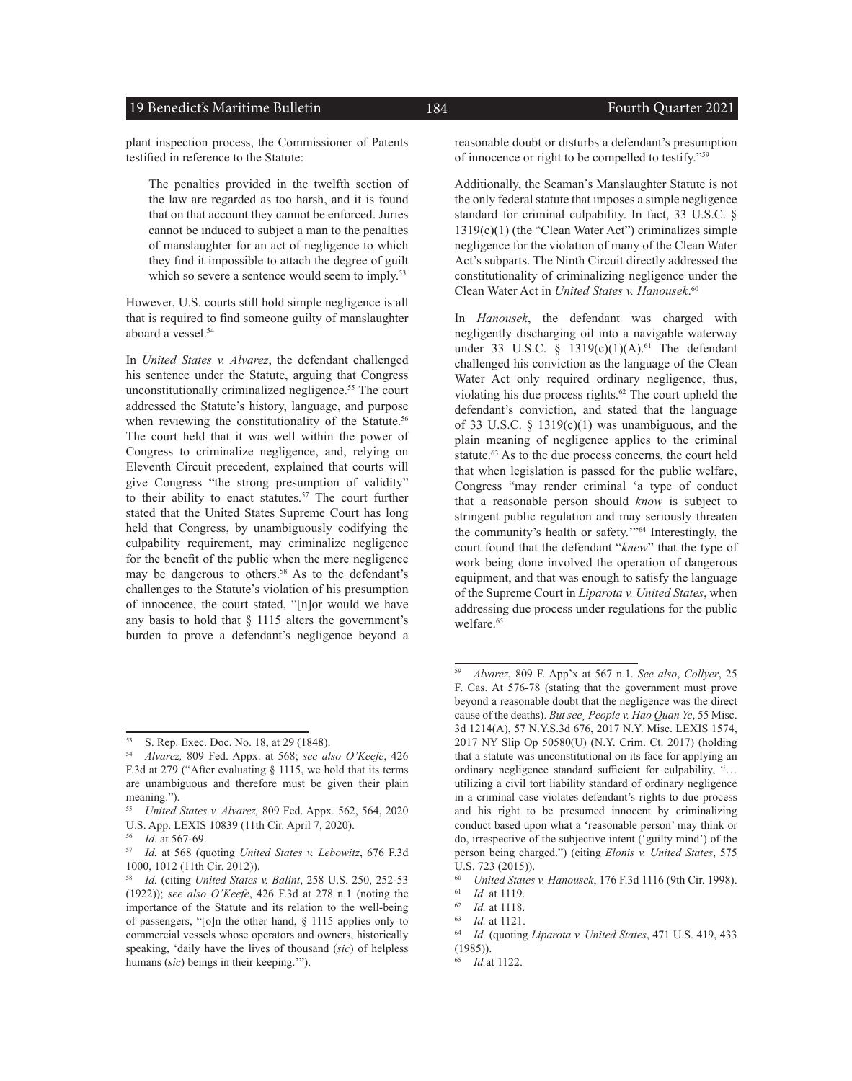#### 19 Benedict's Maritime Bulletin 184 and 184 Fourth Quarter 2021

plant inspection process, the Commissioner of Patents testified in reference to the Statute:

The penalties provided in the twelfth section of the law are regarded as too harsh, and it is found that on that account they cannot be enforced. Juries cannot be induced to subject a man to the penalties of manslaughter for an act of negligence to which they find it impossible to attach the degree of guilt which so severe a sentence would seem to imply.<sup>53</sup>

However, U.S. courts still hold simple negligence is all that is required to find someone guilty of manslaughter aboard a vessel.<sup>54</sup>

In *United States v. Alvarez*, the defendant challenged his sentence under the Statute, arguing that Congress unconstitutionally criminalized negligence.<sup>55</sup> The court addressed the Statute's history, language, and purpose when reviewing the constitutionality of the Statute.<sup>56</sup> The court held that it was well within the power of Congress to criminalize negligence, and, relying on Eleventh Circuit precedent, explained that courts will give Congress "the strong presumption of validity" to their ability to enact statutes.<sup>57</sup> The court further stated that the United States Supreme Court has long held that Congress, by unambiguously codifying the culpability requirement, may criminalize negligence for the benefit of the public when the mere negligence may be dangerous to others.<sup>58</sup> As to the defendant's challenges to the Statute's violation of his presumption of innocence, the court stated, "[n]or would we have any basis to hold that  $\S$  1115 alters the government's burden to prove a defendant's negligence beyond a

reasonable doubt or disturbs a defendant's presumption of innocence or right to be compelled to testify."59

Additionally, the Seaman's Manslaughter Statute is not the only federal statute that imposes a simple negligence standard for criminal culpability. In fact, 33 U.S.C. §  $1319(c)(1)$  (the "Clean Water Act") criminalizes simple negligence for the violation of many of the Clean Water Act's subparts. The Ninth Circuit directly addressed the constitutionality of criminalizing negligence under the Clean Water Act in *United States v. Hanousek*. 60

In *Hanousek*, the defendant was charged with negligently discharging oil into a navigable waterway under 33 U.S.C.  $\frac{1319(c)(1)(A).^{61}}{A}$  The defendant challenged his conviction as the language of the Clean Water Act only required ordinary negligence, thus, violating his due process rights.62 The court upheld the defendant's conviction, and stated that the language of 33 U.S.C.  $\delta$  1319(c)(1) was unambiguous, and the plain meaning of negligence applies to the criminal statute.<sup>63</sup> As to the due process concerns, the court held that when legislation is passed for the public welfare, Congress "may render criminal 'a type of conduct that a reasonable person should *know* is subject to stringent public regulation and may seriously threaten the community's health or safety.'"<sup>64</sup> Interestingly, the court found that the defendant "*knew*" that the type of work being done involved the operation of dangerous equipment, and that was enough to satisfy the language of the Supreme Court in *Liparota v. United States*, when addressing due process under regulations for the public welfare.<sup>65</sup>

<sup>53</sup> S. Rep. Exec. Doc. No. 18, at 29 (1848).<br>54 Abarez 809 Eed. Appy. at 568: see al.

<sup>54</sup> *Alvarez,* 809 Fed. Appx. at 568; *see also O'Keefe*, 426 F.3d at 279 ("After evaluating § 1115, we hold that its terms are unambiguous and therefore must be given their plain meaning.").

<sup>55</sup> *United States v. Alvarez,* 809 Fed. Appx. 562, 564, 2020 U.S. App. LEXIS 10839 (11th Cir. April 7, 2020).

<sup>56</sup> *Id.* at 567-69.

<sup>57</sup> *Id.* at 568 (quoting *United States v. Lebowitz*, 676 F.3d 1000, 1012 (11th Cir. 2012)).

<sup>58</sup> *Id.* (citing *United States v. Balint*, 258 U.S. 250, 252-53 (1922)); *see also O'Keefe*, 426 F.3d at 278 n.1 (noting the importance of the Statute and its relation to the well-being of passengers, "[o]n the other hand, § 1115 applies only to commercial vessels whose operators and owners, historically speaking, 'daily have the lives of thousand (*sic*) of helpless humans (*sic*) beings in their keeping.'").

<sup>59</sup> *Alvarez*, 809 F. App'x at 567 n.1. *See also*, *Collyer*, 25 F. Cas. At 576-78 (stating that the government must prove beyond a reasonable doubt that the negligence was the direct cause of the deaths). *But see¸ People v. Hao Quan Ye*, 55 Misc. 3d 1214(A), 57 N.Y.S.3d 676, 2017 N.Y. Misc. LEXIS 1574, 2017 NY Slip Op 50580(U) (N.Y. Crim. Ct. 2017) (holding that a statute was unconstitutional on its face for applying an ordinary negligence standard sufficient for culpability, "… utilizing a civil tort liability standard of ordinary negligence in a criminal case violates defendant's rights to due process and his right to be presumed innocent by criminalizing conduct based upon what a 'reasonable person' may think or do, irrespective of the subjective intent ('guilty mind') of the person being charged.") (citing *Elonis v. United States*, 575 U.S. 723 (2015)).

<sup>60</sup> *United States v. Hanousek*, 176 F.3d 1116 (9th Cir. 1998).

 $\frac{61}{62}$  *Id.* at 1119.

 $\frac{62}{63}$  *Id.* at 1118. *Id.* at 1121.

<sup>64</sup> *Id.* (quoting *Liparota v. United States*, 471 U.S. 419, 433 (1985)).

<sup>65</sup> *Id.*at 1122.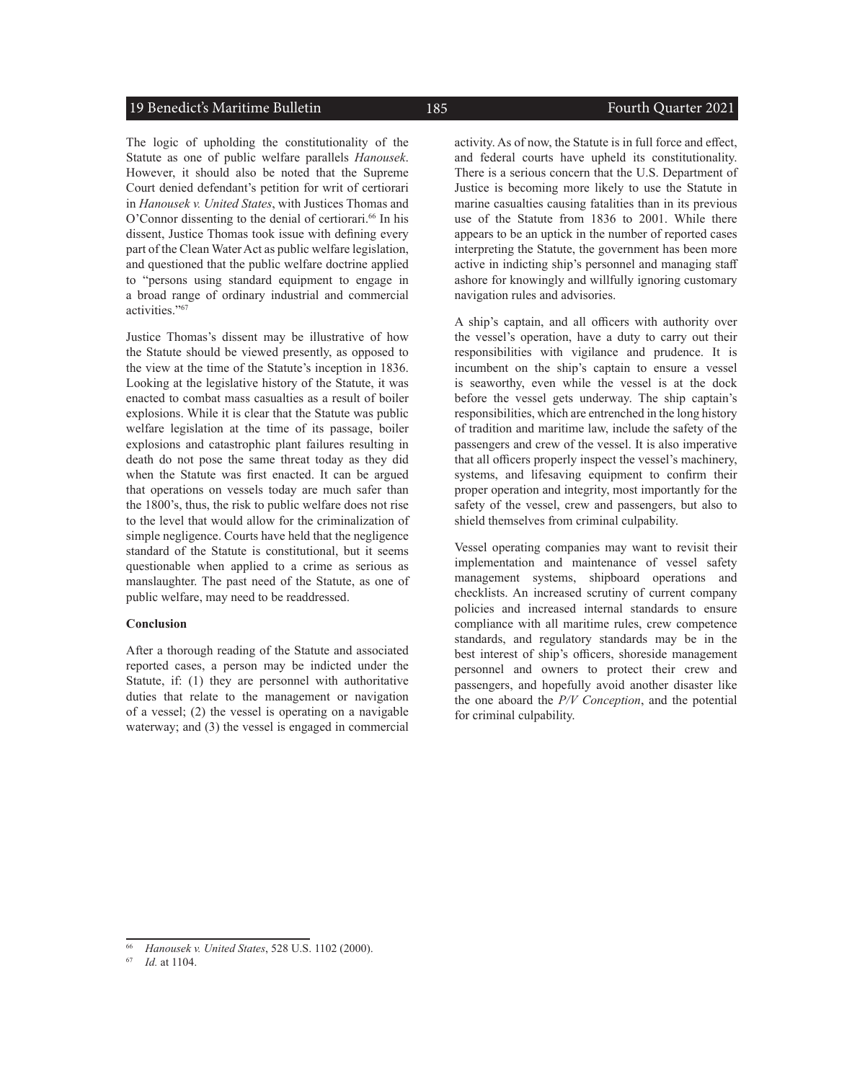#### 19 Benedict's Maritime Bulletin 185 185 Fourth Quarter 2021

The logic of upholding the constitutionality of the Statute as one of public welfare parallels *Hanousek*. However, it should also be noted that the Supreme Court denied defendant's petition for writ of certiorari in *Hanousek v. United States*, with Justices Thomas and O'Connor dissenting to the denial of certiorari.<sup>66</sup> In his dissent, Justice Thomas took issue with defining every part of the Clean Water Act as public welfare legislation, and questioned that the public welfare doctrine applied to "persons using standard equipment to engage in a broad range of ordinary industrial and commercial activities."67

Justice Thomas's dissent may be illustrative of how the Statute should be viewed presently, as opposed to the view at the time of the Statute's inception in 1836. Looking at the legislative history of the Statute, it was enacted to combat mass casualties as a result of boiler explosions. While it is clear that the Statute was public welfare legislation at the time of its passage, boiler explosions and catastrophic plant failures resulting in death do not pose the same threat today as they did when the Statute was first enacted. It can be argued that operations on vessels today are much safer than the 1800's, thus, the risk to public welfare does not rise to the level that would allow for the criminalization of simple negligence. Courts have held that the negligence standard of the Statute is constitutional, but it seems questionable when applied to a crime as serious as manslaughter. The past need of the Statute, as one of public welfare, may need to be readdressed.

#### **Conclusion**

After a thorough reading of the Statute and associated reported cases, a person may be indicted under the Statute, if: (1) they are personnel with authoritative duties that relate to the management or navigation of a vessel; (2) the vessel is operating on a navigable waterway; and (3) the vessel is engaged in commercial

activity. As of now, the Statute is in full force and effect, and federal courts have upheld its constitutionality. There is a serious concern that the U.S. Department of Justice is becoming more likely to use the Statute in marine casualties causing fatalities than in its previous use of the Statute from 1836 to 2001. While there appears to be an uptick in the number of reported cases interpreting the Statute, the government has been more active in indicting ship's personnel and managing staff ashore for knowingly and willfully ignoring customary navigation rules and advisories.

A ship's captain, and all officers with authority over the vessel's operation, have a duty to carry out their responsibilities with vigilance and prudence. It is incumbent on the ship's captain to ensure a vessel is seaworthy, even while the vessel is at the dock before the vessel gets underway. The ship captain's responsibilities, which are entrenched in the long history of tradition and maritime law, include the safety of the passengers and crew of the vessel. It is also imperative that all officers properly inspect the vessel's machinery, systems, and lifesaving equipment to confirm their proper operation and integrity, most importantly for the safety of the vessel, crew and passengers, but also to shield themselves from criminal culpability.

Vessel operating companies may want to revisit their implementation and maintenance of vessel safety management systems, shipboard operations and checklists. An increased scrutiny of current company policies and increased internal standards to ensure compliance with all maritime rules, crew competence standards, and regulatory standards may be in the best interest of ship's officers, shoreside management personnel and owners to protect their crew and passengers, and hopefully avoid another disaster like the one aboard the *P/V Conception*, and the potential for criminal culpability.

<sup>66</sup> *Hanousek v. United States*, 528 U.S. 1102 (2000).

<sup>67</sup> *Id.* at 1104.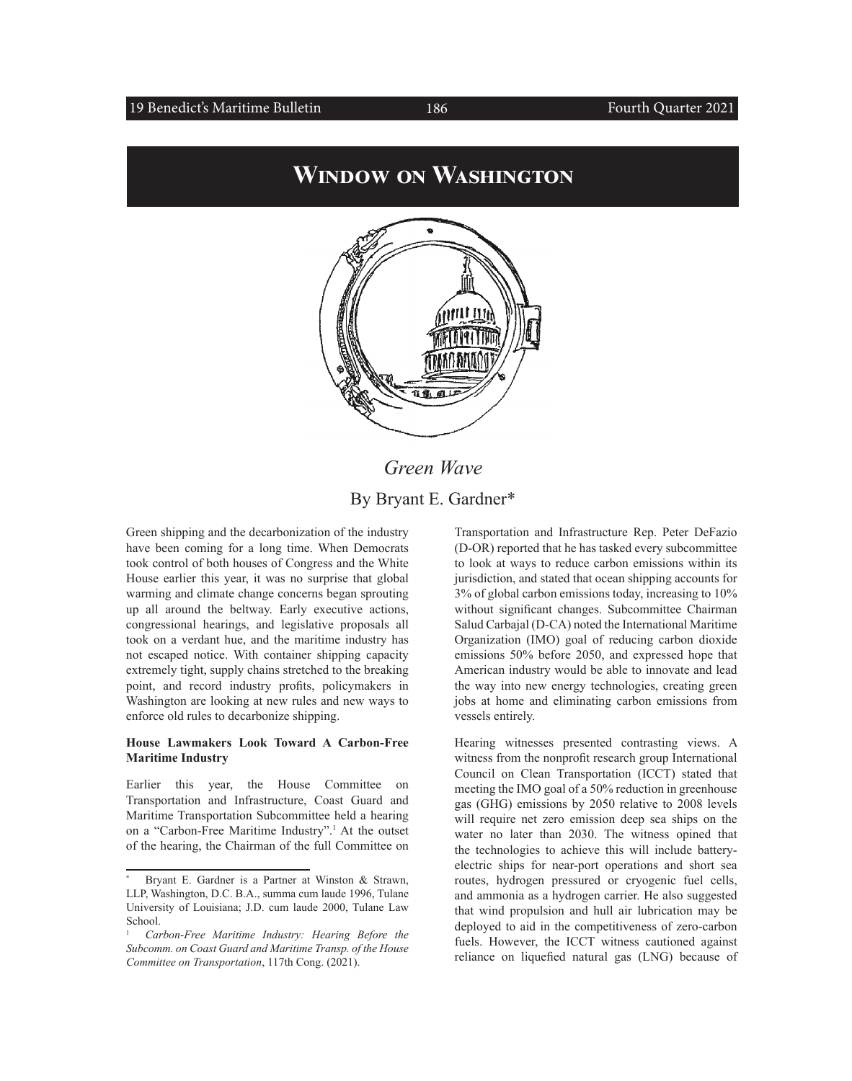#### 19 Benedict's Maritime Bulletin 186

## **Window on Washington**



*Green Wave* By Bryant E. Gardner\*

Green shipping and the decarbonization of the industry have been coming for a long time. When Democrats took control of both houses of Congress and the White House earlier this year, it was no surprise that global warming and climate change concerns began sprouting up all around the beltway. Early executive actions, congressional hearings, and legislative proposals all took on a verdant hue, and the maritime industry has not escaped notice. With container shipping capacity extremely tight, supply chains stretched to the breaking point, and record industry profits, policymakers in Washington are looking at new rules and new ways to enforce old rules to decarbonize shipping.

#### **House Lawmakers Look Toward A Carbon-Free Maritime Industry**

Earlier this year, the House Committee on Transportation and Infrastructure, Coast Guard and Maritime Transportation Subcommittee held a hearing on a "Carbon-Free Maritime Industry".<sup>1</sup> At the outset of the hearing, the Chairman of the full Committee on

Transportation and Infrastructure Rep. Peter DeFazio (D-OR) reported that he has tasked every subcommittee to look at ways to reduce carbon emissions within its jurisdiction, and stated that ocean shipping accounts for 3% of global carbon emissions today, increasing to 10% without significant changes. Subcommittee Chairman Salud Carbajal (D-CA) noted the International Maritime Organization (IMO) goal of reducing carbon dioxide emissions 50% before 2050, and expressed hope that American industry would be able to innovate and lead the way into new energy technologies, creating green jobs at home and eliminating carbon emissions from vessels entirely.

Hearing witnesses presented contrasting views. A witness from the nonprofit research group International Council on Clean Transportation (ICCT) stated that meeting the IMO goal of a 50% reduction in greenhouse gas (GHG) emissions by 2050 relative to 2008 levels will require net zero emission deep sea ships on the water no later than 2030. The witness opined that the technologies to achieve this will include batteryelectric ships for near-port operations and short sea routes, hydrogen pressured or cryogenic fuel cells, and ammonia as a hydrogen carrier. He also suggested that wind propulsion and hull air lubrication may be deployed to aid in the competitiveness of zero-carbon fuels. However, the ICCT witness cautioned against reliance on liquefied natural gas (LNG) because of

Bryant E. Gardner is a Partner at Winston & Strawn, LLP, Washington, D.C. B.A., summa cum laude 1996, Tulane University of Louisiana; J.D. cum laude 2000, Tulane Law School.

<sup>1</sup> *Carbon-Free Maritime Industry: Hearing Before the Subcomm. on Coast Guard and Maritime Transp. of the House Committee on Transportation*, 117th Cong. (2021).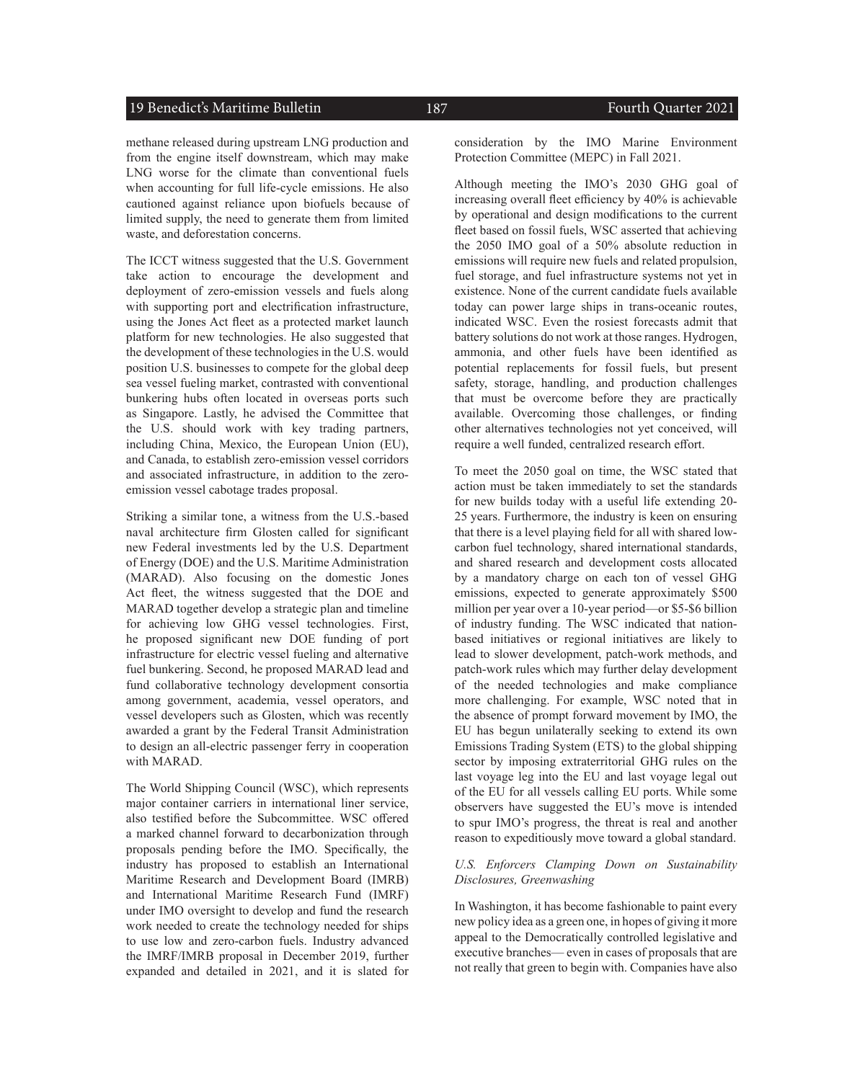#### 19 Benedict's Maritime Bulletin 187 187 Fourth Quarter 2021

methane released during upstream LNG production and from the engine itself downstream, which may make LNG worse for the climate than conventional fuels when accounting for full life-cycle emissions. He also cautioned against reliance upon biofuels because of limited supply, the need to generate them from limited waste, and deforestation concerns.

The ICCT witness suggested that the U.S. Government take action to encourage the development and deployment of zero-emission vessels and fuels along with supporting port and electrification infrastructure, using the Jones Act fleet as a protected market launch platform for new technologies. He also suggested that the development of these technologies in the U.S. would position U.S. businesses to compete for the global deep sea vessel fueling market, contrasted with conventional bunkering hubs often located in overseas ports such as Singapore. Lastly, he advised the Committee that the U.S. should work with key trading partners, including China, Mexico, the European Union (EU), and Canada, to establish zero-emission vessel corridors and associated infrastructure, in addition to the zeroemission vessel cabotage trades proposal.

Striking a similar tone, a witness from the U.S.-based naval architecture firm Glosten called for significant new Federal investments led by the U.S. Department of Energy (DOE) and the U.S. Maritime Administration (MARAD). Also focusing on the domestic Jones Act fleet, the witness suggested that the DOE and MARAD together develop a strategic plan and timeline for achieving low GHG vessel technologies. First, he proposed significant new DOE funding of port infrastructure for electric vessel fueling and alternative fuel bunkering. Second, he proposed MARAD lead and fund collaborative technology development consortia among government, academia, vessel operators, and vessel developers such as Glosten, which was recently awarded a grant by the Federal Transit Administration to design an all-electric passenger ferry in cooperation with MARAD.

The World Shipping Council (WSC), which represents major container carriers in international liner service, also testified before the Subcommittee. WSC offered a marked channel forward to decarbonization through proposals pending before the IMO. Specifically, the industry has proposed to establish an International Maritime Research and Development Board (IMRB) and International Maritime Research Fund (IMRF) under IMO oversight to develop and fund the research work needed to create the technology needed for ships to use low and zero-carbon fuels. Industry advanced the IMRF/IMRB proposal in December 2019, further expanded and detailed in 2021, and it is slated for

consideration by the IMO Marine Environment Protection Committee (MEPC) in Fall 2021.

Although meeting the IMO's 2030 GHG goal of increasing overall fleet efficiency by 40% is achievable by operational and design modifications to the current fleet based on fossil fuels, WSC asserted that achieving the 2050 IMO goal of a 50% absolute reduction in emissions will require new fuels and related propulsion, fuel storage, and fuel infrastructure systems not yet in existence. None of the current candidate fuels available today can power large ships in trans-oceanic routes, indicated WSC. Even the rosiest forecasts admit that battery solutions do not work at those ranges. Hydrogen, ammonia, and other fuels have been identified as potential replacements for fossil fuels, but present safety, storage, handling, and production challenges that must be overcome before they are practically available. Overcoming those challenges, or finding other alternatives technologies not yet conceived, will require a well funded, centralized research effort.

To meet the 2050 goal on time, the WSC stated that action must be taken immediately to set the standards for new builds today with a useful life extending 20- 25 years. Furthermore, the industry is keen on ensuring that there is a level playing field for all with shared lowcarbon fuel technology, shared international standards, and shared research and development costs allocated by a mandatory charge on each ton of vessel GHG emissions, expected to generate approximately \$500 million per year over a 10-year period—or \$5-\$6 billion of industry funding. The WSC indicated that nationbased initiatives or regional initiatives are likely to lead to slower development, patch-work methods, and patch-work rules which may further delay development of the needed technologies and make compliance more challenging. For example, WSC noted that in the absence of prompt forward movement by IMO, the EU has begun unilaterally seeking to extend its own Emissions Trading System (ETS) to the global shipping sector by imposing extraterritorial GHG rules on the last voyage leg into the EU and last voyage legal out of the EU for all vessels calling EU ports. While some observers have suggested the EU's move is intended to spur IMO's progress, the threat is real and another reason to expeditiously move toward a global standard.

#### *U.S. Enforcers Clamping Down on Sustainability Disclosures, Greenwashing*

In Washington, it has become fashionable to paint every new policy idea as a green one, in hopes of giving it more appeal to the Democratically controlled legislative and executive branches— even in cases of proposals that are not really that green to begin with. Companies have also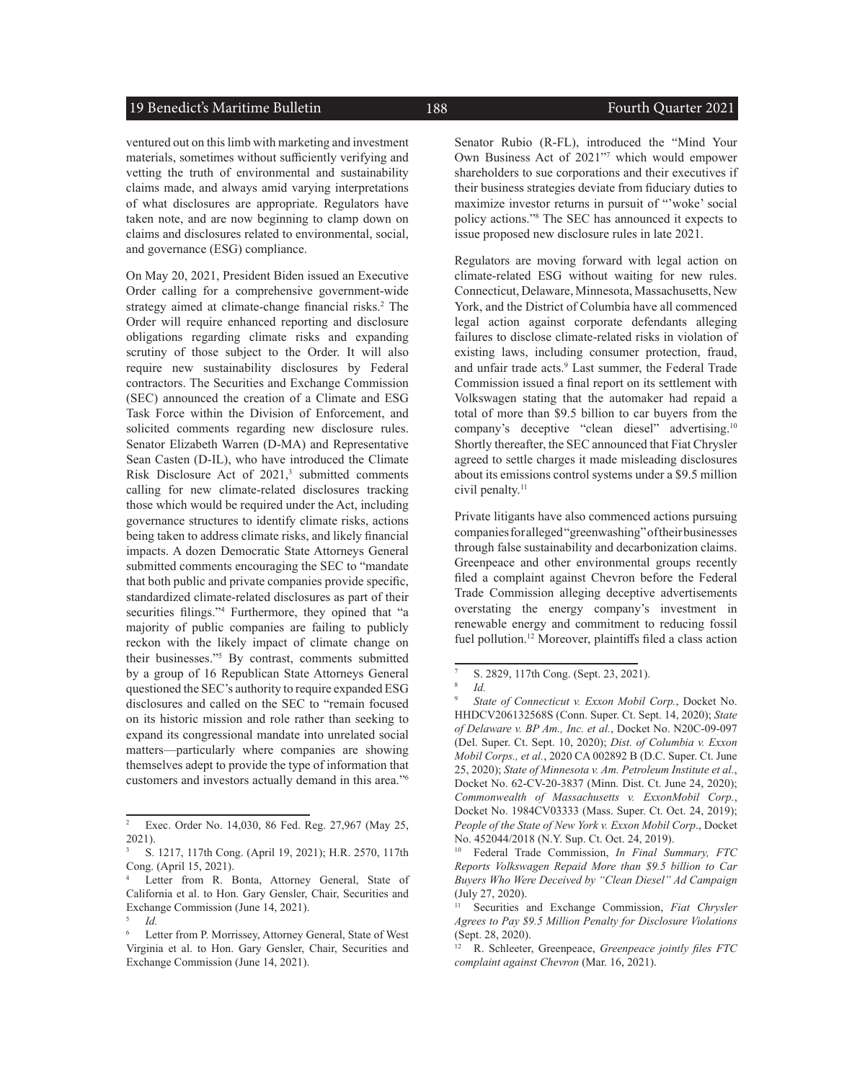#### 19 Benedict's Maritime Bulletin 188 Fourth Quarter 2021

ventured out on this limb with marketing and investment materials, sometimes without sufficiently verifying and vetting the truth of environmental and sustainability claims made, and always amid varying interpretations of what disclosures are appropriate. Regulators have taken note, and are now beginning to clamp down on claims and disclosures related to environmental, social, and governance (ESG) compliance.

On May 20, 2021, President Biden issued an Executive Order calling for a comprehensive government-wide strategy aimed at climate-change financial risks.<sup>2</sup> The Order will require enhanced reporting and disclosure obligations regarding climate risks and expanding scrutiny of those subject to the Order. It will also require new sustainability disclosures by Federal contractors. The Securities and Exchange Commission (SEC) announced the creation of a Climate and ESG Task Force within the Division of Enforcement, and solicited comments regarding new disclosure rules. Senator Elizabeth Warren (D-MA) and Representative Sean Casten (D-IL), who have introduced the Climate Risk Disclosure Act of 2021,<sup>3</sup> submitted comments calling for new climate-related disclosures tracking those which would be required under the Act, including governance structures to identify climate risks, actions being taken to address climate risks, and likely financial impacts. A dozen Democratic State Attorneys General submitted comments encouraging the SEC to "mandate that both public and private companies provide specific, standardized climate-related disclosures as part of their securities filings."4 Furthermore, they opined that "a majority of public companies are failing to publicly reckon with the likely impact of climate change on their businesses."5 By contrast, comments submitted by a group of 16 Republican State Attorneys General questioned the SEC's authority to require expanded ESG disclosures and called on the SEC to "remain focused on its historic mission and role rather than seeking to expand its congressional mandate into unrelated social matters—particularly where companies are showing themselves adept to provide the type of information that customers and investors actually demand in this area."6

Senator Rubio (R-FL), introduced the "Mind Your Own Business Act of 2021"7 which would empower shareholders to sue corporations and their executives if their business strategies deviate from fiduciary duties to maximize investor returns in pursuit of "'woke' social policy actions."8 The SEC has announced it expects to issue proposed new disclosure rules in late 2021.

Regulators are moving forward with legal action on climate-related ESG without waiting for new rules. Connecticut, Delaware, Minnesota, Massachusetts, New York, and the District of Columbia have all commenced legal action against corporate defendants alleging failures to disclose climate-related risks in violation of existing laws, including consumer protection, fraud, and unfair trade acts.<sup>9</sup> Last summer, the Federal Trade Commission issued a final report on its settlement with Volkswagen stating that the automaker had repaid a total of more than \$9.5 billion to car buyers from the company's deceptive "clean diesel" advertising.10 Shortly thereafter, the SEC announced that Fiat Chrysler agreed to settle charges it made misleading disclosures about its emissions control systems under a \$9.5 million civil penalty.<sup>11</sup>

Private litigants have also commenced actions pursuing companies for alleged "greenwashing" of their businesses through false sustainability and decarbonization claims. Greenpeace and other environmental groups recently filed a complaint against Chevron before the Federal Trade Commission alleging deceptive advertisements overstating the energy company's investment in renewable energy and commitment to reducing fossil fuel pollution.<sup>12</sup> Moreover, plaintiffs filed a class action

<sup>&</sup>lt;sup>2</sup> Exec. Order No. 14,030, 86 Fed. Reg. 27,967 (May 25, 2021).

<sup>3</sup> S. 1217, 117th Cong. (April 19, 2021); H.R. 2570, 117th Cong. (April 15, 2021).

Letter from R. Bonta, Attorney General, State of California et al. to Hon. Gary Gensler, Chair, Securities and Exchange Commission (June 14, 2021).

<sup>5</sup> *Id.*

Letter from P. Morrissey, Attorney General, State of West Virginia et al. to Hon. Gary Gensler, Chair, Securities and Exchange Commission (June 14, 2021).

 $\frac{7}{8}$  S. 2829, 117th Cong. (Sept. 23, 2021).

<sup>8</sup> *Id.*

State of Connecticut v. Exxon Mobil Corp., Docket No. HHDCV206132568S (Conn. Super. Ct. Sept. 14, 2020); *State of Delaware v. BP Am., Inc. et al.*, Docket No. N20C-09-097 (Del. Super. Ct. Sept. 10, 2020); *Dist. of Columbia v. Exxon Mobil Corps., et al.*, 2020 CA 002892 B (D.C. Super. Ct. June 25, 2020); *State of Minnesota v. Am. Petroleum Institute et al.*, Docket No. 62-CV-20-3837 (Minn. Dist. Ct. June 24, 2020); *Commonwealth of Massachusetts v. ExxonMobil Corp.*, Docket No. 1984CV03333 (Mass. Super. Ct. Oct. 24, 2019); *People of the State of New York v. Exxon Mobil Corp*., Docket No. 452044/2018 (N.Y. Sup. Ct. Oct. 24, 2019).

<sup>10</sup> Federal Trade Commission, *In Final Summary, FTC Reports Volkswagen Repaid More than \$9.5 billion to Car Buyers Who Were Deceived by "Clean Diesel" Ad Campaign* (July 27, 2020).

<sup>11</sup> Securities and Exchange Commission, *Fiat Chrysler Agrees to Pay \$9.5 Million Penalty for Disclosure Violations* (Sept. 28, 2020).

<sup>12</sup> R. Schleeter, Greenpeace, *Greenpeace jointly files FTC complaint against Chevron* (Mar. 16, 2021).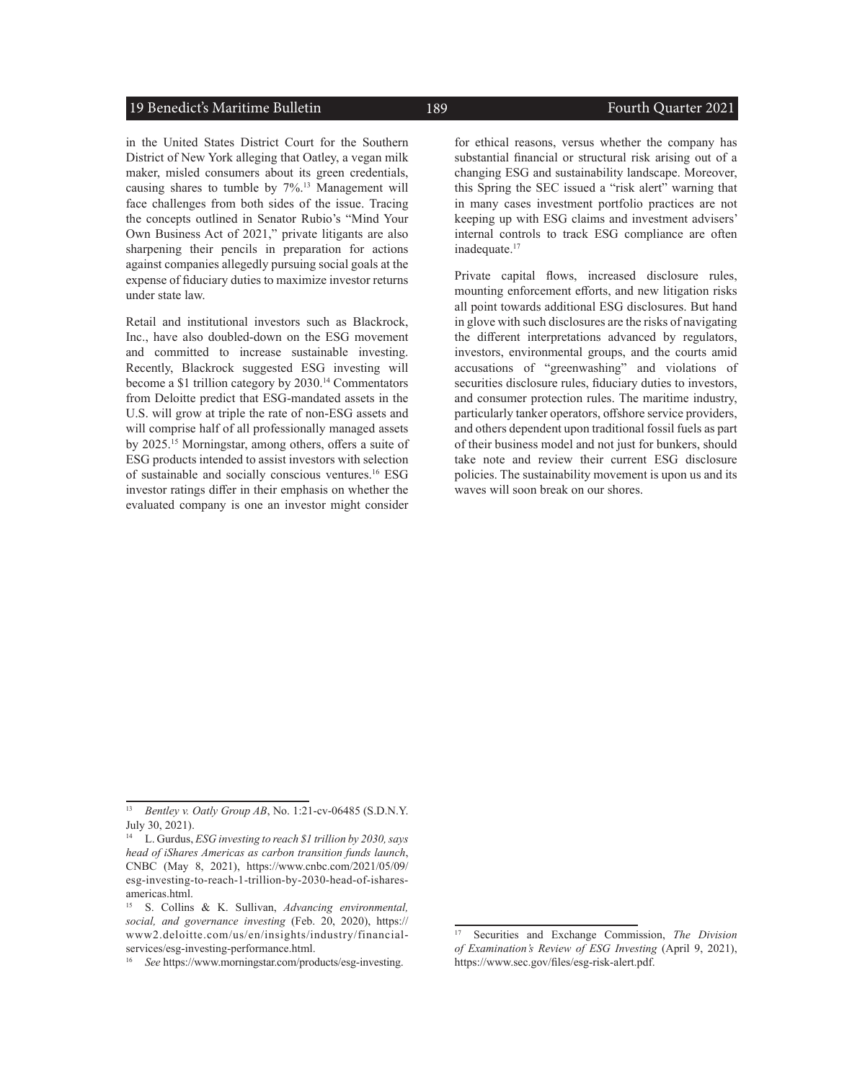#### 19 Benedict's Maritime Bulletin 189 189 Fourth Quarter 2021

in the United States District Court for the Southern District of New York alleging that Oatley, a vegan milk maker, misled consumers about its green credentials, causing shares to tumble by 7%.13 Management will face challenges from both sides of the issue. Tracing the concepts outlined in Senator Rubio's "Mind Your Own Business Act of 2021," private litigants are also sharpening their pencils in preparation for actions against companies allegedly pursuing social goals at the expense of fiduciary duties to maximize investor returns under state law.

Retail and institutional investors such as Blackrock, Inc., have also doubled-down on the ESG movement and committed to increase sustainable investing. Recently, Blackrock suggested ESG investing will become a \$1 trillion category by 2030.14 Commentators from Deloitte predict that ESG-mandated assets in the U.S. will grow at triple the rate of non-ESG assets and will comprise half of all professionally managed assets by 2025.15 Morningstar, among others, offers a suite of ESG products intended to assist investors with selection of sustainable and socially conscious ventures.16 ESG investor ratings differ in their emphasis on whether the evaluated company is one an investor might consider

for ethical reasons, versus whether the company has substantial financial or structural risk arising out of a changing ESG and sustainability landscape. Moreover, this Spring the SEC issued a "risk alert" warning that in many cases investment portfolio practices are not keeping up with ESG claims and investment advisers' internal controls to track ESG compliance are often inadequate.<sup>17</sup>

Private capital flows, increased disclosure rules, mounting enforcement efforts, and new litigation risks all point towards additional ESG disclosures. But hand in glove with such disclosures are the risks of navigating the different interpretations advanced by regulators, investors, environmental groups, and the courts amid accusations of "greenwashing" and violations of securities disclosure rules, fiduciary duties to investors, and consumer protection rules. The maritime industry, particularly tanker operators, offshore service providers, and others dependent upon traditional fossil fuels as part of their business model and not just for bunkers, should take note and review their current ESG disclosure policies. The sustainability movement is upon us and its waves will soon break on our shores.

<sup>13</sup> *Bentley v. Oatly Group AB*, No. 1:21-cv-06485 (S.D.N.Y. July 30, 2021).

<sup>14</sup> L. Gurdus, *ESG investing to reach \$1 trillion by 2030, says head of iShares Americas as carbon transition funds launch*, CNBC (May 8, 2021), [https://www.cnbc.com/2021/05/09/](https://www.cnbc.com/2021/05/09/esg-investing-to-reach-1-trillion-by-2030-head-of-ishares-americas.html) [esg-investing-to-reach-1-trillion-by-2030-head-of-ishares](https://www.cnbc.com/2021/05/09/esg-investing-to-reach-1-trillion-by-2030-head-of-ishares-americas.html)[americas.html](https://www.cnbc.com/2021/05/09/esg-investing-to-reach-1-trillion-by-2030-head-of-ishares-americas.html).

<sup>15</sup> S. Collins & K. Sullivan, *Advancing environmental, social, and governance investing* (Feb. 20, 2020), [https://](https://www2.deloitte.com/us/en/insights/industry/financial-services/esg-investing-performance.html) [www2.deloitte.com/us/en/insights/industry/financial](https://www2.deloitte.com/us/en/insights/industry/financial-services/esg-investing-performance.html)[services/esg-investing-performance.html](https://www2.deloitte.com/us/en/insights/industry/financial-services/esg-investing-performance.html).

<sup>16</sup> *See* [https://www.morningstar.com/products/esg-investing.](https://www.morningstar.com/products/esg-investing)

<sup>17</sup> Securities and Exchange Commission, *The Division of Examination's Review of ESG Investing* (April 9, 2021), [https://www.sec.gov/files/esg-risk-alert.pdf.](https://www.sec.gov/files/esg-risk-alert.pdf)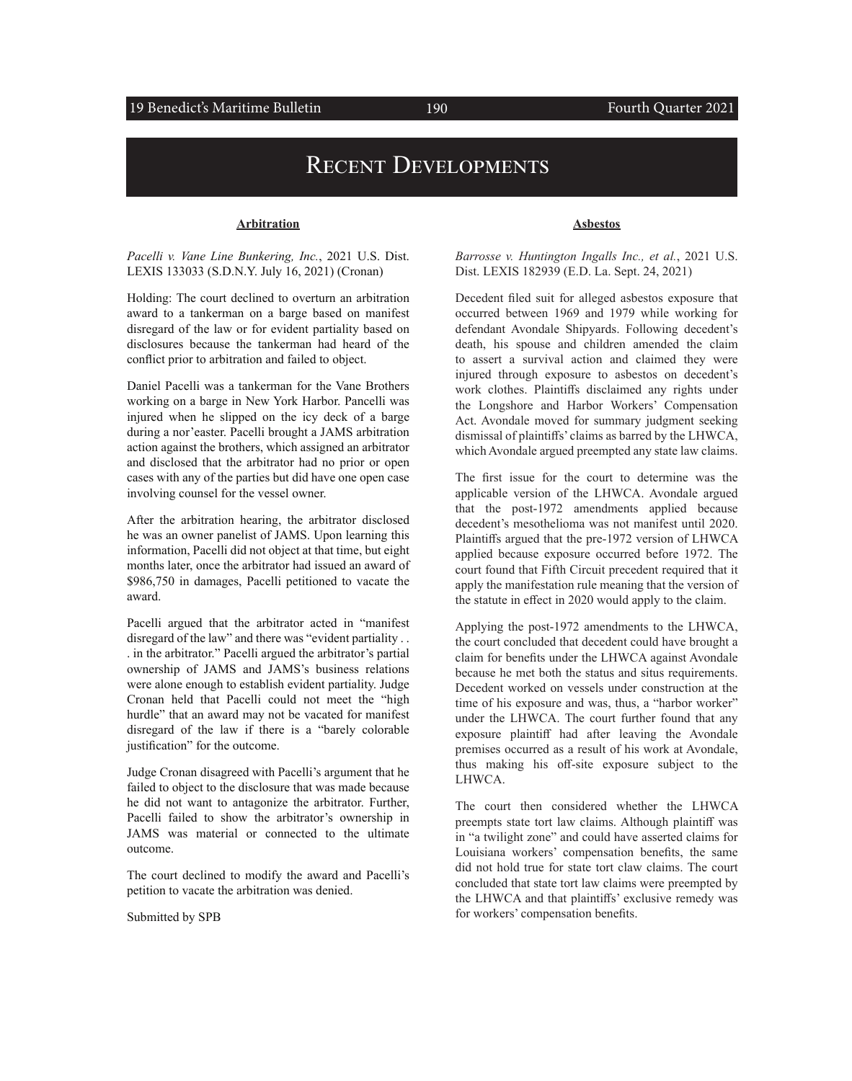#### 19 Benedict's Maritime Bulletin 190 190 Fourth Quarter 2021

## Recent Developments

#### **Arbitration**

*Pacelli v. Vane Line Bunkering, Inc.*, 2021 U.S. Dist. LEXIS 133033 (S.D.N.Y. July 16, 2021) (Cronan)

Holding: The court declined to overturn an arbitration award to a tankerman on a barge based on manifest disregard of the law or for evident partiality based on disclosures because the tankerman had heard of the conflict prior to arbitration and failed to object.

Daniel Pacelli was a tankerman for the Vane Brothers working on a barge in New York Harbor. Pancelli was injured when he slipped on the icy deck of a barge during a nor'easter. Pacelli brought a JAMS arbitration action against the brothers, which assigned an arbitrator and disclosed that the arbitrator had no prior or open cases with any of the parties but did have one open case involving counsel for the vessel owner.

After the arbitration hearing, the arbitrator disclosed he was an owner panelist of JAMS. Upon learning this information, Pacelli did not object at that time, but eight months later, once the arbitrator had issued an award of \$986,750 in damages, Pacelli petitioned to vacate the award.

Pacelli argued that the arbitrator acted in "manifest disregard of the law" and there was "evident partiality . . . in the arbitrator." Pacelli argued the arbitrator's partial ownership of JAMS and JAMS's business relations were alone enough to establish evident partiality. Judge Cronan held that Pacelli could not meet the "high hurdle" that an award may not be vacated for manifest disregard of the law if there is a "barely colorable justification" for the outcome.

Judge Cronan disagreed with Pacelli's argument that he failed to object to the disclosure that was made because he did not want to antagonize the arbitrator. Further, Pacelli failed to show the arbitrator's ownership in JAMS was material or connected to the ultimate outcome.

The court declined to modify the award and Pacelli's petition to vacate the arbitration was denied.

Submitted by SPB

#### **Asbestos**

*Barrosse v. Huntington Ingalls Inc., et al.*, 2021 U.S. Dist. LEXIS 182939 (E.D. La. Sept. 24, 2021)

Decedent filed suit for alleged asbestos exposure that occurred between 1969 and 1979 while working for defendant Avondale Shipyards. Following decedent's death, his spouse and children amended the claim to assert a survival action and claimed they were injured through exposure to asbestos on decedent's work clothes. Plaintiffs disclaimed any rights under the Longshore and Harbor Workers' Compensation Act. Avondale moved for summary judgment seeking dismissal of plaintiffs' claims as barred by the LHWCA, which Avondale argued preempted any state law claims.

The first issue for the court to determine was the applicable version of the LHWCA. Avondale argued that the post-1972 amendments applied because decedent's mesothelioma was not manifest until 2020. Plaintiffs argued that the pre-1972 version of LHWCA applied because exposure occurred before 1972. The court found that Fifth Circuit precedent required that it apply the manifestation rule meaning that the version of the statute in effect in 2020 would apply to the claim.

Applying the post-1972 amendments to the LHWCA, the court concluded that decedent could have brought a claim for benefits under the LHWCA against Avondale because he met both the status and situs requirements. Decedent worked on vessels under construction at the time of his exposure and was, thus, a "harbor worker" under the LHWCA. The court further found that any exposure plaintiff had after leaving the Avondale premises occurred as a result of his work at Avondale, thus making his off-site exposure subject to the LHWCA.

The court then considered whether the LHWCA preempts state tort law claims. Although plaintiff was in "a twilight zone" and could have asserted claims for Louisiana workers' compensation benefits, the same did not hold true for state tort claw claims. The court concluded that state tort law claims were preempted by the LHWCA and that plaintiffs' exclusive remedy was for workers' compensation benefits.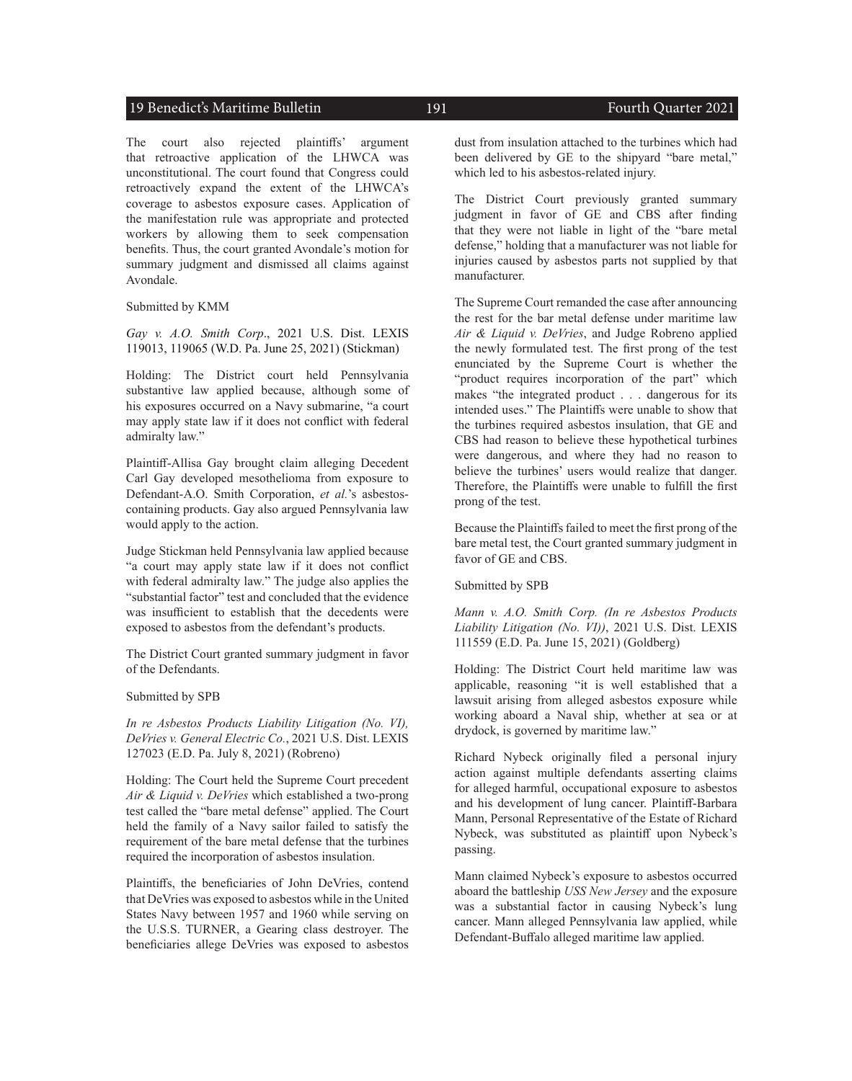#### 19 Benedict's Maritime Bulletin 191 191 Fourth Quarter 2021

The court also rejected plaintiffs' argument that retroactive application of the LHWCA was unconstitutional. The court found that Congress could retroactively expand the extent of the LHWCA's coverage to asbestos exposure cases. Application of the manifestation rule was appropriate and protected workers by allowing them to seek compensation benefits. Thus, the court granted Avondale's motion for summary judgment and dismissed all claims against Avondale.

Submitted by KMM

*Gay v. A.O. Smith Corp*., 2021 U.S. Dist. LEXIS 119013, 119065 (W.D. Pa. June 25, 2021) (Stickman)

Holding: The District court held Pennsylvania substantive law applied because, although some of his exposures occurred on a Navy submarine, "a court may apply state law if it does not conflict with federal admiralty law."

Plaintiff-Allisa Gay brought claim alleging Decedent Carl Gay developed mesothelioma from exposure to Defendant-A.O. Smith Corporation, *et al.*'s asbestoscontaining products. Gay also argued Pennsylvania law would apply to the action.

Judge Stickman held Pennsylvania law applied because "a court may apply state law if it does not conflict with federal admiralty law." The judge also applies the "substantial factor" test and concluded that the evidence was insufficient to establish that the decedents were exposed to asbestos from the defendant's products.

The District Court granted summary judgment in favor of the Defendants.

Submitted by SPB

*In re Asbestos Products Liability Litigation (No. VI), DeVries v. General Electric Co.*, 2021 U.S. Dist. LEXIS 127023 (E.D. Pa. July 8, 2021) (Robreno)

Holding: The Court held the Supreme Court precedent *Air & Liquid v. DeVries* which established a two-prong test called the "bare metal defense" applied. The Court held the family of a Navy sailor failed to satisfy the requirement of the bare metal defense that the turbines required the incorporation of asbestos insulation.

Plaintiffs, the beneficiaries of John DeVries, contend that DeVries was exposed to asbestos while in the United States Navy between 1957 and 1960 while serving on the U.S.S. TURNER, a Gearing class destroyer. The beneficiaries allege DeVries was exposed to asbestos

dust from insulation attached to the turbines which had been delivered by GE to the shipyard "bare metal," which led to his asbestos-related injury.

The District Court previously granted summary judgment in favor of GE and CBS after finding that they were not liable in light of the "bare metal defense," holding that a manufacturer was not liable for injuries caused by asbestos parts not supplied by that manufacturer.

The Supreme Court remanded the case after announcing the rest for the bar metal defense under maritime law *Air & Liquid v. DeVries*, and Judge Robreno applied the newly formulated test. The first prong of the test enunciated by the Supreme Court is whether the "product requires incorporation of the part" which makes "the integrated product . . . dangerous for its intended uses." The Plaintiffs were unable to show that the turbines required asbestos insulation, that GE and CBS had reason to believe these hypothetical turbines were dangerous, and where they had no reason to believe the turbines' users would realize that danger. Therefore, the Plaintiffs were unable to fulfill the first prong of the test.

Because the Plaintiffs failed to meet the first prong of the bare metal test, the Court granted summary judgment in favor of GE and CBS.

Submitted by SPB

*Mann v. A.O. Smith Corp. (In re Asbestos Products Liability Litigation (No. VI))*, 2021 U.S. Dist. LEXIS 111559 (E.D. Pa. June 15, 2021) (Goldberg)

Holding: The District Court held maritime law was applicable, reasoning "it is well established that a lawsuit arising from alleged asbestos exposure while working aboard a Naval ship, whether at sea or at drydock, is governed by maritime law."

Richard Nybeck originally filed a personal injury action against multiple defendants asserting claims for alleged harmful, occupational exposure to asbestos and his development of lung cancer. Plaintiff-Barbara Mann, Personal Representative of the Estate of Richard Nybeck, was substituted as plaintiff upon Nybeck's passing.

Mann claimed Nybeck's exposure to asbestos occurred aboard the battleship *USS New Jersey* and the exposure was a substantial factor in causing Nybeck's lung cancer. Mann alleged Pennsylvania law applied, while Defendant-Buffalo alleged maritime law applied.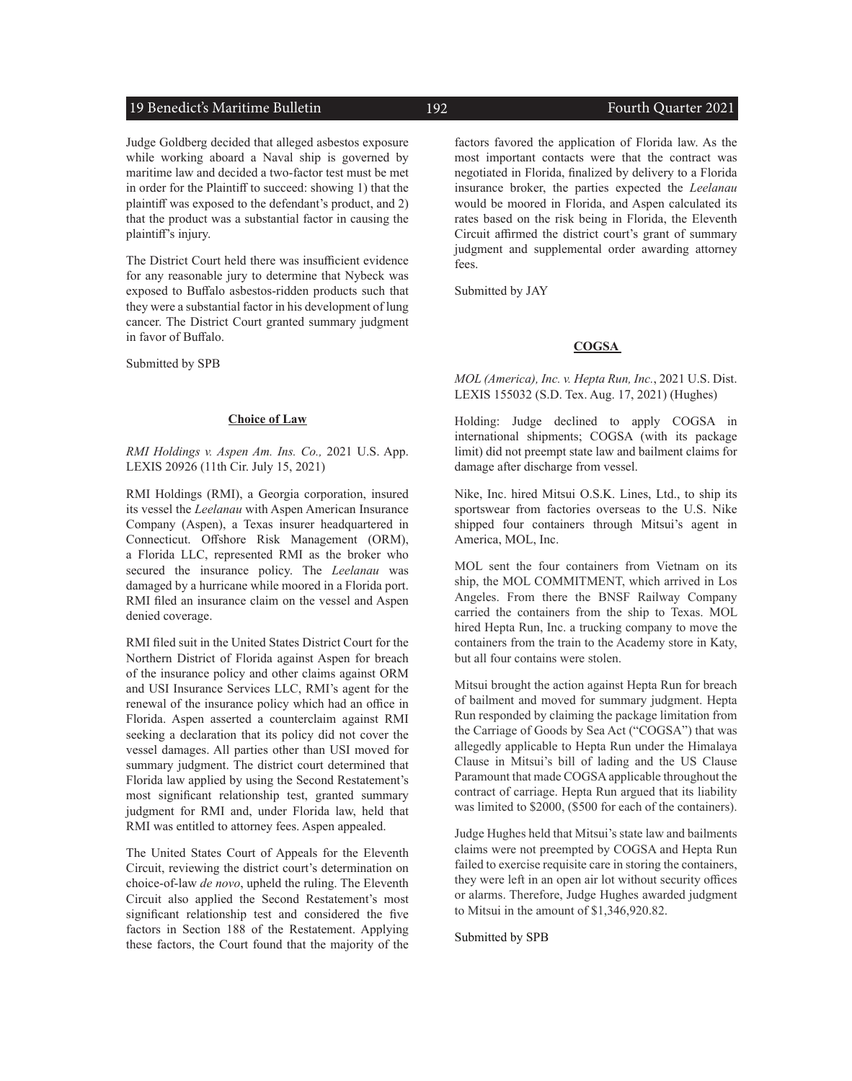#### 19 Benedict's Maritime Bulletin 192 Fourth Quarter 2021

Judge Goldberg decided that alleged asbestos exposure while working aboard a Naval ship is governed by maritime law and decided a two-factor test must be met in order for the Plaintiff to succeed: showing 1) that the plaintiff was exposed to the defendant's product, and 2) that the product was a substantial factor in causing the plaintiff's injury.

The District Court held there was insufficient evidence for any reasonable jury to determine that Nybeck was exposed to Buffalo asbestos-ridden products such that they were a substantial factor in his development of lung cancer. The District Court granted summary judgment in favor of Buffalo.

Submitted by SPB

#### **Choice of Law**

*RMI Holdings v. Aspen Am. Ins. Co.,* 2021 U.S. App. LEXIS 20926 (11th Cir. July 15, 2021)

RMI Holdings (RMI), a Georgia corporation, insured its vessel the *Leelanau* with Aspen American Insurance Company (Aspen), a Texas insurer headquartered in Connecticut. Offshore Risk Management (ORM), a Florida LLC, represented RMI as the broker who secured the insurance policy. The *Leelanau* was damaged by a hurricane while moored in a Florida port. RMI filed an insurance claim on the vessel and Aspen denied coverage.

RMI filed suit in the United States District Court for the Northern District of Florida against Aspen for breach of the insurance policy and other claims against ORM and USI Insurance Services LLC, RMI's agent for the renewal of the insurance policy which had an office in Florida. Aspen asserted a counterclaim against RMI seeking a declaration that its policy did not cover the vessel damages. All parties other than USI moved for summary judgment. The district court determined that Florida law applied by using the Second Restatement's most significant relationship test, granted summary judgment for RMI and, under Florida law, held that RMI was entitled to attorney fees. Aspen appealed.

The United States Court of Appeals for the Eleventh Circuit, reviewing the district court's determination on choice-of-law *de novo*, upheld the ruling. The Eleventh Circuit also applied the Second Restatement's most significant relationship test and considered the five factors in Section 188 of the Restatement. Applying these factors, the Court found that the majority of the

factors favored the application of Florida law. As the most important contacts were that the contract was negotiated in Florida, finalized by delivery to a Florida insurance broker, the parties expected the *Leelanau* would be moored in Florida, and Aspen calculated its rates based on the risk being in Florida, the Eleventh Circuit affirmed the district court's grant of summary judgment and supplemental order awarding attorney fees.

Submitted by JAY

#### **COGSA**

*MOL (America), Inc. v. Hepta Run, Inc.*, 2021 U.S. Dist. LEXIS 155032 (S.D. Tex. Aug. 17, 2021) (Hughes)

Holding: Judge declined to apply COGSA in international shipments; COGSA (with its package limit) did not preempt state law and bailment claims for damage after discharge from vessel.

Nike, Inc. hired Mitsui O.S.K. Lines, Ltd., to ship its sportswear from factories overseas to the U.S. Nike shipped four containers through Mitsui's agent in America, MOL, Inc.

MOL sent the four containers from Vietnam on its ship, the MOL COMMITMENT, which arrived in Los Angeles. From there the BNSF Railway Company carried the containers from the ship to Texas. MOL hired Hepta Run, Inc. a trucking company to move the containers from the train to the Academy store in Katy, but all four contains were stolen.

Mitsui brought the action against Hepta Run for breach of bailment and moved for summary judgment. Hepta Run responded by claiming the package limitation from the Carriage of Goods by Sea Act ("COGSA") that was allegedly applicable to Hepta Run under the Himalaya Clause in Mitsui's bill of lading and the US Clause Paramount that made COGSA applicable throughout the contract of carriage. Hepta Run argued that its liability was limited to \$2000, (\$500 for each of the containers).

Judge Hughes held that Mitsui's state law and bailments claims were not preempted by COGSA and Hepta Run failed to exercise requisite care in storing the containers, they were left in an open air lot without security offices or alarms. Therefore, Judge Hughes awarded judgment to Mitsui in the amount of \$1,346,920.82.

Submitted by SPB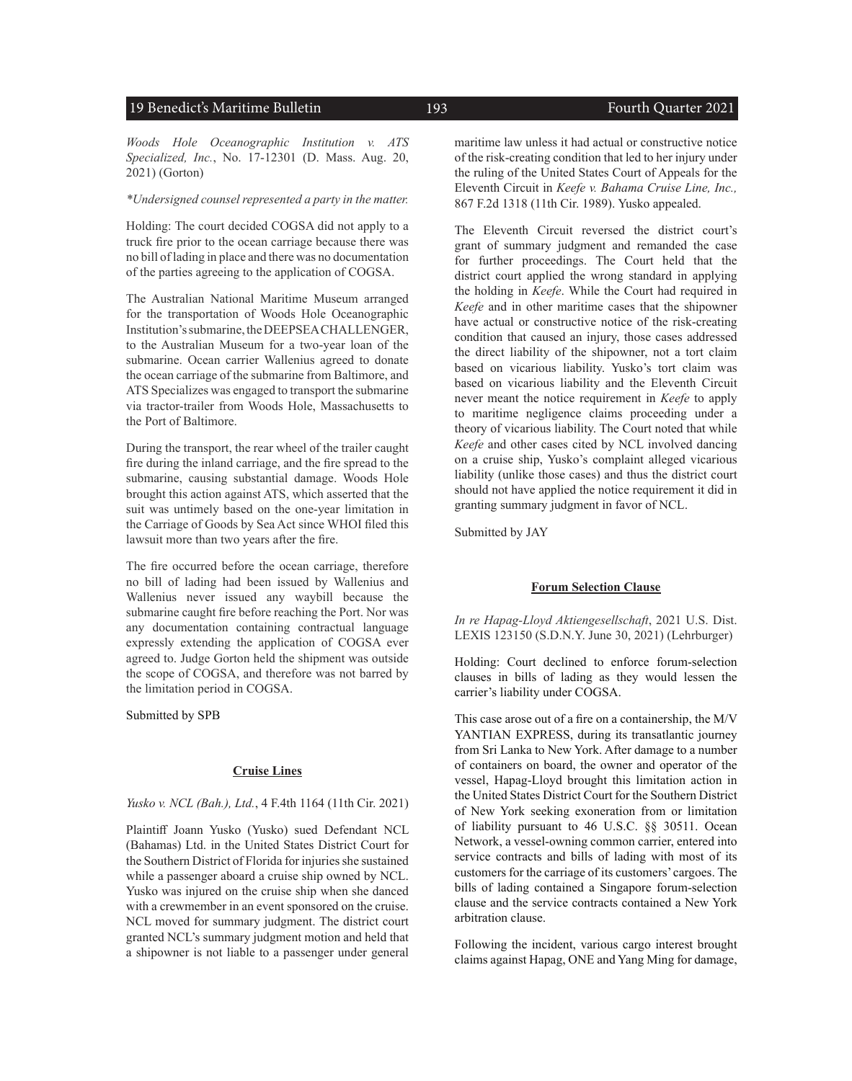### 19 Benedict's Maritime Bulletin 193 and 193 Fourth Quarter 2021

*Woods Hole Oceanographic Institution v. ATS Specialized, Inc.*, No. 17-12301 (D. Mass. Aug. 20, 2021) (Gorton)

#### *\*Undersigned counsel represented a party in the matter.*

Holding: The court decided COGSA did not apply to a truck fire prior to the ocean carriage because there was no bill of lading in place and there was no documentation of the parties agreeing to the application of COGSA.

The Australian National Maritime Museum arranged for the transportation of Woods Hole Oceanographic Institution's submarine, the DEEPSEA CHALLENGER, to the Australian Museum for a two-year loan of the submarine. Ocean carrier Wallenius agreed to donate the ocean carriage of the submarine from Baltimore, and ATS Specializes was engaged to transport the submarine via tractor-trailer from Woods Hole, Massachusetts to the Port of Baltimore.

During the transport, the rear wheel of the trailer caught fire during the inland carriage, and the fire spread to the submarine, causing substantial damage. Woods Hole brought this action against ATS, which asserted that the suit was untimely based on the one-year limitation in the Carriage of Goods by Sea Act since WHOI filed this lawsuit more than two years after the fire.

The fire occurred before the ocean carriage, therefore no bill of lading had been issued by Wallenius and Wallenius never issued any waybill because the submarine caught fire before reaching the Port. Nor was any documentation containing contractual language expressly extending the application of COGSA ever agreed to. Judge Gorton held the shipment was outside the scope of COGSA, and therefore was not barred by the limitation period in COGSA.

Submitted by SPB

#### **Cruise Lines**

#### *Yusko v. NCL (Bah.), Ltd.*, 4 F.4th 1164 (11th Cir. 2021)

Plaintiff Joann Yusko (Yusko) sued Defendant NCL (Bahamas) Ltd. in the United States District Court for the Southern District of Florida for injuries she sustained while a passenger aboard a cruise ship owned by NCL. Yusko was injured on the cruise ship when she danced with a crewmember in an event sponsored on the cruise. NCL moved for summary judgment. The district court granted NCL's summary judgment motion and held that a shipowner is not liable to a passenger under general

maritime law unless it had actual or constructive notice of the risk-creating condition that led to her injury under the ruling of the United States Court of Appeals for the Eleventh Circuit in *Keefe v. Bahama Cruise Line, Inc.,*  867 F.2d 1318 (11th Cir. 1989). Yusko appealed.

The Eleventh Circuit reversed the district court's grant of summary judgment and remanded the case for further proceedings. The Court held that the district court applied the wrong standard in applying the holding in *Keefe*. While the Court had required in *Keefe* and in other maritime cases that the shipowner have actual or constructive notice of the risk-creating condition that caused an injury, those cases addressed the direct liability of the shipowner, not a tort claim based on vicarious liability. Yusko's tort claim was based on vicarious liability and the Eleventh Circuit never meant the notice requirement in *Keefe* to apply to maritime negligence claims proceeding under a theory of vicarious liability. The Court noted that while *Keefe* and other cases cited by NCL involved dancing on a cruise ship, Yusko's complaint alleged vicarious liability (unlike those cases) and thus the district court should not have applied the notice requirement it did in granting summary judgment in favor of NCL.

Submitted by JAY

#### **Forum Selection Clause**

*In re Hapag-Lloyd Aktiengesellschaft*, 2021 U.S. Dist. LEXIS 123150 (S.D.N.Y. June 30, 2021) (Lehrburger)

Holding: Court declined to enforce forum-selection clauses in bills of lading as they would lessen the carrier's liability under COGSA.

This case arose out of a fire on a containership, the M/V YANTIAN EXPRESS, during its transatlantic journey from Sri Lanka to New York. After damage to a number of containers on board, the owner and operator of the vessel, Hapag-Lloyd brought this limitation action in the United States District Court for the Southern District of New York seeking exoneration from or limitation of liability pursuant to 46 U.S.C. §§ 30511. Ocean Network, a vessel-owning common carrier, entered into service contracts and bills of lading with most of its customers for the carriage of its customers' cargoes. The bills of lading contained a Singapore forum-selection clause and the service contracts contained a New York arbitration clause.

Following the incident, various cargo interest brought claims against Hapag, ONE and Yang Ming for damage,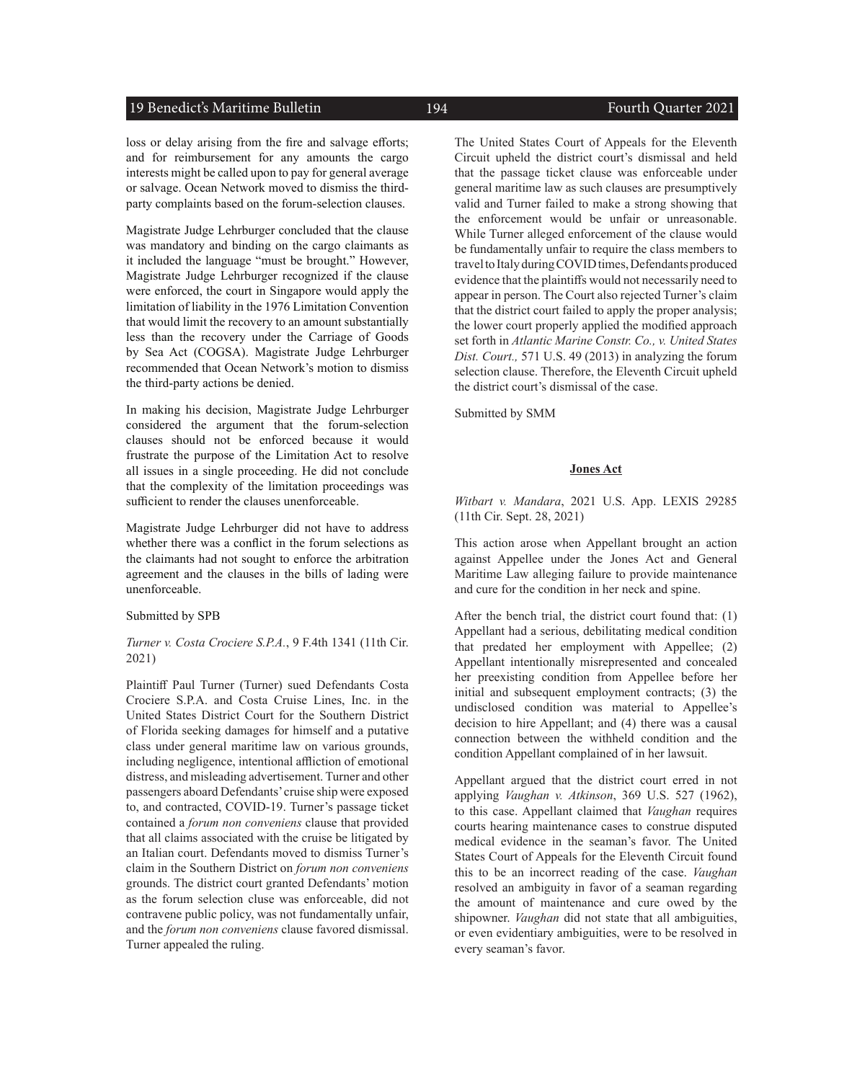#### 19 Benedict's Maritime Bulletin 194 Fourth Quarter 2021

loss or delay arising from the fire and salvage efforts; and for reimbursement for any amounts the cargo interests might be called upon to pay for general average or salvage. Ocean Network moved to dismiss the thirdparty complaints based on the forum-selection clauses.

Magistrate Judge Lehrburger concluded that the clause was mandatory and binding on the cargo claimants as it included the language "must be brought." However, Magistrate Judge Lehrburger recognized if the clause were enforced, the court in Singapore would apply the limitation of liability in the 1976 Limitation Convention that would limit the recovery to an amount substantially less than the recovery under the Carriage of Goods by Sea Act (COGSA). Magistrate Judge Lehrburger recommended that Ocean Network's motion to dismiss the third-party actions be denied.

In making his decision, Magistrate Judge Lehrburger considered the argument that the forum-selection clauses should not be enforced because it would frustrate the purpose of the Limitation Act to resolve all issues in a single proceeding. He did not conclude that the complexity of the limitation proceedings was sufficient to render the clauses unenforceable.

Magistrate Judge Lehrburger did not have to address whether there was a conflict in the forum selections as the claimants had not sought to enforce the arbitration agreement and the clauses in the bills of lading were unenforceable.

#### Submitted by SPB

#### *Turner v. Costa Crociere S.P.A.*, 9 F.4th 1341 (11th Cir. 2021)

Plaintiff Paul Turner (Turner) sued Defendants Costa Crociere S.P.A. and Costa Cruise Lines, Inc. in the United States District Court for the Southern District of Florida seeking damages for himself and a putative class under general maritime law on various grounds, including negligence, intentional affliction of emotional distress, and misleading advertisement. Turner and other passengers aboard Defendants' cruise ship were exposed to, and contracted, COVID-19. Turner's passage ticket contained a *forum non conveniens* clause that provided that all claims associated with the cruise be litigated by an Italian court. Defendants moved to dismiss Turner's claim in the Southern District on *forum non conveniens* grounds. The district court granted Defendants' motion as the forum selection cluse was enforceable, did not contravene public policy, was not fundamentally unfair, and the *forum non conveniens* clause favored dismissal. Turner appealed the ruling.

The United States Court of Appeals for the Eleventh Circuit upheld the district court's dismissal and held that the passage ticket clause was enforceable under general maritime law as such clauses are presumptively valid and Turner failed to make a strong showing that the enforcement would be unfair or unreasonable. While Turner alleged enforcement of the clause would be fundamentally unfair to require the class members to travel to Italy during COVID times, Defendants produced evidence that the plaintiffs would not necessarily need to appear in person. The Court also rejected Turner's claim that the district court failed to apply the proper analysis; the lower court properly applied the modified approach set forth in *Atlantic Marine Constr. Co., v. United States Dist. Court.,* 571 U.S. 49 (2013) in analyzing the forum selection clause. Therefore, the Eleventh Circuit upheld the district court's dismissal of the case.

Submitted by SMM

#### **Jones Act**

*Witbart v. Mandara*, 2021 U.S. App. LEXIS 29285 (11th Cir. Sept. 28, 2021)

This action arose when Appellant brought an action against Appellee under the Jones Act and General Maritime Law alleging failure to provide maintenance and cure for the condition in her neck and spine.

After the bench trial, the district court found that: (1) Appellant had a serious, debilitating medical condition that predated her employment with Appellee; (2) Appellant intentionally misrepresented and concealed her preexisting condition from Appellee before her initial and subsequent employment contracts; (3) the undisclosed condition was material to Appellee's decision to hire Appellant; and (4) there was a causal connection between the withheld condition and the condition Appellant complained of in her lawsuit.

Appellant argued that the district court erred in not applying *Vaughan v. Atkinson*, 369 U.S. 527 (1962), to this case. Appellant claimed that *Vaughan* requires courts hearing maintenance cases to construe disputed medical evidence in the seaman's favor. The United States Court of Appeals for the Eleventh Circuit found this to be an incorrect reading of the case. *Vaughan* resolved an ambiguity in favor of a seaman regarding the amount of maintenance and cure owed by the shipowner. *Vaughan* did not state that all ambiguities, or even evidentiary ambiguities, were to be resolved in every seaman's favor.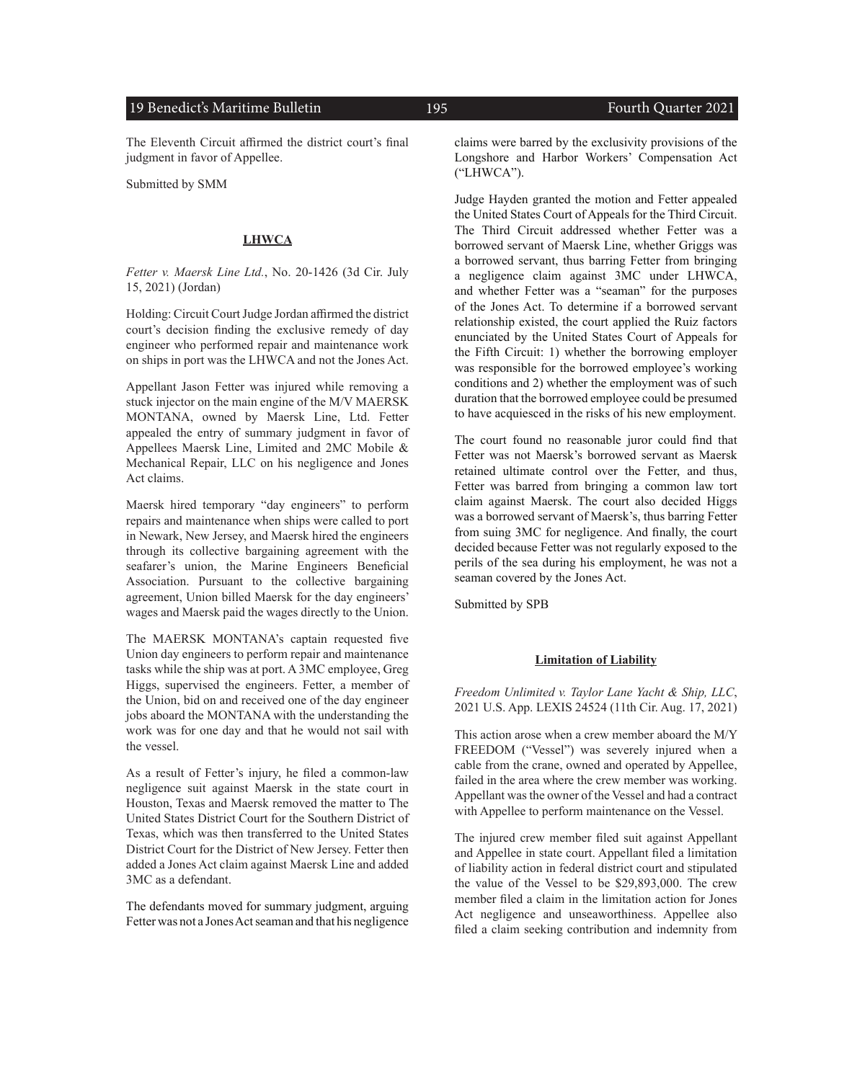#### 19 Benedict's Maritime Bulletin 195 195 Fourth Quarter 2021

The Eleventh Circuit affirmed the district court's final judgment in favor of Appellee.

Submitted by SMM

#### **LHWCA**

*Fetter v. Maersk Line Ltd.*, No. 20-1426 (3d Cir. July 15, 2021) (Jordan)

Holding: Circuit Court Judge Jordan affirmed the district court's decision finding the exclusive remedy of day engineer who performed repair and maintenance work on ships in port was the LHWCA and not the Jones Act.

Appellant Jason Fetter was injured while removing a stuck injector on the main engine of the M/V MAERSK MONTANA, owned by Maersk Line, Ltd. Fetter appealed the entry of summary judgment in favor of Appellees Maersk Line, Limited and 2MC Mobile & Mechanical Repair, LLC on his negligence and Jones Act claims.

Maersk hired temporary "day engineers" to perform repairs and maintenance when ships were called to port in Newark, New Jersey, and Maersk hired the engineers through its collective bargaining agreement with the seafarer's union, the Marine Engineers Beneficial Association. Pursuant to the collective bargaining agreement, Union billed Maersk for the day engineers' wages and Maersk paid the wages directly to the Union.

The MAERSK MONTANA's captain requested five Union day engineers to perform repair and maintenance tasks while the ship was at port. A 3MC employee, Greg Higgs, supervised the engineers. Fetter, a member of the Union, bid on and received one of the day engineer jobs aboard the MONTANA with the understanding the work was for one day and that he would not sail with the vessel.

As a result of Fetter's injury, he filed a common-law negligence suit against Maersk in the state court in Houston, Texas and Maersk removed the matter to The United States District Court for the Southern District of Texas, which was then transferred to the United States District Court for the District of New Jersey. Fetter then added a Jones Act claim against Maersk Line and added 3MC as a defendant.

The defendants moved for summary judgment, arguing Fetter was not a Jones Act seaman and that his negligence claims were barred by the exclusivity provisions of the Longshore and Harbor Workers' Compensation Act ("LHWCA").

Judge Hayden granted the motion and Fetter appealed the United States Court of Appeals for the Third Circuit. The Third Circuit addressed whether Fetter was a borrowed servant of Maersk Line, whether Griggs was a borrowed servant, thus barring Fetter from bringing a negligence claim against 3MC under LHWCA, and whether Fetter was a "seaman" for the purposes of the Jones Act. To determine if a borrowed servant relationship existed, the court applied the Ruiz factors enunciated by the United States Court of Appeals for the Fifth Circuit: 1) whether the borrowing employer was responsible for the borrowed employee's working conditions and 2) whether the employment was of such duration that the borrowed employee could be presumed to have acquiesced in the risks of his new employment.

The court found no reasonable juror could find that Fetter was not Maersk's borrowed servant as Maersk retained ultimate control over the Fetter, and thus, Fetter was barred from bringing a common law tort claim against Maersk. The court also decided Higgs was a borrowed servant of Maersk's, thus barring Fetter from suing 3MC for negligence. And finally, the court decided because Fetter was not regularly exposed to the perils of the sea during his employment, he was not a seaman covered by the Jones Act.

Submitted by SPB

#### **Limitation of Liability**

*Freedom Unlimited v. Taylor Lane Yacht & Ship, LLC*, 2021 U.S. App. LEXIS 24524 (11th Cir. Aug. 17, 2021)

This action arose when a crew member aboard the M/Y FREEDOM ("Vessel") was severely injured when a cable from the crane, owned and operated by Appellee, failed in the area where the crew member was working. Appellant was the owner of the Vessel and had a contract with Appellee to perform maintenance on the Vessel.

The injured crew member filed suit against Appellant and Appellee in state court. Appellant filed a limitation of liability action in federal district court and stipulated the value of the Vessel to be \$29,893,000. The crew member filed a claim in the limitation action for Jones Act negligence and unseaworthiness. Appellee also filed a claim seeking contribution and indemnity from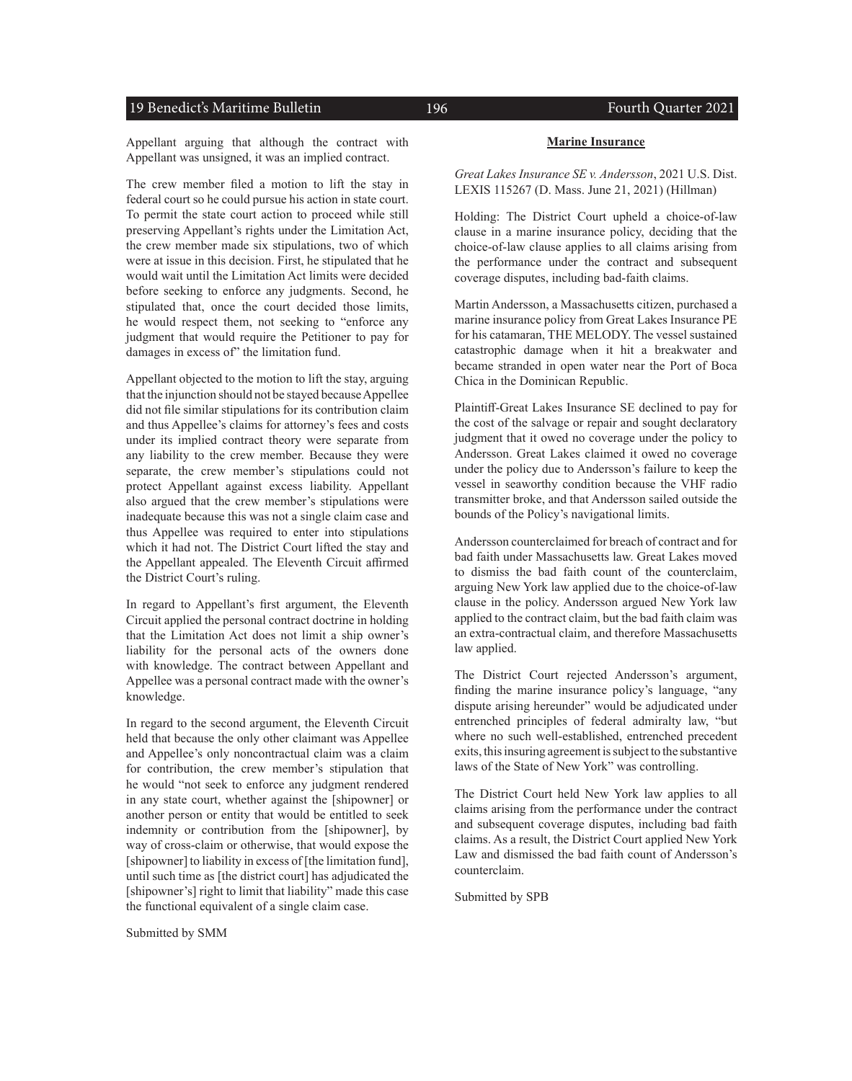#### 19 Benedict's Maritime Bulletin 196 196 Fourth Quarter 2021

Appellant arguing that although the contract with Appellant was unsigned, it was an implied contract.

The crew member filed a motion to lift the stay in federal court so he could pursue his action in state court. To permit the state court action to proceed while still preserving Appellant's rights under the Limitation Act, the crew member made six stipulations, two of which were at issue in this decision. First, he stipulated that he would wait until the Limitation Act limits were decided before seeking to enforce any judgments. Second, he stipulated that, once the court decided those limits, he would respect them, not seeking to "enforce any judgment that would require the Petitioner to pay for damages in excess of" the limitation fund.

Appellant objected to the motion to lift the stay, arguing that the injunction should not be stayed because Appellee did not file similar stipulations for its contribution claim and thus Appellee's claims for attorney's fees and costs under its implied contract theory were separate from any liability to the crew member. Because they were separate, the crew member's stipulations could not protect Appellant against excess liability. Appellant also argued that the crew member's stipulations were inadequate because this was not a single claim case and thus Appellee was required to enter into stipulations which it had not. The District Court lifted the stay and the Appellant appealed. The Eleventh Circuit affirmed the District Court's ruling.

In regard to Appellant's first argument, the Eleventh Circuit applied the personal contract doctrine in holding that the Limitation Act does not limit a ship owner's liability for the personal acts of the owners done with knowledge. The contract between Appellant and Appellee was a personal contract made with the owner's knowledge.

In regard to the second argument, the Eleventh Circuit held that because the only other claimant was Appellee and Appellee's only noncontractual claim was a claim for contribution, the crew member's stipulation that he would "not seek to enforce any judgment rendered in any state court, whether against the [shipowner] or another person or entity that would be entitled to seek indemnity or contribution from the [shipowner], by way of cross-claim or otherwise, that would expose the [shipowner] to liability in excess of [the limitation fund], until such time as [the district court] has adjudicated the [shipowner's] right to limit that liability" made this case the functional equivalent of a single claim case.

Submitted by SMM

#### **Marine Insurance**

*Great Lakes Insurance SE v. Andersson*, 2021 U.S. Dist. LEXIS 115267 (D. Mass. June 21, 2021) (Hillman)

Holding: The District Court upheld a choice-of-law clause in a marine insurance policy, deciding that the choice-of-law clause applies to all claims arising from the performance under the contract and subsequent coverage disputes, including bad-faith claims.

Martin Andersson, a Massachusetts citizen, purchased a marine insurance policy from Great Lakes Insurance PE for his catamaran, THE MELODY. The vessel sustained catastrophic damage when it hit a breakwater and became stranded in open water near the Port of Boca Chica in the Dominican Republic.

Plaintiff-Great Lakes Insurance SE declined to pay for the cost of the salvage or repair and sought declaratory judgment that it owed no coverage under the policy to Andersson. Great Lakes claimed it owed no coverage under the policy due to Andersson's failure to keep the vessel in seaworthy condition because the VHF radio transmitter broke, and that Andersson sailed outside the bounds of the Policy's navigational limits.

Andersson counterclaimed for breach of contract and for bad faith under Massachusetts law. Great Lakes moved to dismiss the bad faith count of the counterclaim, arguing New York law applied due to the choice-of-law clause in the policy. Andersson argued New York law applied to the contract claim, but the bad faith claim was an extra-contractual claim, and therefore Massachusetts law applied.

The District Court rejected Andersson's argument, finding the marine insurance policy's language, "any dispute arising hereunder" would be adjudicated under entrenched principles of federal admiralty law, "but where no such well-established, entrenched precedent exits, this insuring agreement is subject to the substantive laws of the State of New York" was controlling.

The District Court held New York law applies to all claims arising from the performance under the contract and subsequent coverage disputes, including bad faith claims. As a result, the District Court applied New York Law and dismissed the bad faith count of Andersson's counterclaim.

Submitted by SPB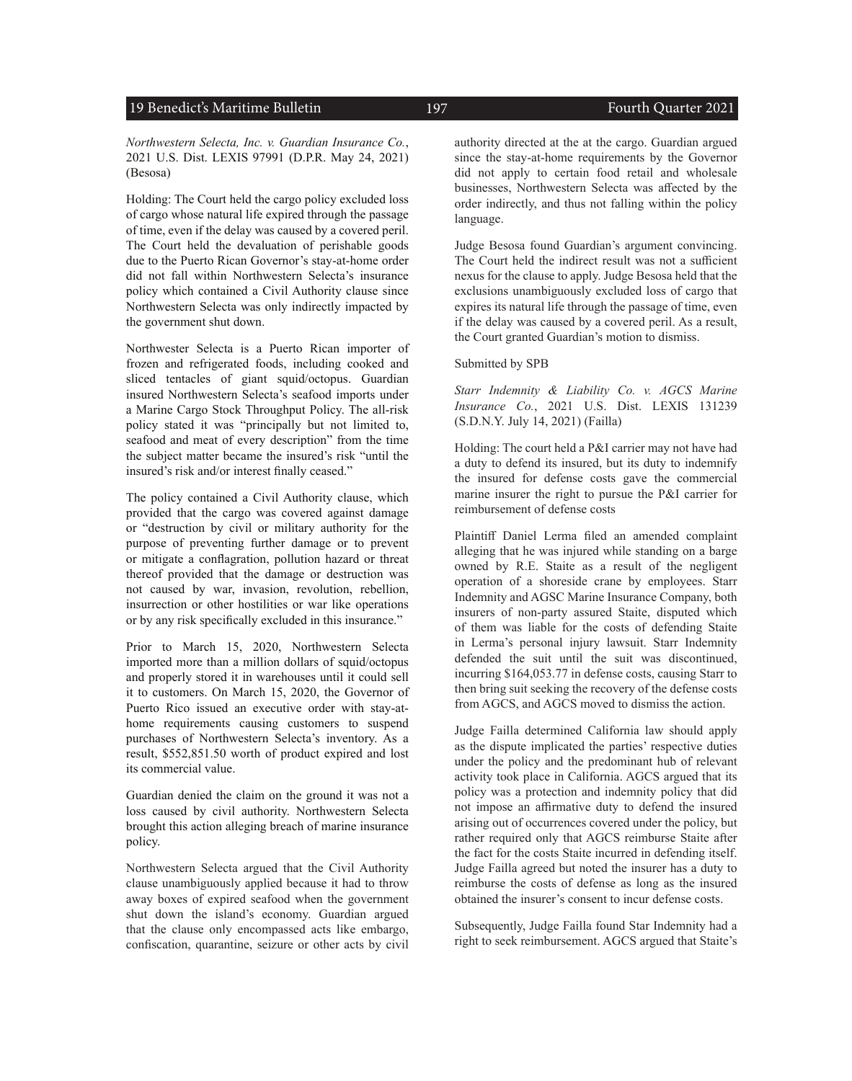### 19 Benedict's Maritime Bulletin 197 197 Fourth Quarter 2021

*Northwestern Selecta, Inc. v. Guardian Insurance Co.*, 2021 U.S. Dist. LEXIS 97991 (D.P.R. May 24, 2021) (Besosa)

Holding: The Court held the cargo policy excluded loss of cargo whose natural life expired through the passage of time, even if the delay was caused by a covered peril. The Court held the devaluation of perishable goods due to the Puerto Rican Governor's stay-at-home order did not fall within Northwestern Selecta's insurance policy which contained a Civil Authority clause since Northwestern Selecta was only indirectly impacted by the government shut down.

Northwester Selecta is a Puerto Rican importer of frozen and refrigerated foods, including cooked and sliced tentacles of giant squid/octopus. Guardian insured Northwestern Selecta's seafood imports under a Marine Cargo Stock Throughput Policy. The all-risk policy stated it was "principally but not limited to, seafood and meat of every description" from the time the subject matter became the insured's risk "until the insured's risk and/or interest finally ceased."

The policy contained a Civil Authority clause, which provided that the cargo was covered against damage or "destruction by civil or military authority for the purpose of preventing further damage or to prevent or mitigate a conflagration, pollution hazard or threat thereof provided that the damage or destruction was not caused by war, invasion, revolution, rebellion, insurrection or other hostilities or war like operations or by any risk specifically excluded in this insurance."

Prior to March 15, 2020, Northwestern Selecta imported more than a million dollars of squid/octopus and properly stored it in warehouses until it could sell it to customers. On March 15, 2020, the Governor of Puerto Rico issued an executive order with stay-athome requirements causing customers to suspend purchases of Northwestern Selecta's inventory. As a result, \$552,851.50 worth of product expired and lost its commercial value.

Guardian denied the claim on the ground it was not a loss caused by civil authority. Northwestern Selecta brought this action alleging breach of marine insurance policy.

Northwestern Selecta argued that the Civil Authority clause unambiguously applied because it had to throw away boxes of expired seafood when the government shut down the island's economy. Guardian argued that the clause only encompassed acts like embargo, confiscation, quarantine, seizure or other acts by civil

authority directed at the at the cargo. Guardian argued

since the stay-at-home requirements by the Governor did not apply to certain food retail and wholesale businesses, Northwestern Selecta was affected by the order indirectly, and thus not falling within the policy language.

Judge Besosa found Guardian's argument convincing. The Court held the indirect result was not a sufficient nexus for the clause to apply. Judge Besosa held that the exclusions unambiguously excluded loss of cargo that expires its natural life through the passage of time, even if the delay was caused by a covered peril. As a result, the Court granted Guardian's motion to dismiss.

#### Submitted by SPB

*Starr Indemnity & Liability Co. v. AGCS Marine Insurance Co.*, 2021 U.S. Dist. LEXIS 131239 (S.D.N.Y. July 14, 2021) (Failla)

Holding: The court held a P&I carrier may not have had a duty to defend its insured, but its duty to indemnify the insured for defense costs gave the commercial marine insurer the right to pursue the P&I carrier for reimbursement of defense costs

Plaintiff Daniel Lerma filed an amended complaint alleging that he was injured while standing on a barge owned by R.E. Staite as a result of the negligent operation of a shoreside crane by employees. Starr Indemnity and AGSC Marine Insurance Company, both insurers of non-party assured Staite, disputed which of them was liable for the costs of defending Staite in Lerma's personal injury lawsuit. Starr Indemnity defended the suit until the suit was discontinued, incurring \$164,053.77 in defense costs, causing Starr to then bring suit seeking the recovery of the defense costs from AGCS, and AGCS moved to dismiss the action.

Judge Failla determined California law should apply as the dispute implicated the parties' respective duties under the policy and the predominant hub of relevant activity took place in California. AGCS argued that its policy was a protection and indemnity policy that did not impose an affirmative duty to defend the insured arising out of occurrences covered under the policy, but rather required only that AGCS reimburse Staite after the fact for the costs Staite incurred in defending itself. Judge Failla agreed but noted the insurer has a duty to reimburse the costs of defense as long as the insured obtained the insurer's consent to incur defense costs.

Subsequently, Judge Failla found Star Indemnity had a right to seek reimbursement. AGCS argued that Staite's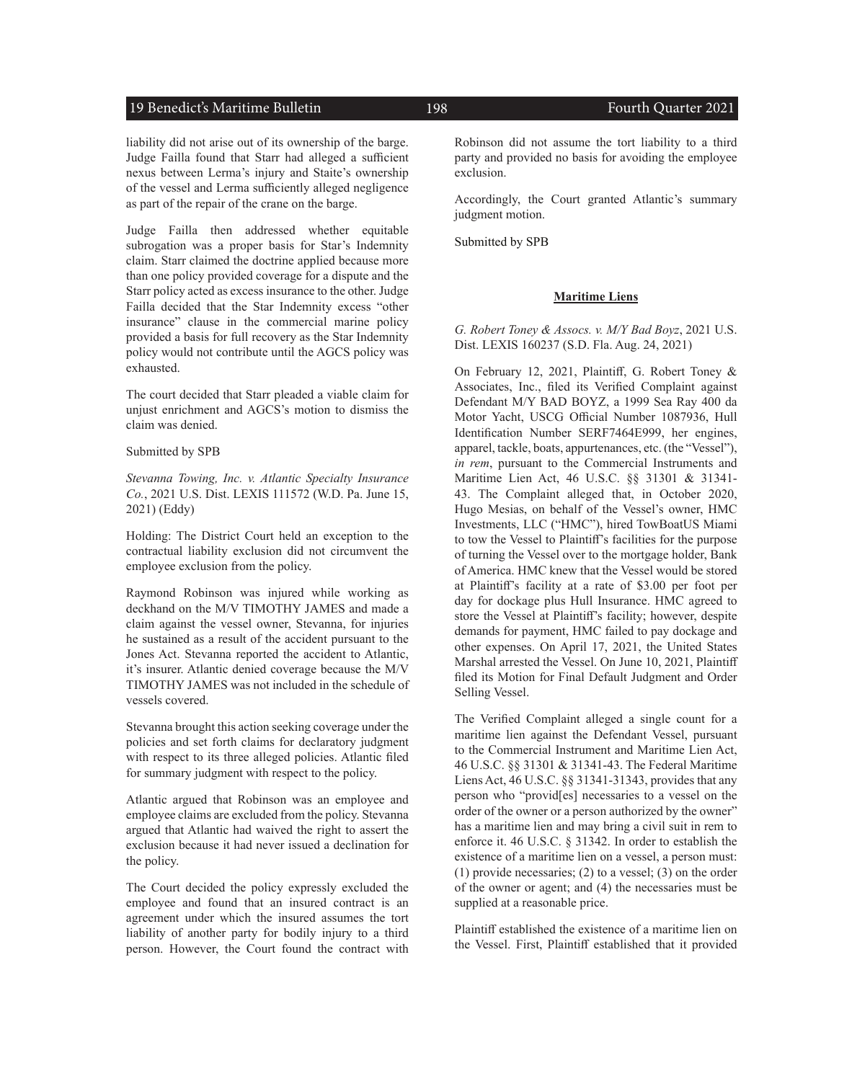#### 19 Benedict's Maritime Bulletin 198 198 Fourth Quarter 2021

liability did not arise out of its ownership of the barge. Judge Failla found that Starr had alleged a sufficient nexus between Lerma's injury and Staite's ownership of the vessel and Lerma sufficiently alleged negligence as part of the repair of the crane on the barge.

Judge Failla then addressed whether equitable subrogation was a proper basis for Star's Indemnity claim. Starr claimed the doctrine applied because more than one policy provided coverage for a dispute and the Starr policy acted as excess insurance to the other. Judge Failla decided that the Star Indemnity excess "other insurance" clause in the commercial marine policy provided a basis for full recovery as the Star Indemnity policy would not contribute until the AGCS policy was exhausted.

The court decided that Starr pleaded a viable claim for unjust enrichment and AGCS's motion to dismiss the claim was denied.

#### Submitted by SPB

*Stevanna Towing, Inc. v. Atlantic Specialty Insurance Co.*, 2021 U.S. Dist. LEXIS 111572 (W.D. Pa. June 15, 2021) (Eddy)

Holding: The District Court held an exception to the contractual liability exclusion did not circumvent the employee exclusion from the policy.

Raymond Robinson was injured while working as deckhand on the M/V TIMOTHY JAMES and made a claim against the vessel owner, Stevanna, for injuries he sustained as a result of the accident pursuant to the Jones Act. Stevanna reported the accident to Atlantic, it's insurer. Atlantic denied coverage because the M/V TIMOTHY JAMES was not included in the schedule of vessels covered.

Stevanna brought this action seeking coverage under the policies and set forth claims for declaratory judgment with respect to its three alleged policies. Atlantic filed for summary judgment with respect to the policy.

Atlantic argued that Robinson was an employee and employee claims are excluded from the policy. Stevanna argued that Atlantic had waived the right to assert the exclusion because it had never issued a declination for the policy.

The Court decided the policy expressly excluded the employee and found that an insured contract is an agreement under which the insured assumes the tort liability of another party for bodily injury to a third person. However, the Court found the contract with Robinson did not assume the tort liability to a third party and provided no basis for avoiding the employee exclusion.

Accordingly, the Court granted Atlantic's summary judgment motion.

Submitted by SPB

#### **Maritime Liens**

*G. Robert Toney & Assocs. v. M/Y Bad Boyz*, 2021 U.S. Dist. LEXIS 160237 (S.D. Fla. Aug. 24, 2021)

On February 12, 2021, Plaintiff, G. Robert Toney & Associates, Inc., filed its Verified Complaint against Defendant M/Y BAD BOYZ, a 1999 Sea Ray 400 da Motor Yacht, USCG Official Number 1087936, Hull Identification Number SERF7464E999, her engines, apparel, tackle, boats, appurtenances, etc. (the "Vessel"), *in rem*, pursuant to the Commercial Instruments and Maritime Lien Act, 46 U.S.C. §§ 31301 & 31341- 43. The Complaint alleged that, in October 2020, Hugo Mesias, on behalf of the Vessel's owner, HMC Investments, LLC ("HMC"), hired TowBoatUS Miami to tow the Vessel to Plaintiff's facilities for the purpose of turning the Vessel over to the mortgage holder, Bank of America. HMC knew that the Vessel would be stored at Plaintiff's facility at a rate of \$3.00 per foot per day for dockage plus Hull Insurance. HMC agreed to store the Vessel at Plaintiff's facility; however, despite demands for payment, HMC failed to pay dockage and other expenses. On April 17, 2021, the United States Marshal arrested the Vessel. On June 10, 2021, Plaintiff filed its Motion for Final Default Judgment and Order Selling Vessel.

The Verified Complaint alleged a single count for a maritime lien against the Defendant Vessel, pursuant to the Commercial Instrument and Maritime Lien Act, 46 U.S.C. §§ 31301 & 31341-43. The Federal Maritime Liens Act, 46 U.S.C. §§ 31341-31343, provides that any person who "provid[es] necessaries to a vessel on the order of the owner or a person authorized by the owner" has a maritime lien and may bring a civil suit in rem to enforce it. 46 U.S.C. § 31342. In order to establish the existence of a maritime lien on a vessel, a person must: (1) provide necessaries; (2) to a vessel; (3) on the order of the owner or agent; and (4) the necessaries must be supplied at a reasonable price.

Plaintiff established the existence of a maritime lien on the Vessel. First, Plaintiff established that it provided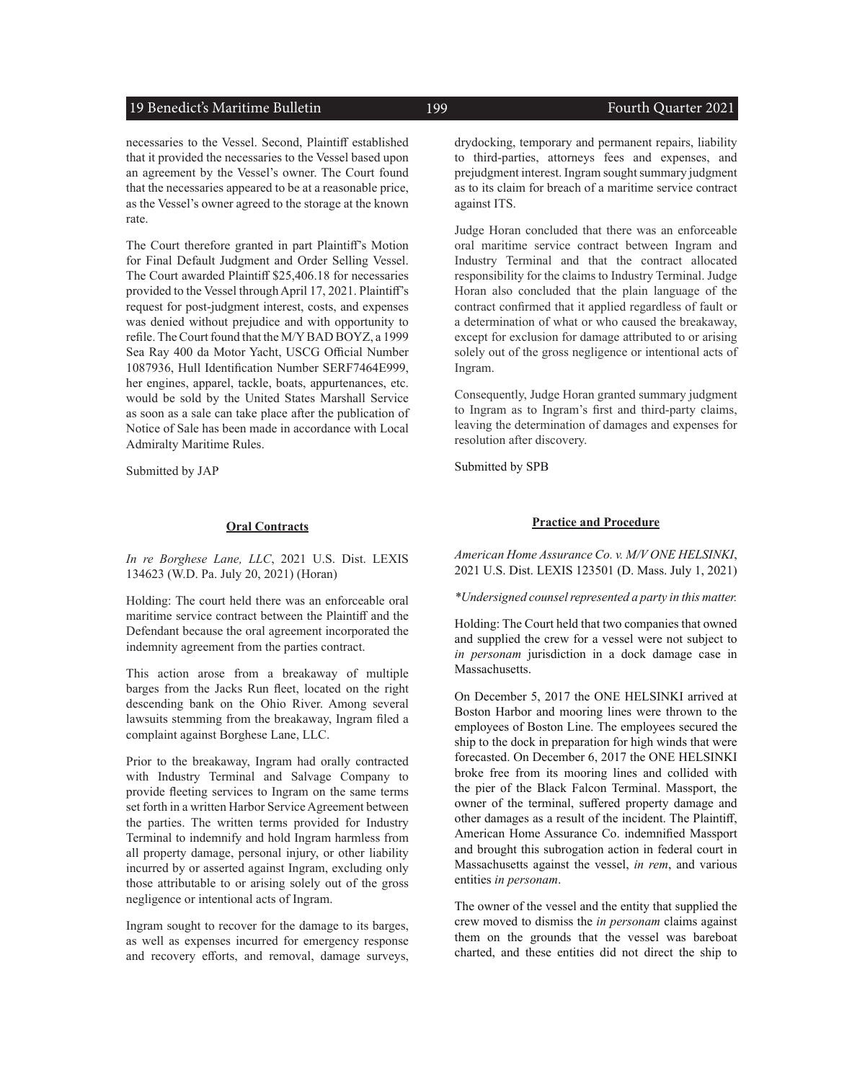### 19 Benedict's Maritime Bulletin 199 199 Fourth Quarter 2021

necessaries to the Vessel. Second, Plaintiff established that it provided the necessaries to the Vessel based upon an agreement by the Vessel's owner. The Court found that the necessaries appeared to be at a reasonable price, as the Vessel's owner agreed to the storage at the known rate.

The Court therefore granted in part Plaintiff's Motion for Final Default Judgment and Order Selling Vessel. The Court awarded Plaintiff \$25,406.18 for necessaries provided to the Vessel through April 17, 2021. Plaintiff's request for post-judgment interest, costs, and expenses was denied without prejudice and with opportunity to refile. The Court found that the M/Y BAD BOYZ, a 1999 Sea Ray 400 da Motor Yacht, USCG Official Number 1087936, Hull Identification Number SERF7464E999, her engines, apparel, tackle, boats, appurtenances, etc. would be sold by the United States Marshall Service as soon as a sale can take place after the publication of Notice of Sale has been made in accordance with Local Admiralty Maritime Rules.

Submitted by JAP

#### **Oral Contracts**

*In re Borghese Lane, LLC*, 2021 U.S. Dist. LEXIS 134623 (W.D. Pa. July 20, 2021) (Horan)

Holding: The court held there was an enforceable oral maritime service contract between the Plaintiff and the Defendant because the oral agreement incorporated the indemnity agreement from the parties contract.

This action arose from a breakaway of multiple barges from the Jacks Run fleet, located on the right descending bank on the Ohio River. Among several lawsuits stemming from the breakaway, Ingram filed a complaint against Borghese Lane, LLC.

Prior to the breakaway, Ingram had orally contracted with Industry Terminal and Salvage Company to provide fleeting services to Ingram on the same terms set forth in a written Harbor Service Agreement between the parties. The written terms provided for Industry Terminal to indemnify and hold Ingram harmless from all property damage, personal injury, or other liability incurred by or asserted against Ingram, excluding only those attributable to or arising solely out of the gross negligence or intentional acts of Ingram.

Ingram sought to recover for the damage to its barges, as well as expenses incurred for emergency response and recovery efforts, and removal, damage surveys, drydocking, temporary and permanent repairs, liability to third-parties, attorneys fees and expenses, and prejudgment interest. Ingram sought summary judgment as to its claim for breach of a maritime service contract against ITS.

Judge Horan concluded that there was an enforceable oral maritime service contract between Ingram and Industry Terminal and that the contract allocated responsibility for the claims to Industry Terminal. Judge Horan also concluded that the plain language of the contract confirmed that it applied regardless of fault or a determination of what or who caused the breakaway, except for exclusion for damage attributed to or arising solely out of the gross negligence or intentional acts of Ingram.

Consequently, Judge Horan granted summary judgment to Ingram as to Ingram's first and third-party claims, leaving the determination of damages and expenses for resolution after discovery.

Submitted by SPB

#### **Practice and Procedure**

*American Home Assurance Co. v. M/V ONE HELSINKI*, 2021 U.S. Dist. LEXIS 123501 (D. Mass. July 1, 2021)

*\*Undersigned counsel represented a party in this matter.* 

Holding: The Court held that two companies that owned and supplied the crew for a vessel were not subject to *in personam* jurisdiction in a dock damage case in Massachusetts.

On December 5, 2017 the ONE HELSINKI arrived at Boston Harbor and mooring lines were thrown to the employees of Boston Line. The employees secured the ship to the dock in preparation for high winds that were forecasted. On December 6, 2017 the ONE HELSINKI broke free from its mooring lines and collided with the pier of the Black Falcon Terminal. Massport, the owner of the terminal, suffered property damage and other damages as a result of the incident. The Plaintiff, American Home Assurance Co. indemnified Massport and brought this subrogation action in federal court in Massachusetts against the vessel, *in rem*, and various entities *in personam*.

The owner of the vessel and the entity that supplied the crew moved to dismiss the *in personam* claims against them on the grounds that the vessel was bareboat charted, and these entities did not direct the ship to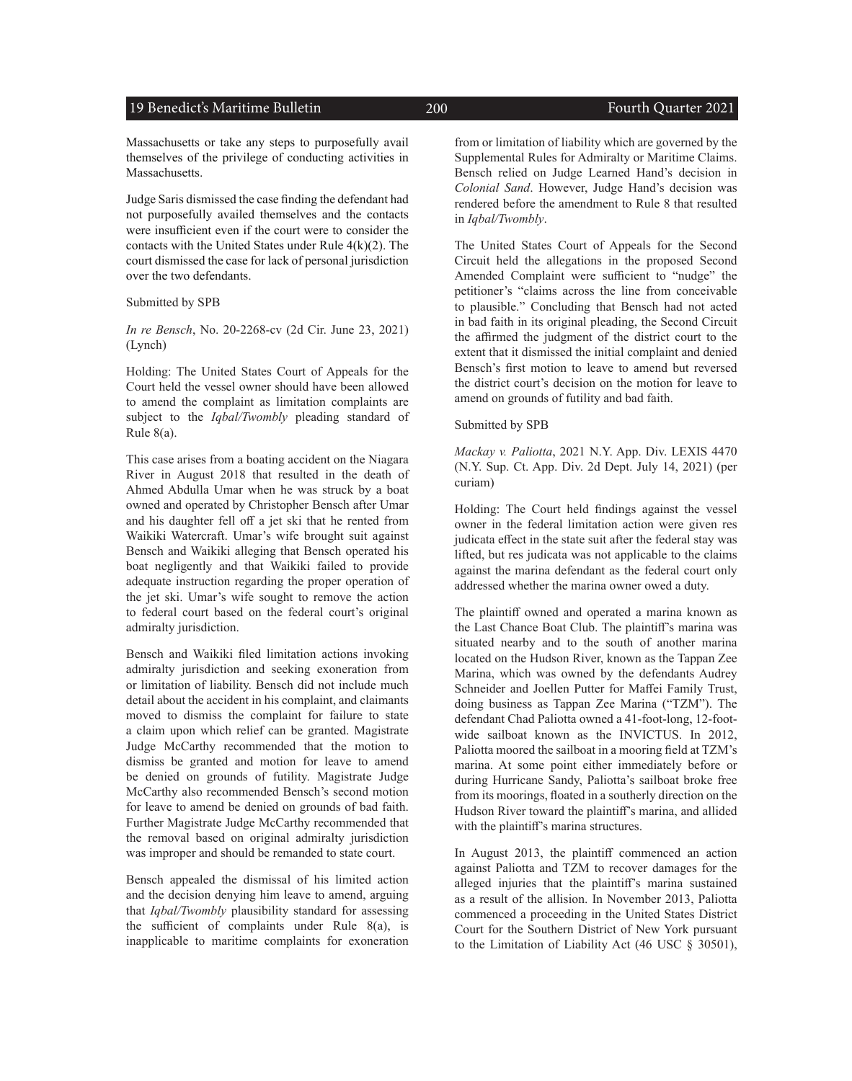### 19 Benedict's Maritime Bulletin 200 Fourth Quarter 2021

Massachusetts or take any steps to purposefully avail themselves of the privilege of conducting activities in Massachusetts.

Judge Saris dismissed the case finding the defendant had not purposefully availed themselves and the contacts were insufficient even if the court were to consider the contacts with the United States under Rule 4(k)(2). The court dismissed the case for lack of personal jurisdiction over the two defendants.

Submitted by SPB

*In re Bensch*, No. 20-2268-cv (2d Cir. June 23, 2021) (Lynch)

Holding: The United States Court of Appeals for the Court held the vessel owner should have been allowed to amend the complaint as limitation complaints are subject to the *Iqbal/Twombly* pleading standard of Rule 8(a).

This case arises from a boating accident on the Niagara River in August 2018 that resulted in the death of Ahmed Abdulla Umar when he was struck by a boat owned and operated by Christopher Bensch after Umar and his daughter fell off a jet ski that he rented from Waikiki Watercraft. Umar's wife brought suit against Bensch and Waikiki alleging that Bensch operated his boat negligently and that Waikiki failed to provide adequate instruction regarding the proper operation of the jet ski. Umar's wife sought to remove the action to federal court based on the federal court's original admiralty jurisdiction.

Bensch and Waikiki filed limitation actions invoking admiralty jurisdiction and seeking exoneration from or limitation of liability. Bensch did not include much detail about the accident in his complaint, and claimants moved to dismiss the complaint for failure to state a claim upon which relief can be granted. Magistrate Judge McCarthy recommended that the motion to dismiss be granted and motion for leave to amend be denied on grounds of futility. Magistrate Judge McCarthy also recommended Bensch's second motion for leave to amend be denied on grounds of bad faith. Further Magistrate Judge McCarthy recommended that the removal based on original admiralty jurisdiction was improper and should be remanded to state court.

Bensch appealed the dismissal of his limited action and the decision denying him leave to amend, arguing that *Iqbal/Twombly* plausibility standard for assessing the sufficient of complaints under Rule 8(a), is inapplicable to maritime complaints for exoneration

from or limitation of liability which are governed by the Supplemental Rules for Admiralty or Maritime Claims. Bensch relied on Judge Learned Hand's decision in *Colonial Sand*. However, Judge Hand's decision was rendered before the amendment to Rule 8 that resulted in *Iqbal/Twombly*.

The United States Court of Appeals for the Second Circuit held the allegations in the proposed Second Amended Complaint were sufficient to "nudge" the petitioner's "claims across the line from conceivable to plausible." Concluding that Bensch had not acted in bad faith in its original pleading, the Second Circuit the affirmed the judgment of the district court to the extent that it dismissed the initial complaint and denied Bensch's first motion to leave to amend but reversed the district court's decision on the motion for leave to amend on grounds of futility and bad faith.

#### Submitted by SPB

*Mackay v. Paliotta*, 2021 N.Y. App. Div. LEXIS 4470 (N.Y. Sup. Ct. App. Div. 2d Dept. July 14, 2021) (per curiam)

Holding: The Court held findings against the vessel owner in the federal limitation action were given res judicata effect in the state suit after the federal stay was lifted, but res judicata was not applicable to the claims against the marina defendant as the federal court only addressed whether the marina owner owed a duty.

The plaintiff owned and operated a marina known as the Last Chance Boat Club. The plaintiff's marina was situated nearby and to the south of another marina located on the Hudson River, known as the Tappan Zee Marina, which was owned by the defendants Audrey Schneider and Joellen Putter for Maffei Family Trust, doing business as Tappan Zee Marina ("TZM"). The defendant Chad Paliotta owned a 41-foot-long, 12-footwide sailboat known as the INVICTUS. In 2012, Paliotta moored the sailboat in a mooring field at TZM's marina. At some point either immediately before or during Hurricane Sandy, Paliotta's sailboat broke free from its moorings, floated in a southerly direction on the Hudson River toward the plaintiff's marina, and allided with the plaintiff's marina structures.

In August 2013, the plaintiff commenced an action against Paliotta and TZM to recover damages for the alleged injuries that the plaintiff's marina sustained as a result of the allision. In November 2013, Paliotta commenced a proceeding in the United States District Court for the Southern District of New York pursuant to the Limitation of Liability Act (46 USC § 30501),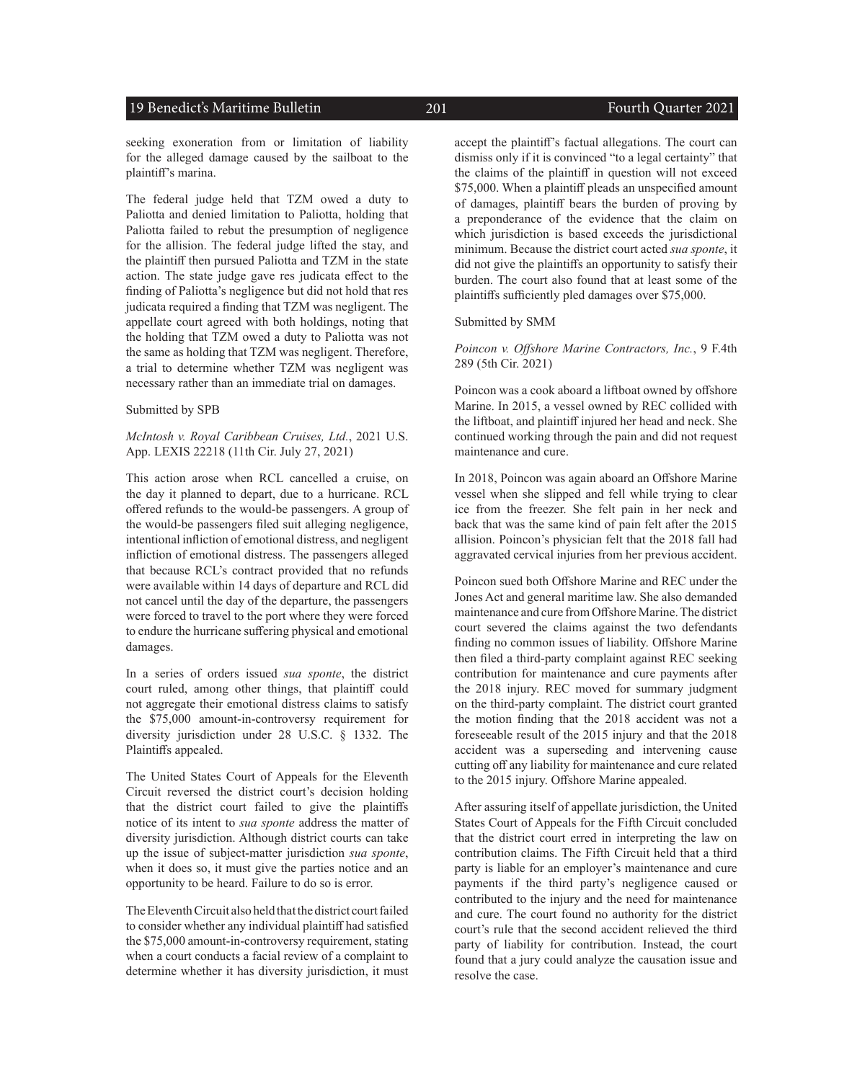#### 19 Benedict's Maritime Bulletin 201 201 Fourth Quarter 2021

seeking exoneration from or limitation of liability for the alleged damage caused by the sailboat to the plaintiff's marina.

The federal judge held that TZM owed a duty to Paliotta and denied limitation to Paliotta, holding that Paliotta failed to rebut the presumption of negligence for the allision. The federal judge lifted the stay, and the plaintiff then pursued Paliotta and TZM in the state action. The state judge gave res judicata effect to the finding of Paliotta's negligence but did not hold that res judicata required a finding that TZM was negligent. The appellate court agreed with both holdings, noting that the holding that TZM owed a duty to Paliotta was not the same as holding that TZM was negligent. Therefore, a trial to determine whether TZM was negligent was necessary rather than an immediate trial on damages.

#### Submitted by SPB

#### *McIntosh v. Royal Caribbean Cruises, Ltd.*, 2021 U.S. App. LEXIS 22218 (11th Cir. July 27, 2021)

This action arose when RCL cancelled a cruise, on the day it planned to depart, due to a hurricane. RCL offered refunds to the would-be passengers. A group of the would-be passengers filed suit alleging negligence, intentional infliction of emotional distress, and negligent infliction of emotional distress. The passengers alleged that because RCL's contract provided that no refunds were available within 14 days of departure and RCL did not cancel until the day of the departure, the passengers were forced to travel to the port where they were forced to endure the hurricane suffering physical and emotional damages.

In a series of orders issued *sua sponte*, the district court ruled, among other things, that plaintiff could not aggregate their emotional distress claims to satisfy the \$75,000 amount-in-controversy requirement for diversity jurisdiction under 28 U.S.C. § 1332. The Plaintiffs appealed.

The United States Court of Appeals for the Eleventh Circuit reversed the district court's decision holding that the district court failed to give the plaintiffs notice of its intent to *sua sponte* address the matter of diversity jurisdiction. Although district courts can take up the issue of subject-matter jurisdiction *sua sponte*, when it does so, it must give the parties notice and an opportunity to be heard. Failure to do so is error.

The Eleventh Circuit also held that the district court failed to consider whether any individual plaintiff had satisfied the \$75,000 amount-in-controversy requirement, stating when a court conducts a facial review of a complaint to determine whether it has diversity jurisdiction, it must accept the plaintiff's factual allegations. The court can dismiss only if it is convinced "to a legal certainty" that the claims of the plaintiff in question will not exceed \$75,000. When a plaintiff pleads an unspecified amount of damages, plaintiff bears the burden of proving by a preponderance of the evidence that the claim on which jurisdiction is based exceeds the jurisdictional minimum. Because the district court acted *sua sponte*, it did not give the plaintiffs an opportunity to satisfy their burden. The court also found that at least some of the plaintiffs sufficiently pled damages over \$75,000.

Submitted by SMM

*Poincon v. Offshore Marine Contractors, Inc.*, 9 F.4th 289 (5th Cir. 2021)

Poincon was a cook aboard a liftboat owned by offshore Marine. In 2015, a vessel owned by REC collided with the liftboat, and plaintiff injured her head and neck. She continued working through the pain and did not request maintenance and cure.

In 2018, Poincon was again aboard an Offshore Marine vessel when she slipped and fell while trying to clear ice from the freezer. She felt pain in her neck and back that was the same kind of pain felt after the 2015 allision. Poincon's physician felt that the 2018 fall had aggravated cervical injuries from her previous accident.

Poincon sued both Offshore Marine and REC under the Jones Act and general maritime law. She also demanded maintenance and cure from Offshore Marine. The district court severed the claims against the two defendants finding no common issues of liability. Offshore Marine then filed a third-party complaint against REC seeking contribution for maintenance and cure payments after the 2018 injury. REC moved for summary judgment on the third-party complaint. The district court granted the motion finding that the 2018 accident was not a foreseeable result of the 2015 injury and that the 2018 accident was a superseding and intervening cause cutting off any liability for maintenance and cure related to the 2015 injury. Offshore Marine appealed.

After assuring itself of appellate jurisdiction, the United States Court of Appeals for the Fifth Circuit concluded that the district court erred in interpreting the law on contribution claims. The Fifth Circuit held that a third party is liable for an employer's maintenance and cure payments if the third party's negligence caused or contributed to the injury and the need for maintenance and cure. The court found no authority for the district court's rule that the second accident relieved the third party of liability for contribution. Instead, the court found that a jury could analyze the causation issue and resolve the case.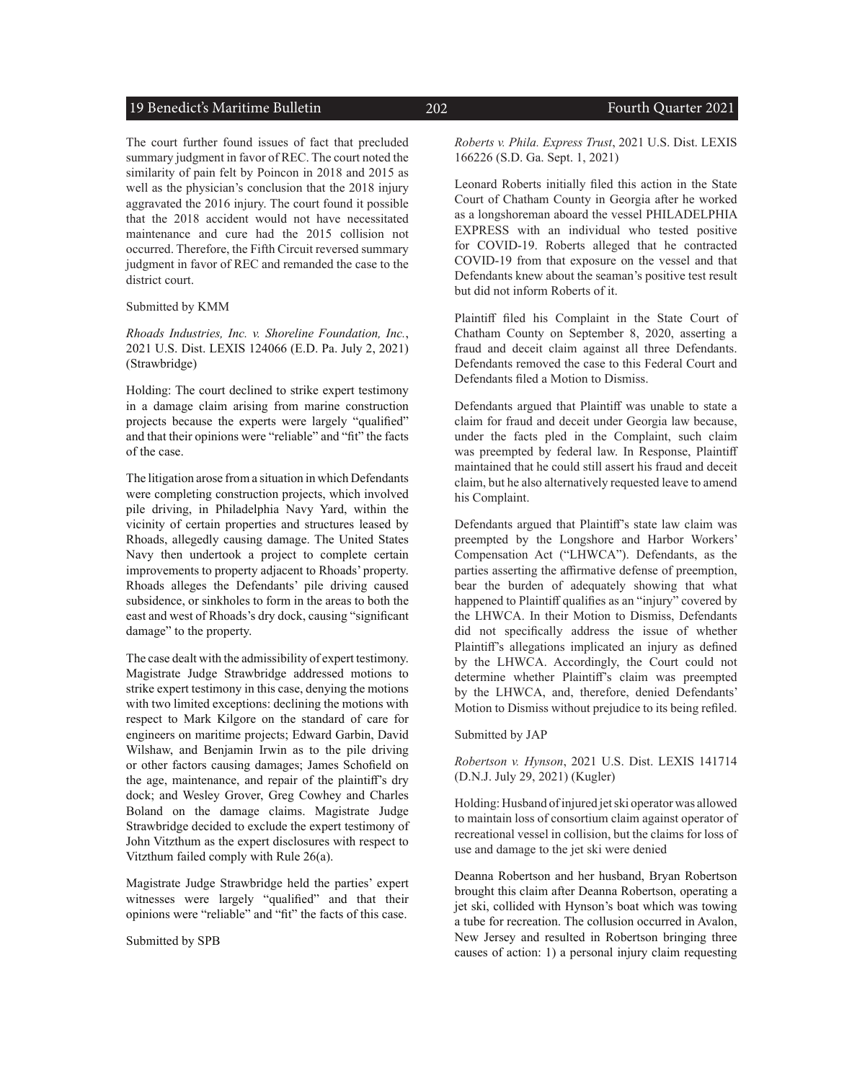#### 19 Benedict's Maritime Bulletin 202 Fourth Quarter 2021

The court further found issues of fact that precluded summary judgment in favor of REC. The court noted the similarity of pain felt by Poincon in 2018 and 2015 as well as the physician's conclusion that the 2018 injury aggravated the 2016 injury. The court found it possible that the 2018 accident would not have necessitated maintenance and cure had the 2015 collision not occurred. Therefore, the Fifth Circuit reversed summary judgment in favor of REC and remanded the case to the district court.

Submitted by KMM

*Rhoads Industries, Inc. v. Shoreline Foundation, Inc.*, 2021 U.S. Dist. LEXIS 124066 (E.D. Pa. July 2, 2021) (Strawbridge)

Holding: The court declined to strike expert testimony in a damage claim arising from marine construction projects because the experts were largely "qualified" and that their opinions were "reliable" and "fit" the facts of the case.

The litigation arose from a situation in which Defendants were completing construction projects, which involved pile driving, in Philadelphia Navy Yard, within the vicinity of certain properties and structures leased by Rhoads, allegedly causing damage. The United States Navy then undertook a project to complete certain improvements to property adjacent to Rhoads' property. Rhoads alleges the Defendants' pile driving caused subsidence, or sinkholes to form in the areas to both the east and west of Rhoads's dry dock, causing "significant damage" to the property.

The case dealt with the admissibility of expert testimony. Magistrate Judge Strawbridge addressed motions to strike expert testimony in this case, denying the motions with two limited exceptions: declining the motions with respect to Mark Kilgore on the standard of care for engineers on maritime projects; Edward Garbin, David Wilshaw, and Benjamin Irwin as to the pile driving or other factors causing damages; James Schofield on the age, maintenance, and repair of the plaintiff's dry dock; and Wesley Grover, Greg Cowhey and Charles Boland on the damage claims. Magistrate Judge Strawbridge decided to exclude the expert testimony of John Vitzthum as the expert disclosures with respect to Vitzthum failed comply with Rule 26(a).

Magistrate Judge Strawbridge held the parties' expert witnesses were largely "qualified" and that their opinions were "reliable" and "fit" the facts of this case.

Submitted by SPB

*Roberts v. Phila. Express Trust*, 2021 U.S. Dist. LEXIS 166226 (S.D. Ga. Sept. 1, 2021)

Leonard Roberts initially filed this action in the State Court of Chatham County in Georgia after he worked as a longshoreman aboard the vessel PHILADELPHIA EXPRESS with an individual who tested positive for COVID-19. Roberts alleged that he contracted COVID-19 from that exposure on the vessel and that Defendants knew about the seaman's positive test result but did not inform Roberts of it.

Plaintiff filed his Complaint in the State Court of Chatham County on September 8, 2020, asserting a fraud and deceit claim against all three Defendants. Defendants removed the case to this Federal Court and Defendants filed a Motion to Dismiss.

Defendants argued that Plaintiff was unable to state a claim for fraud and deceit under Georgia law because, under the facts pled in the Complaint, such claim was preempted by federal law. In Response, Plaintiff maintained that he could still assert his fraud and deceit claim, but he also alternatively requested leave to amend his Complaint.

Defendants argued that Plaintiff's state law claim was preempted by the Longshore and Harbor Workers' Compensation Act ("LHWCA"). Defendants, as the parties asserting the affirmative defense of preemption, bear the burden of adequately showing that what happened to Plaintiff qualifies as an "injury" covered by the LHWCA. In their Motion to Dismiss, Defendants did not specifically address the issue of whether Plaintiff's allegations implicated an injury as defined by the LHWCA. Accordingly, the Court could not determine whether Plaintiff's claim was preempted by the LHWCA, and, therefore, denied Defendants' Motion to Dismiss without prejudice to its being refiled.

Submitted by JAP

*Robertson v. Hynson*, 2021 U.S. Dist. LEXIS 141714 (D.N.J. July 29, 2021) (Kugler)

Holding: Husband of injured jet ski operator was allowed to maintain loss of consortium claim against operator of recreational vessel in collision, but the claims for loss of use and damage to the jet ski were denied

Deanna Robertson and her husband, Bryan Robertson brought this claim after Deanna Robertson, operating a jet ski, collided with Hynson's boat which was towing a tube for recreation. The collusion occurred in Avalon, New Jersey and resulted in Robertson bringing three causes of action: 1) a personal injury claim requesting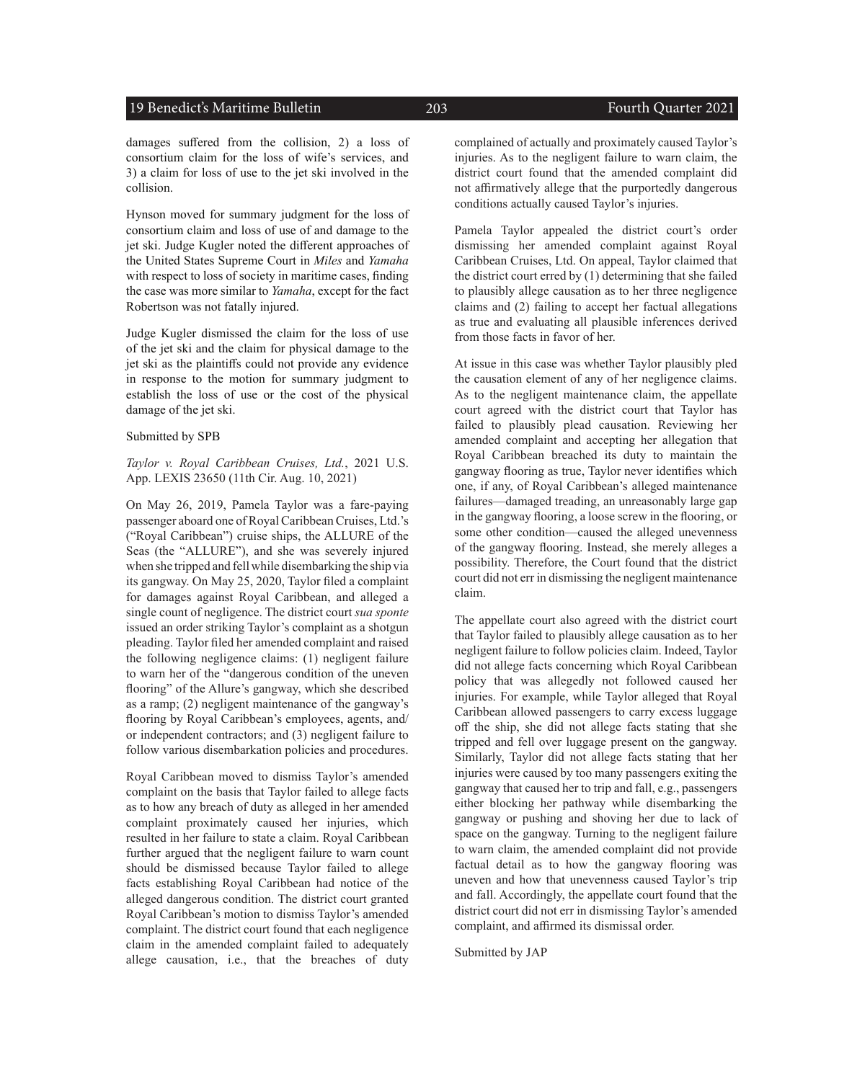#### 19 Benedict's Maritime Bulletin 203 Fourth Quarter 2021

damages suffered from the collision, 2) a loss of consortium claim for the loss of wife's services, and 3) a claim for loss of use to the jet ski involved in the collision.

Hynson moved for summary judgment for the loss of consortium claim and loss of use of and damage to the jet ski. Judge Kugler noted the different approaches of the United States Supreme Court in *Miles* and *Yamaha* with respect to loss of society in maritime cases, finding the case was more similar to *Yamaha*, except for the fact Robertson was not fatally injured.

Judge Kugler dismissed the claim for the loss of use of the jet ski and the claim for physical damage to the jet ski as the plaintiffs could not provide any evidence in response to the motion for summary judgment to establish the loss of use or the cost of the physical damage of the jet ski.

#### Submitted by SPB

*Taylor v. Royal Caribbean Cruises, Ltd.*, 2021 U.S. App. LEXIS 23650 (11th Cir. Aug. 10, 2021)

On May 26, 2019, Pamela Taylor was a fare-paying passenger aboard one of Royal Caribbean Cruises, Ltd.'s ("Royal Caribbean") cruise ships, the ALLURE of the Seas (the "ALLURE"), and she was severely injured when she tripped and fell while disembarking the ship via its gangway. On May 25, 2020, Taylor filed a complaint for damages against Royal Caribbean, and alleged a single count of negligence. The district court *sua sponte* issued an order striking Taylor's complaint as a shotgun pleading. Taylor filed her amended complaint and raised the following negligence claims: (1) negligent failure to warn her of the "dangerous condition of the uneven flooring" of the Allure's gangway, which she described as a ramp; (2) negligent maintenance of the gangway's flooring by Royal Caribbean's employees, agents, and/ or independent contractors; and (3) negligent failure to follow various disembarkation policies and procedures.

Royal Caribbean moved to dismiss Taylor's amended complaint on the basis that Taylor failed to allege facts as to how any breach of duty as alleged in her amended complaint proximately caused her injuries, which resulted in her failure to state a claim. Royal Caribbean further argued that the negligent failure to warn count should be dismissed because Taylor failed to allege facts establishing Royal Caribbean had notice of the alleged dangerous condition. The district court granted Royal Caribbean's motion to dismiss Taylor's amended complaint. The district court found that each negligence claim in the amended complaint failed to adequately allege causation, i.e., that the breaches of duty

complained of actually and proximately caused Taylor's injuries. As to the negligent failure to warn claim, the district court found that the amended complaint did not affirmatively allege that the purportedly dangerous conditions actually caused Taylor's injuries.

Pamela Taylor appealed the district court's order dismissing her amended complaint against Royal Caribbean Cruises, Ltd. On appeal, Taylor claimed that the district court erred by (1) determining that she failed to plausibly allege causation as to her three negligence claims and (2) failing to accept her factual allegations as true and evaluating all plausible inferences derived from those facts in favor of her.

At issue in this case was whether Taylor plausibly pled the causation element of any of her negligence claims. As to the negligent maintenance claim, the appellate court agreed with the district court that Taylor has failed to plausibly plead causation. Reviewing her amended complaint and accepting her allegation that Royal Caribbean breached its duty to maintain the gangway flooring as true, Taylor never identifies which one, if any, of Royal Caribbean's alleged maintenance failures—damaged treading, an unreasonably large gap in the gangway flooring, a loose screw in the flooring, or some other condition—caused the alleged unevenness of the gangway flooring. Instead, she merely alleges a possibility. Therefore, the Court found that the district court did not err in dismissing the negligent maintenance claim.

The appellate court also agreed with the district court that Taylor failed to plausibly allege causation as to her negligent failure to follow policies claim. Indeed, Taylor did not allege facts concerning which Royal Caribbean policy that was allegedly not followed caused her injuries. For example, while Taylor alleged that Royal Caribbean allowed passengers to carry excess luggage off the ship, she did not allege facts stating that she tripped and fell over luggage present on the gangway. Similarly, Taylor did not allege facts stating that her injuries were caused by too many passengers exiting the gangway that caused her to trip and fall, e.g., passengers either blocking her pathway while disembarking the gangway or pushing and shoving her due to lack of space on the gangway. Turning to the negligent failure to warn claim, the amended complaint did not provide factual detail as to how the gangway flooring was uneven and how that unevenness caused Taylor's trip and fall. Accordingly, the appellate court found that the district court did not err in dismissing Taylor's amended complaint, and affirmed its dismissal order.

Submitted by JAP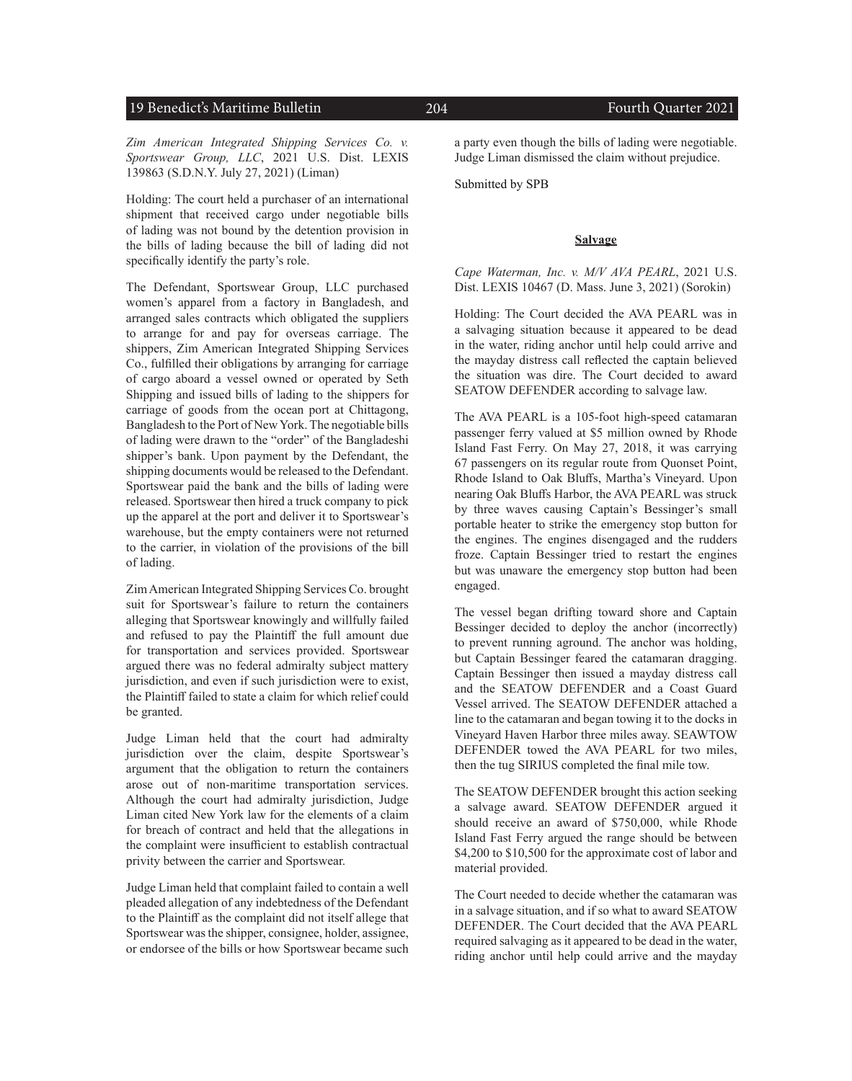#### 19 Benedict's Maritime Bulletin 204 Fourth Quarter 2021

*Zim American Integrated Shipping Services Co. v. Sportswear Group, LLC*, 2021 U.S. Dist. LEXIS 139863 (S.D.N.Y. July 27, 2021) (Liman)

Holding: The court held a purchaser of an international shipment that received cargo under negotiable bills of lading was not bound by the detention provision in the bills of lading because the bill of lading did not specifically identify the party's role.

The Defendant, Sportswear Group, LLC purchased women's apparel from a factory in Bangladesh, and arranged sales contracts which obligated the suppliers to arrange for and pay for overseas carriage. The shippers, Zim American Integrated Shipping Services Co., fulfilled their obligations by arranging for carriage of cargo aboard a vessel owned or operated by Seth Shipping and issued bills of lading to the shippers for carriage of goods from the ocean port at Chittagong, Bangladesh to the Port of New York. The negotiable bills of lading were drawn to the "order" of the Bangladeshi shipper's bank. Upon payment by the Defendant, the shipping documents would be released to the Defendant. Sportswear paid the bank and the bills of lading were released. Sportswear then hired a truck company to pick up the apparel at the port and deliver it to Sportswear's warehouse, but the empty containers were not returned to the carrier, in violation of the provisions of the bill of lading.

Zim American Integrated Shipping Services Co. brought suit for Sportswear's failure to return the containers alleging that Sportswear knowingly and willfully failed and refused to pay the Plaintiff the full amount due for transportation and services provided. Sportswear argued there was no federal admiralty subject mattery jurisdiction, and even if such jurisdiction were to exist, the Plaintiff failed to state a claim for which relief could be granted.

Judge Liman held that the court had admiralty jurisdiction over the claim, despite Sportswear's argument that the obligation to return the containers arose out of non-maritime transportation services. Although the court had admiralty jurisdiction, Judge Liman cited New York law for the elements of a claim for breach of contract and held that the allegations in the complaint were insufficient to establish contractual privity between the carrier and Sportswear.

Judge Liman held that complaint failed to contain a well pleaded allegation of any indebtedness of the Defendant to the Plaintiff as the complaint did not itself allege that Sportswear was the shipper, consignee, holder, assignee, or endorsee of the bills or how Sportswear became such

a party even though the bills of lading were negotiable. Judge Liman dismissed the claim without prejudice.

Submitted by SPB

#### **Salvage**

*Cape Waterman, Inc. v. M/V AVA PEARL*, 2021 U.S. Dist. LEXIS 10467 (D. Mass. June 3, 2021) (Sorokin)

Holding: The Court decided the AVA PEARL was in a salvaging situation because it appeared to be dead in the water, riding anchor until help could arrive and the mayday distress call reflected the captain believed the situation was dire. The Court decided to award SEATOW DEFENDER according to salvage law.

The AVA PEARL is a 105-foot high-speed catamaran passenger ferry valued at \$5 million owned by Rhode Island Fast Ferry. On May 27, 2018, it was carrying 67 passengers on its regular route from Quonset Point, Rhode Island to Oak Bluffs, Martha's Vineyard. Upon nearing Oak Bluffs Harbor, the AVA PEARL was struck by three waves causing Captain's Bessinger's small portable heater to strike the emergency stop button for the engines. The engines disengaged and the rudders froze. Captain Bessinger tried to restart the engines but was unaware the emergency stop button had been engaged.

The vessel began drifting toward shore and Captain Bessinger decided to deploy the anchor (incorrectly) to prevent running aground. The anchor was holding, but Captain Bessinger feared the catamaran dragging. Captain Bessinger then issued a mayday distress call and the SEATOW DEFENDER and a Coast Guard Vessel arrived. The SEATOW DEFENDER attached a line to the catamaran and began towing it to the docks in Vineyard Haven Harbor three miles away. SEAWTOW DEFENDER towed the AVA PEARL for two miles, then the tug SIRIUS completed the final mile tow.

The SEATOW DEFENDER brought this action seeking a salvage award. SEATOW DEFENDER argued it should receive an award of \$750,000, while Rhode Island Fast Ferry argued the range should be between \$4,200 to \$10,500 for the approximate cost of labor and material provided.

The Court needed to decide whether the catamaran was in a salvage situation, and if so what to award SEATOW DEFENDER. The Court decided that the AVA PEARL required salvaging as it appeared to be dead in the water, riding anchor until help could arrive and the mayday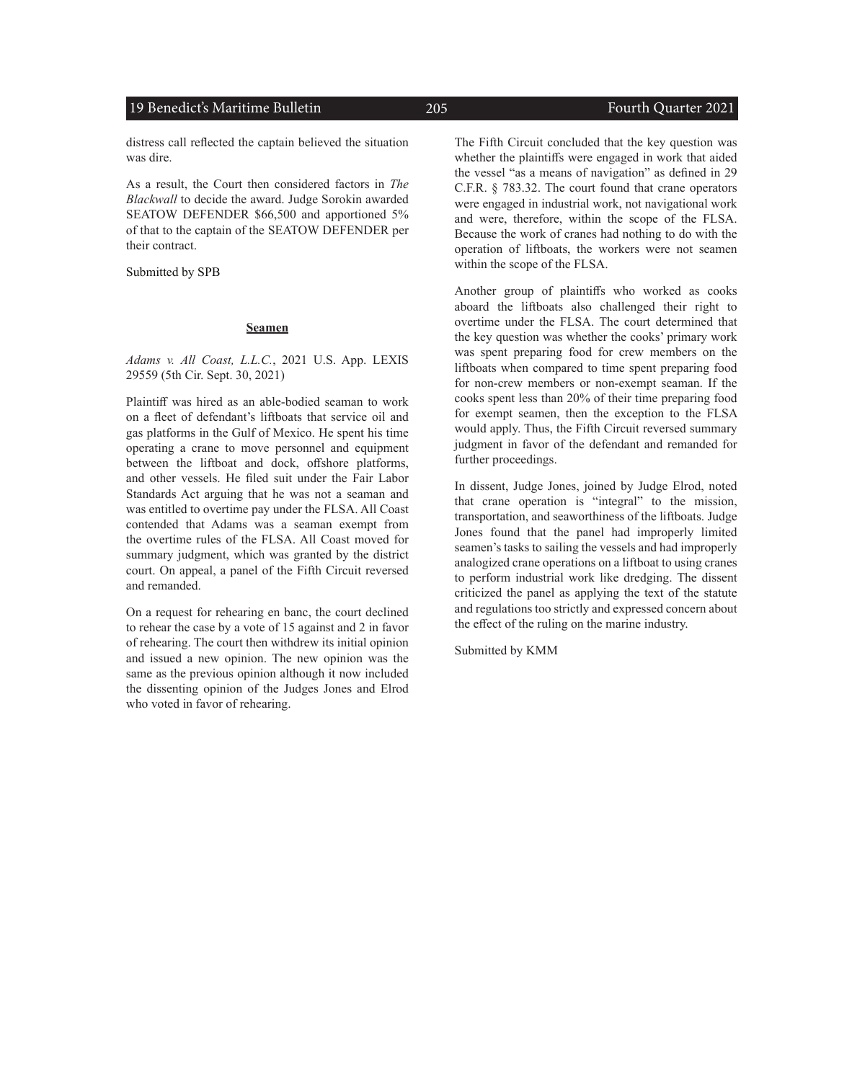#### 19 Benedict's Maritime Bulletin 205 Fourth Quarter 2021

distress call reflected the captain believed the situation was dire.

As a result, the Court then considered factors in *The Blackwall* to decide the award. Judge Sorokin awarded SEATOW DEFENDER \$66,500 and apportioned 5% of that to the captain of the SEATOW DEFENDER per their contract.

Submitted by SPB

#### **Seamen**

*Adams v. All Coast, L.L.C.*, 2021 U.S. App. LEXIS 29559 (5th Cir. Sept. 30, 2021)

Plaintiff was hired as an able-bodied seaman to work on a fleet of defendant's liftboats that service oil and gas platforms in the Gulf of Mexico. He spent his time operating a crane to move personnel and equipment between the liftboat and dock, offshore platforms, and other vessels. He filed suit under the Fair Labor Standards Act arguing that he was not a seaman and was entitled to overtime pay under the FLSA. All Coast contended that Adams was a seaman exempt from the overtime rules of the FLSA. All Coast moved for summary judgment, which was granted by the district court. On appeal, a panel of the Fifth Circuit reversed and remanded.

On a request for rehearing en banc, the court declined to rehear the case by a vote of 15 against and 2 in favor of rehearing. The court then withdrew its initial opinion and issued a new opinion. The new opinion was the same as the previous opinion although it now included the dissenting opinion of the Judges Jones and Elrod who voted in favor of rehearing.

The Fifth Circuit concluded that the key question was whether the plaintiffs were engaged in work that aided the vessel "as a means of navigation" as defined in 29 C.F.R. § 783.32. The court found that crane operators were engaged in industrial work, not navigational work and were, therefore, within the scope of the FLSA. Because the work of cranes had nothing to do with the operation of liftboats, the workers were not seamen within the scope of the FLSA.

Another group of plaintiffs who worked as cooks aboard the liftboats also challenged their right to overtime under the FLSA. The court determined that the key question was whether the cooks' primary work was spent preparing food for crew members on the liftboats when compared to time spent preparing food for non-crew members or non-exempt seaman. If the cooks spent less than 20% of their time preparing food for exempt seamen, then the exception to the FLSA would apply. Thus, the Fifth Circuit reversed summary judgment in favor of the defendant and remanded for further proceedings.

In dissent, Judge Jones, joined by Judge Elrod, noted that crane operation is "integral" to the mission, transportation, and seaworthiness of the liftboats. Judge Jones found that the panel had improperly limited seamen's tasks to sailing the vessels and had improperly analogized crane operations on a liftboat to using cranes to perform industrial work like dredging. The dissent criticized the panel as applying the text of the statute and regulations too strictly and expressed concern about the effect of the ruling on the marine industry.

Submitted by KMM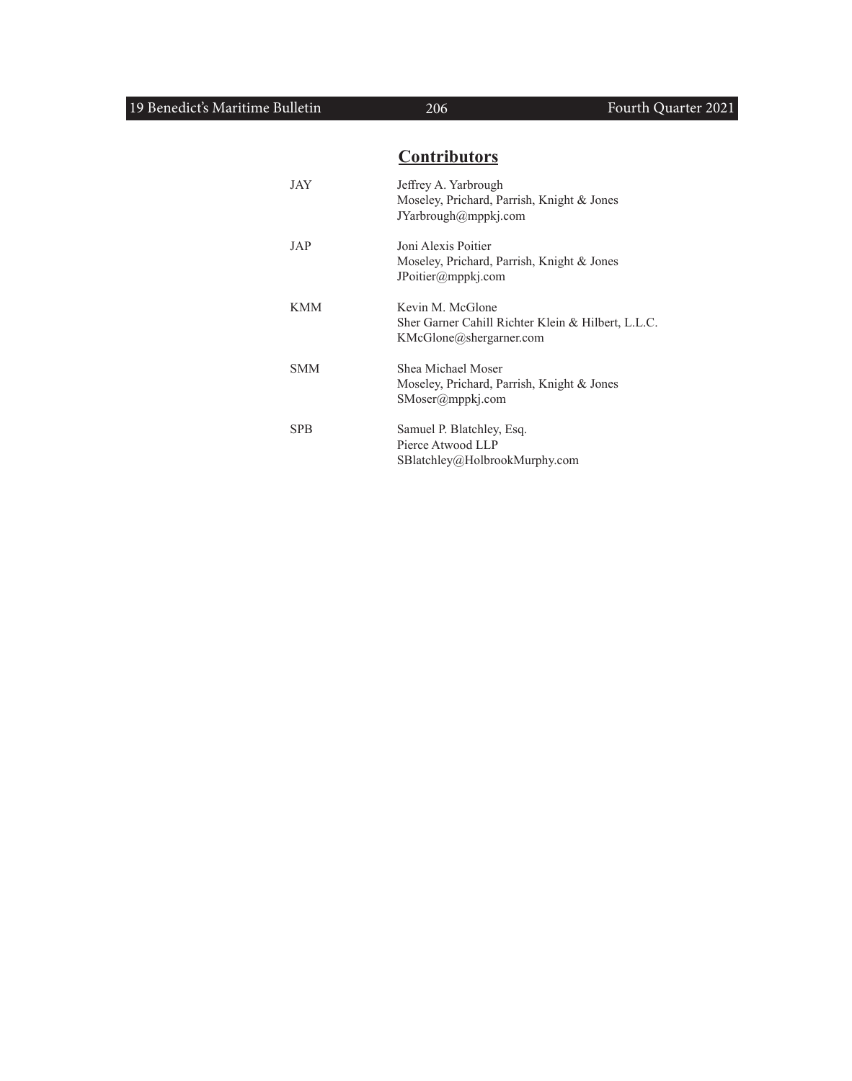## **Contributors**

| JAY        | Jeffrey A. Yarbrough<br>Moseley, Prichard, Parrish, Knight & Jones<br>JYarbrough@mppkj.com        |
|------------|---------------------------------------------------------------------------------------------------|
| JAP        | Joni Alexis Poitier<br>Moseley, Prichard, Parrish, Knight & Jones<br>JPoitier@mppkj.com           |
| KMM        | Kevin M. McGlone<br>Sher Garner Cahill Richter Klein & Hilbert, L.L.C.<br>KMcGlone@shergarner.com |
| SMM        | Shea Michael Moser<br>Moseley, Prichard, Parrish, Knight & Jones<br>$SMoser(\omega$ mppkj.com     |
| <b>SPB</b> | Samuel P. Blatchley, Esq.<br>Pierce Atwood LLP<br>SBlatchley@HolbrookMurphy.com                   |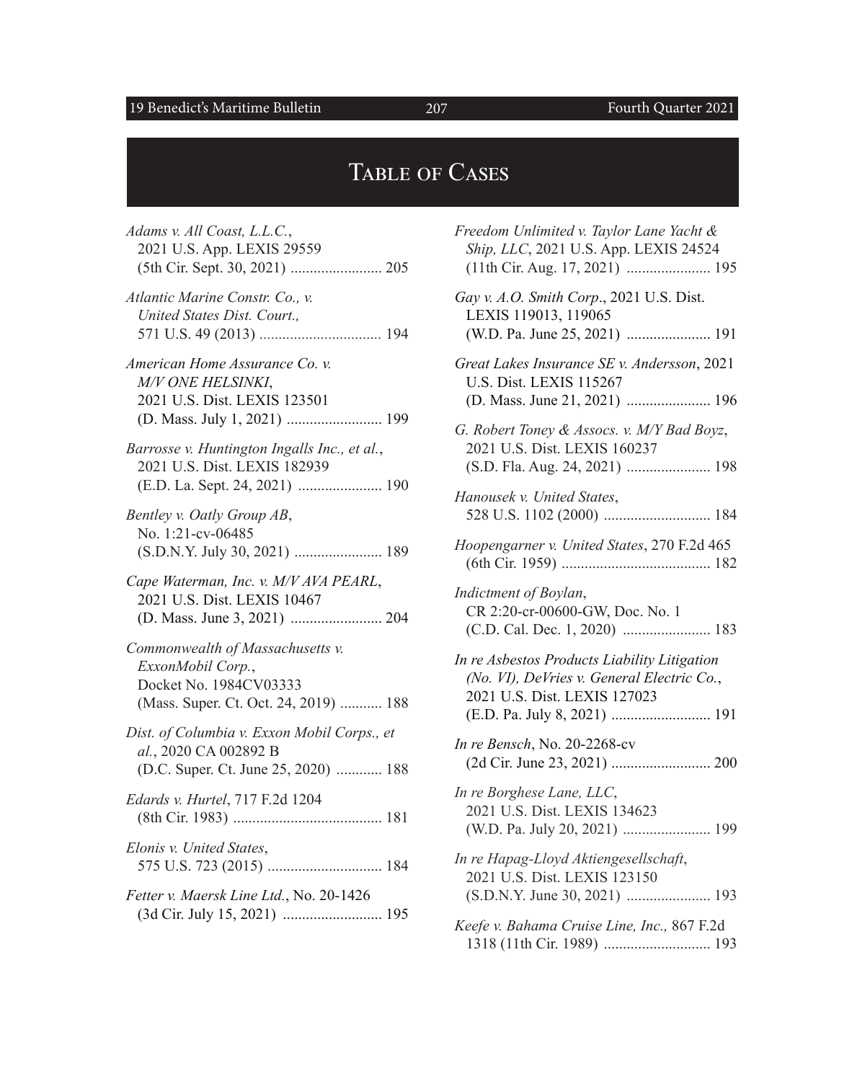## 19 Benedict's Maritime Bulletin 207 Fourth Quarter 2021

# TABLE OF CASES

| Freedom Unlimited v. Taylor Lane Yacht &<br>Ship, LLC, 2021 U.S. App. LEXIS 24524<br>(11th Cir. Aug. 17, 2021)  195        |
|----------------------------------------------------------------------------------------------------------------------------|
| Gay v. A.O. Smith Corp., 2021 U.S. Dist.<br>LEXIS 119013, 119065                                                           |
| Great Lakes Insurance SE v. Andersson, 2021<br><b>U.S. Dist. LEXIS 115267</b>                                              |
| G. Robert Toney & Assocs. v. M/Y Bad Boyz,<br>2021 U.S. Dist. LEXIS 160237                                                 |
| Hanousek v. United States,                                                                                                 |
| Hoopengarner v. United States, 270 F.2d 465                                                                                |
| Indictment of Boylan,<br>CR 2:20-cr-00600-GW, Doc. No. 1                                                                   |
| In re Asbestos Products Liability Litigation<br>(No. VI), DeVries v. General Electric Co.,<br>2021 U.S. Dist. LEXIS 127023 |
| <i>In re Bensch</i> , No. 20-2268-cv                                                                                       |
| In re Borghese Lane, LLC,<br>2021 U.S. Dist. LEXIS 134623                                                                  |
| In re Hapag-Lloyd Aktiengesellschaft,<br>2021 U.S. Dist. LEXIS 123150                                                      |
| Keefe v. Bahama Cruise Line, Inc., 867 F.2d                                                                                |

1318 (11th Cir. 1989) ............................ 193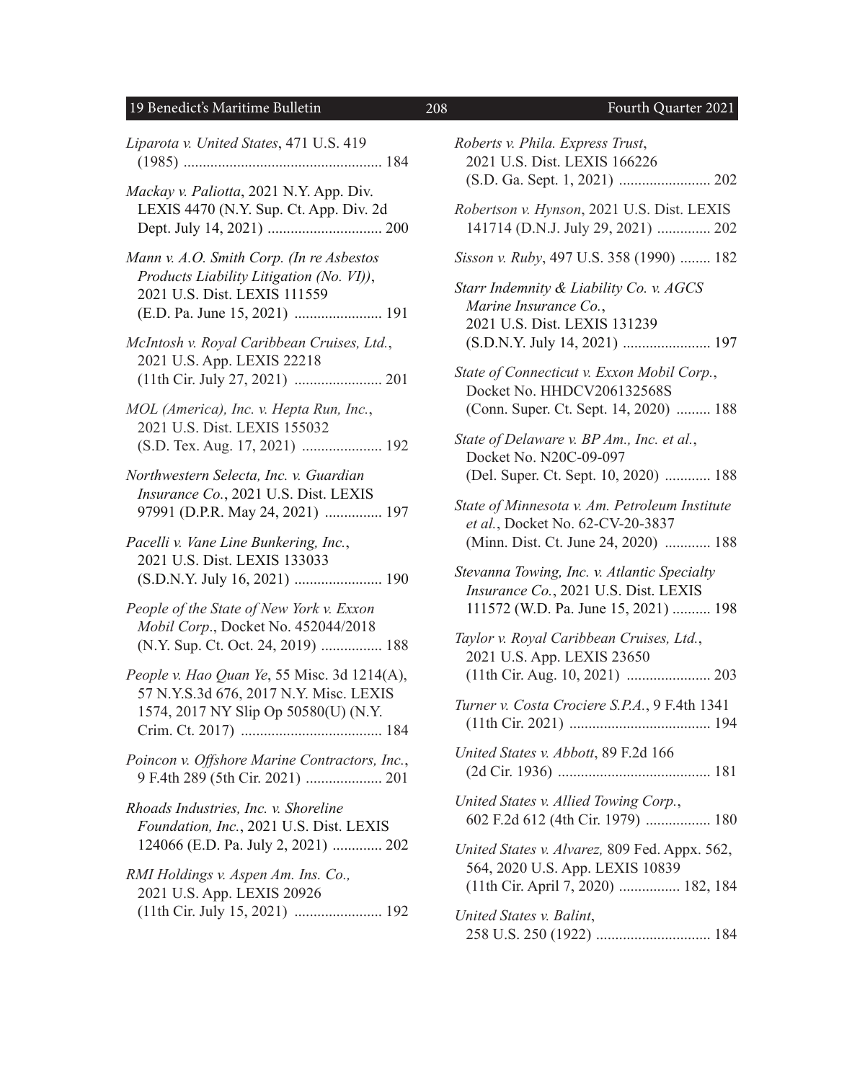## 19 Benedict's Maritime Bulletin 208 Fourth Quarter 2021

| Liparota v. United States, 471 U.S. 419                                                                                       |
|-------------------------------------------------------------------------------------------------------------------------------|
| Mackay v. Paliotta, 2021 N.Y. App. Div.<br>LEXIS 4470 (N.Y. Sup. Ct. App. Div. 2d                                             |
| Mann v. A.O. Smith Corp. (In re Asbestos<br>Products Liability Litigation (No. VI)),<br>2021 U.S. Dist. LEXIS 111559          |
| McIntosh v. Royal Caribbean Cruises, Ltd.,<br>2021 U.S. App. LEXIS 22218                                                      |
| MOL (America), Inc. v. Hepta Run, Inc.,<br>2021 U.S. Dist. LEXIS 155032<br>(S.D. Tex. Aug. 17, 2021)  192                     |
| Northwestern Selecta, Inc. v. Guardian<br>Insurance Co., 2021 U.S. Dist. LEXIS<br>97991 (D.P.R. May 24, 2021)  197            |
| Pacelli v. Vane Line Bunkering, Inc.,<br>2021 U.S. Dist. LEXIS 133033                                                         |
| People of the State of New York v. Exxon<br>Mobil Corp., Docket No. 452044/2018<br>(N.Y. Sup. Ct. Oct. 24, 2019)  188         |
| People v. Hao Quan Ye, 55 Misc. 3d 1214(A),<br>57 N.Y.S.3d 676, 2017 N.Y. Misc. LEXIS<br>1574, 2017 NY Slip Op 50580(U) (N.Y. |
| Poincon v. Offshore Marine Contractors, Inc.,                                                                                 |
| Rhoads Industries, Inc. v. Shoreline<br>Foundation, Inc., 2021 U.S. Dist. LEXIS<br>124066 (E.D. Pa. July 2, 2021)  202        |
| RMI Holdings v. Aspen Am. Ins. Co.,<br>2021 U.S. App. LEXIS 20926<br>(11th Cir. July 15, 2021)  192                           |

| Roberts v. Phila. Express Trust,<br>2021 U.S. Dist. LEXIS 166226                                                                  |
|-----------------------------------------------------------------------------------------------------------------------------------|
| Robertson v. Hynson, 2021 U.S. Dist. LEXIS<br>141714 (D.N.J. July 29, 2021)  202                                                  |
| Sisson v. Ruby, 497 U.S. 358 (1990)  182                                                                                          |
| Starr Indemnity & Liability Co. v. AGCS<br>Marine Insurance Co.,<br>2021 U.S. Dist. LEXIS 131239<br>(S.D.N.Y. July 14, 2021)  197 |
| State of Connecticut v. Exxon Mobil Corp.,<br>Docket No. HHDCV206132568S<br>(Conn. Super. Ct. Sept. 14, 2020)  188                |
| State of Delaware v. BP Am., Inc. et al.,<br>Docket No. N20C-09-097<br>(Del. Super. Ct. Sept. 10, 2020)  188                      |
| State of Minnesota v. Am. Petroleum Institute<br>et al., Docket No. 62-CV-20-3837<br>(Minn. Dist. Ct. June 24, 2020)  188         |
| Stevanna Towing, Inc. v. Atlantic Specialty<br>Insurance Co., 2021 U.S. Dist. LEXIS<br>111572 (W.D. Pa. June 15, 2021)  198       |
| Taylor v. Royal Caribbean Cruises, Ltd.,<br>2021 U.S. App. LEXIS 23650                                                            |
| Turner v. Costa Crociere S.P.A., 9 F.4th 1341                                                                                     |
| United States v. Abbott, 89 F.2d 166                                                                                              |
| United States v. Allied Towing Corp.,<br>602 F.2d 612 (4th Cir. 1979)  180                                                        |
| United States v. Alvarez, 809 Fed. Appx. 562,<br>564, 2020 U.S. App. LEXIS 10839<br>(11th Cir. April 7, 2020)  182, 184           |
| United States v. Balint,                                                                                                          |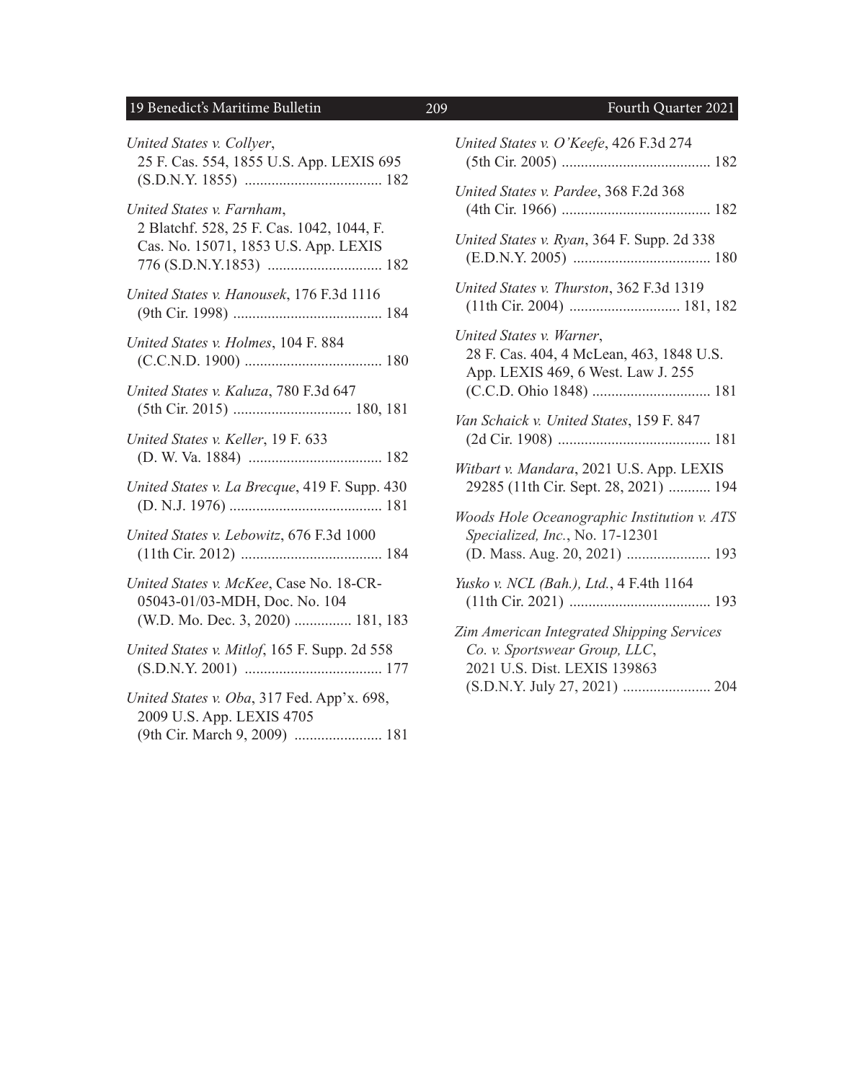## 19 Benedict's Maritime Bulletin 209 Fourth Quarter 2021

| United States v. Collyer,<br>25 F. Cas. 554, 1855 U.S. App. LEXIS 695                                          |
|----------------------------------------------------------------------------------------------------------------|
| United States v. Farnham,<br>2 Blatchf. 528, 25 F. Cas. 1042, 1044, F.<br>Cas. No. 15071, 1853 U.S. App. LEXIS |
| United States v. Hanousek, 176 F.3d 1116                                                                       |
| United States v. Holmes, 104 F. 884                                                                            |
| United States v. Kaluza, 780 F.3d 647                                                                          |
| United States v. Keller, 19 F. 633                                                                             |
| United States v. La Brecque, 419 F. Supp. 430                                                                  |
| United States v. Lebowitz, 676 F.3d 1000                                                                       |
| United States v. McKee, Case No. 18-CR-<br>05043-01/03-MDH, Doc. No. 104<br>(W.D. Mo. Dec. 3, 2020)  181, 183  |
| United States v. Mitlof, 165 F. Supp. 2d 558                                                                   |
| United States v. Oba, 317 Fed. App'x. 698,<br>2009 U.S. App. LEXIS 4705<br>(9th Cir. March 9, 2009)  181       |

| United States v. O'Keefe, 426 F.3d 274                                                                          |
|-----------------------------------------------------------------------------------------------------------------|
| United States v. Pardee, 368 F.2d 368                                                                           |
| United States v. Ryan, 364 F. Supp. 2d 338                                                                      |
| United States v. Thurston, 362 F.3d 1319                                                                        |
| United States v. Warner,<br>28 F. Cas. 404, 4 McLean, 463, 1848 U.S.<br>App. LEXIS 469, 6 West. Law J. 255      |
| Van Schaick v. United States, 159 F. 847                                                                        |
| Witbart v. Mandara, 2021 U.S. App. LEXIS<br>29285 (11th Cir. Sept. 28, 2021)  194                               |
| Woods Hole Oceanographic Institution v. ATS<br>Specialized, Inc., No. 17-12301<br>(D. Mass. Aug. 20, 2021)  193 |
| Yusko v. NCL (Bah.), Ltd., 4 F.4th 1164                                                                         |
| Zim American Integrated Shipping Services<br>Co. v. Sportswear Group, LLC,<br>2021 U.S. Dist. LEXIS 139863      |

(S.D.N.Y. July 27, 2021) ....................... 204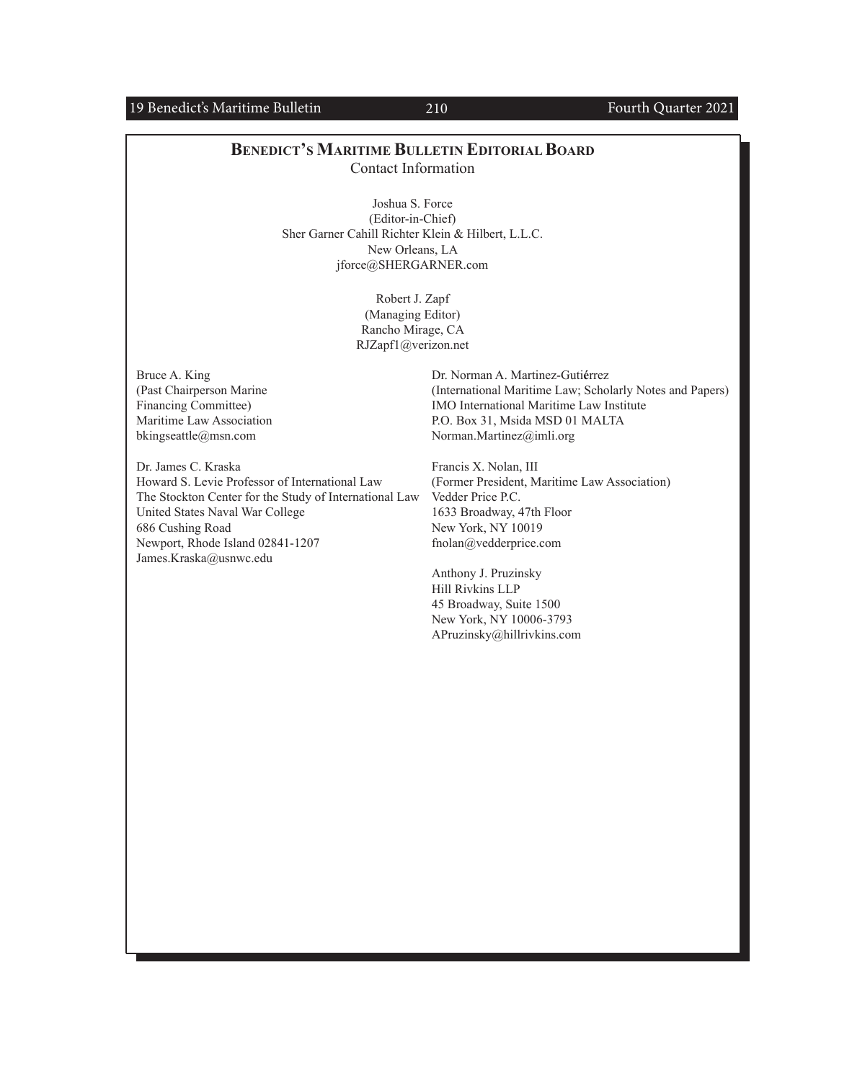### 19 Benedict's Maritime Bulletin 210 210 Fourth Quarter 2021

### **BENEDICT'S MARITIME BULLETIN EDITORIAL BOARD** Contact Information

Joshua S. Force (Editor-in-Chief) Sher Garner Cahill Richter Klein & Hilbert, L.L.C. New Orleans, LA [jforce@SHERGARNER.com](mailto:jforce@SHERGARNER.com)

> Robert J. Zapf (Managing Editor) Rancho Mirage, CA [RJZapf1@verizon.net](mailto:RJZapf1@verizon.net)

Bruce A. King (Past Chairperson Marine Financing Committee) Maritime Law Association [bkingseattle@msn.com](mailto:bkingseattle@msn.com)

Dr. James C. Kraska Howard S. Levie Professor of International Law The Stockton Center for the Study of International Law United States Naval War College 686 Cushing Road Newport, Rhode Island 02841-1207 [James.Kraska@usnwc.edu](mailto:James.Kraska@usnwc.edu)

Dr. Norman A. Martinez-Guti**é**rrez (International Maritime Law; Scholarly Notes and Papers) IMO International Maritime Law Institute P.O. Box 31, Msida MSD 01 MALTA [Norman.Martinez@imli.org](mailto:Norman.Martinez@imli.org)

Francis X. Nolan, III (Former President, Maritime Law Association) Vedder Price P.C. 1633 Broadway, 47th Floor New York, NY 10019 [fnolan@vedderprice.com](mailto:fnolan@vedderprice.com)

Anthony J. Pruzinsky Hill Rivkins LLP 45 Broadway, Suite 1500 New York, NY 10006-3793 [APruzinsky@hillrivkins.com](mailto:APruzinsky@hillrivkins.com)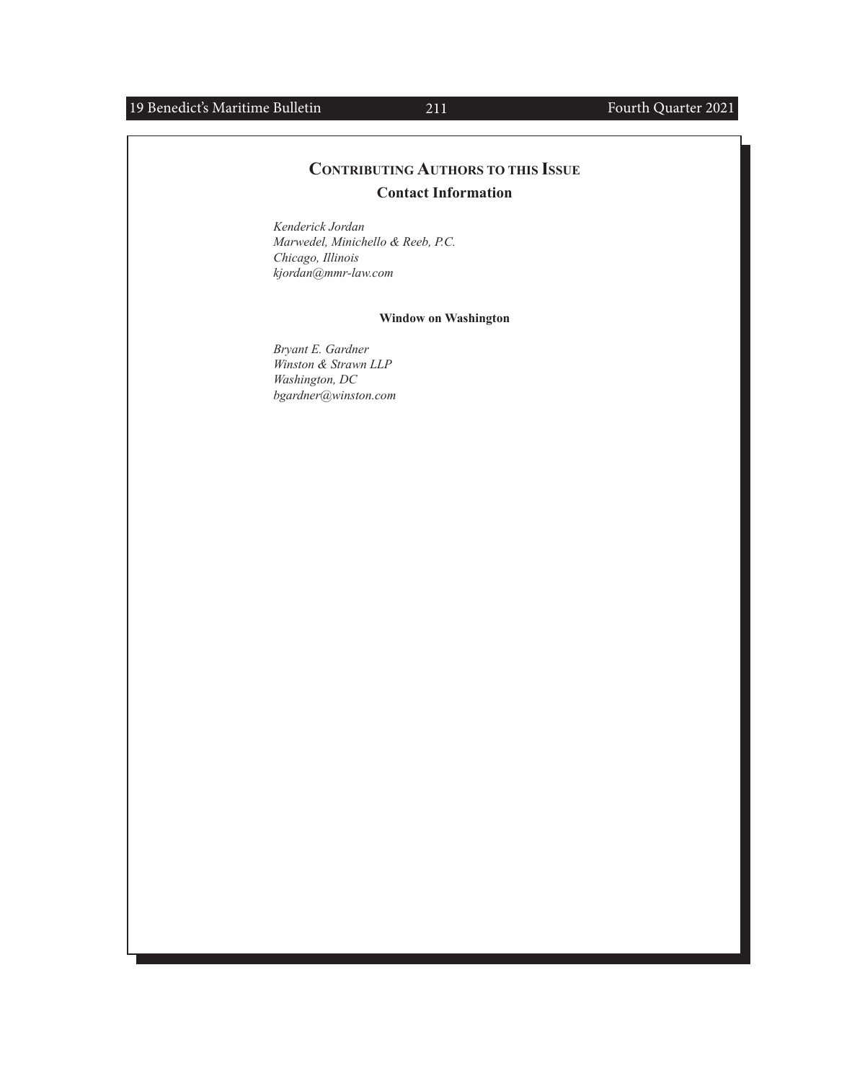## 19 Benedict's Maritime Bulletin 211 211 Fourth Quarter 2021

## **CONTRIBUTING AUTHORS TO THIS ISSUE Contact Information**

*Kenderick Jordan Marwedel, Minichello & Reeb, P.C. Chicago, Illinois [kjordan@mmr-law.com](mailto:kjordan%40mmr-law.com?subject=)*

### **Window on Washington**

*Bryant E. Gardner Winston & Strawn LLP Washington, DC [bgardner@winston.com](mailto:bgardner@winston.com)*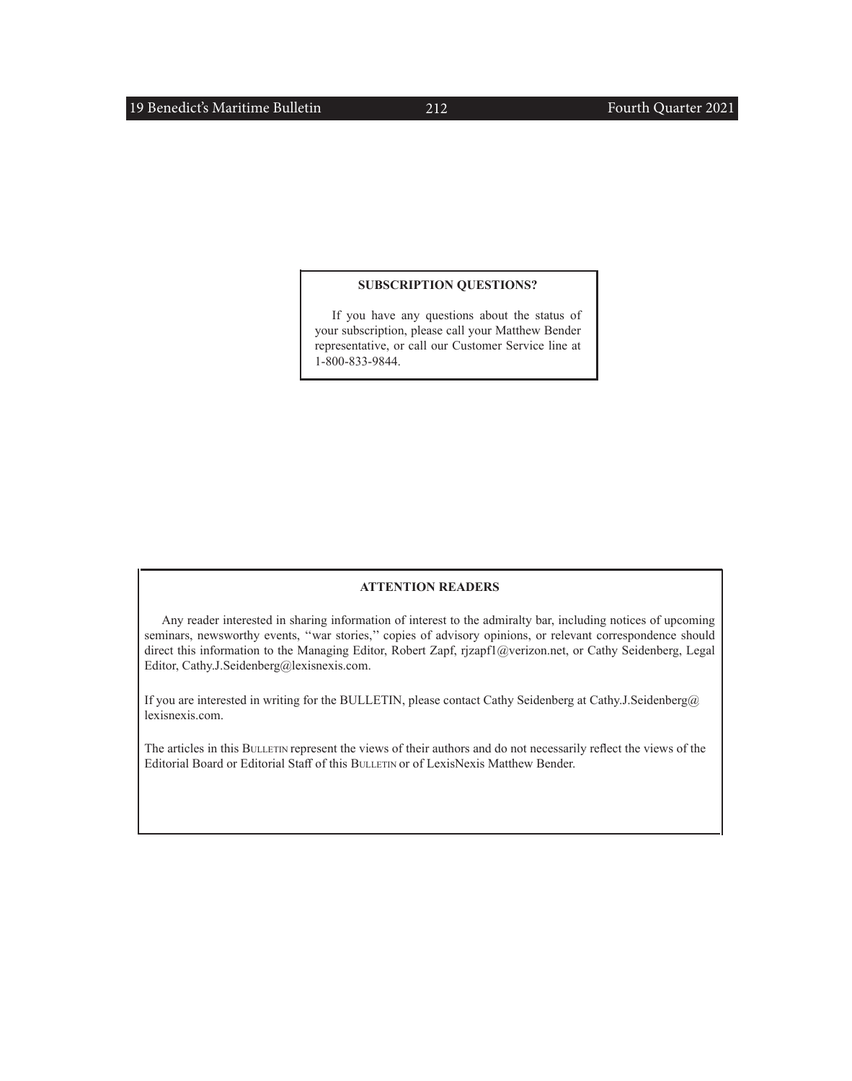#### **SUBSCRIPTION QUESTIONS?**

If you have any questions about the status of your subscription, please call your Matthew Bender representative, or call our Customer Service line at 1-800-833-9844.

#### **ATTENTION READERS**

Any reader interested in sharing information of interest to the admiralty bar, including notices of upcoming seminars, newsworthy events, "war stories," copies of advisory opinions, or relevant correspondence should direct this information to the Managing Editor, Robert Zapf, [rjzapf1@verizon.net](mailto:rjzapf1@verizon.net), or Cathy Seidenberg, Legal Editor, [Cathy.J.Seidenberg@lexisnexis.com.](mailto:Cathy.J.Seidenberg@lexisnexis.com)

If you are interested in writing for the BULLETIN, please contact Cathy Seidenberg at [Cathy.J.Seidenberg@](mailto:Cathy.J.Seidenberg@ lexisnexis.com) [lexisnexis.com](mailto:Cathy.J.Seidenberg@ lexisnexis.com).

The articles in this BULLETIN represent the views of their authors and do not necessarily reflect the views of the Editorial Board or Editorial Staff of this BULLETIN or of LexisNexis Matthew Bender.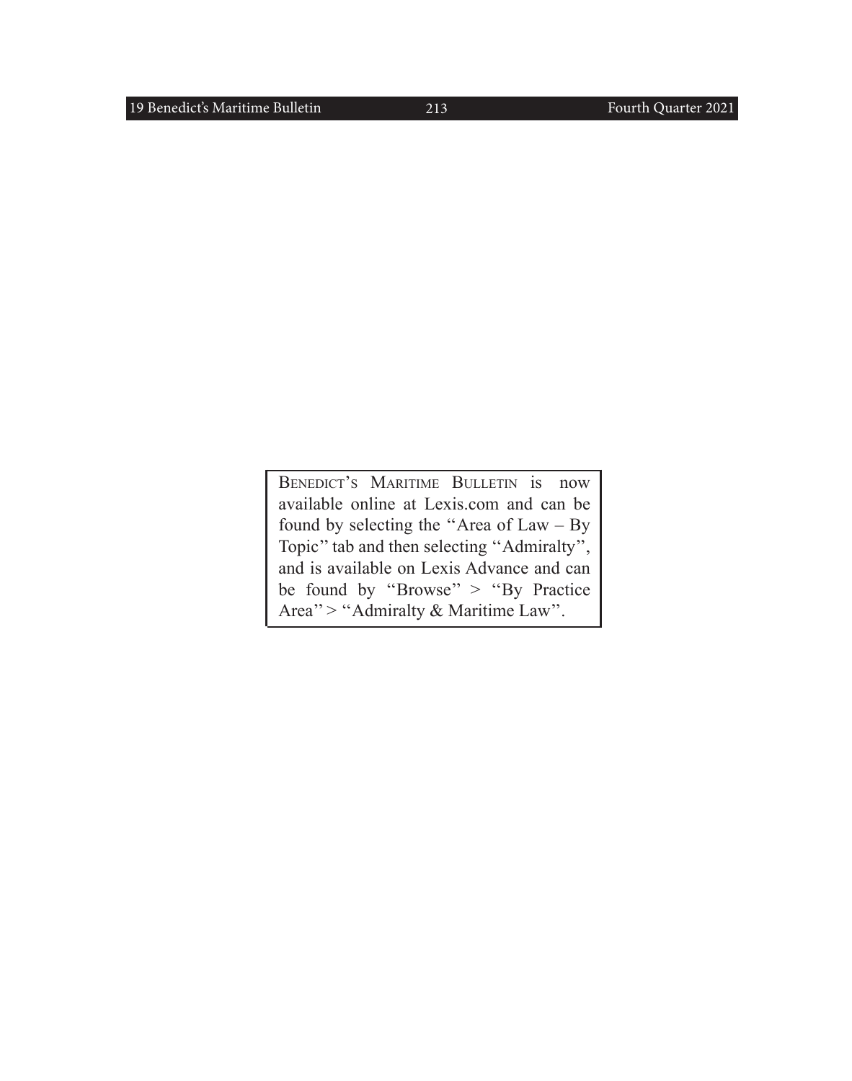BENEDICT'S MARITIME BULLETIN is now available online at Lexis.com and can be found by selecting the ''Area of Law – By Topic'' tab and then selecting ''Admiralty'', and is available on Lexis Advance and can be found by ''Browse'' > ''By Practice Area'' > ''Admiralty & Maritime Law''.